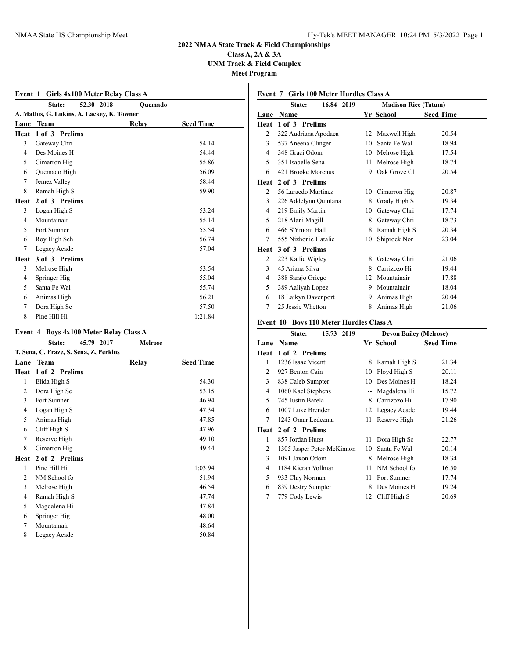## **Class A, 2A & 3A UNM Track & Field Complex Meet Program**

## **Event 1 Girls 4x100 Meter Relay Class A**

|      | 52.30 2018<br>State:                       | Quemado |                  |
|------|--------------------------------------------|---------|------------------|
|      | A. Mathis, G. Lukins, A. Lackey, K. Towner |         |                  |
| Lane | <b>Team</b>                                | Relay   | <b>Seed Time</b> |
| Heat | 1 of 3 Prelims                             |         |                  |
| 3    | Gateway Chri                               |         | 54.14            |
| 4    | Des Moines H                               |         | 54.44            |
| 5    | Cimarron Hig                               |         | 55.86            |
| 6    | Quemado High                               |         | 56.09            |
| 7    | Jemez Valley                               |         | 58.44            |
| 8    | Ramah High S                               |         | 59.90            |
| Heat | 2 of 3 Prelims                             |         |                  |
| 3    | Logan High S                               |         | 53.24            |
| 4    | Mountainair                                |         | 55.14            |
| 5    | Fort Sumner                                |         | 55.54            |
| 6    | Roy High Sch                               |         | 56.74            |
| 7    | Legacy Acade                               |         | 57.04            |
| Heat | 3 of 3 Prelims                             |         |                  |
| 3    | Melrose High                               |         | 53.54            |
| 4    | Springer Hig                               |         | 55.04            |
| 5    | Santa Fe Wal                               |         | 55.74            |
| 6    | Animas High                                |         | 56.21            |
| 7    | Dora High Sc                               |         | 57.50            |
| 8    | Pine Hill Hi                               |         | 1:21.84          |

## **Event 4 Boys 4x100 Meter Relay Class A**

|                | 45.79 2017<br>State:                   | Melrose |                  |
|----------------|----------------------------------------|---------|------------------|
|                | T. Sena, C. Fraze, S. Sena, Z, Perkins |         |                  |
| Lane           | <b>Team</b>                            | Relay   | <b>Seed Time</b> |
| Heat           | 1 of 2 Prelims                         |         |                  |
| 1              | Elida High S                           |         | 54.30            |
| $\overline{2}$ | Dora High Sc                           |         | 53.15            |
| 3              | Fort Sumner                            |         | 46.94            |
| 4              | Logan High S                           |         | 47.34            |
| 5              | Animas High                            |         | 47.85            |
| 6              | Cliff High S                           |         | 47.96            |
| 7              | Reserve High                           |         | 49.10            |
| 8              | Cimarron Hig                           |         | 49.44            |
| Heat           | 2 of 2 Prelims                         |         |                  |
| 1              | Pine Hill Hi                           |         | 1:03.94          |
| $\overline{2}$ | NM School fo                           |         | 51.94            |
| 3              | Melrose High                           |         | 46.54            |
| 4              | Ramah High S                           |         | 47.74            |
| 5              | Magdalena Hi                           |         | 47.84            |
| 6              | Springer Hig                           |         | 48.00            |
| 7              | Mountainair                            |         | 48.64            |
| 8              | Legacy Acade                           |         | 50.84            |

# **Event 7 Girls 100 Meter Hurdles Class A**

|      | 16.84 2019<br>State:  | <b>Madison Rice (Tatum)</b> |                 |                  |  |
|------|-----------------------|-----------------------------|-----------------|------------------|--|
|      | <b>Lane Name</b>      |                             | Yr School       | <b>Seed Time</b> |  |
| Heat | 1 of 3 Prelims        |                             |                 |                  |  |
| 2    | 322 Audriana Apodaca  |                             | 12 Maxwell High | 20.54            |  |
| 3    | 537 Aneena Clinger    | 10                          | Santa Fe Wal    | 18.94            |  |
| 4    | 348 Graci Odom        | 10                          | Melrose High    | 17.54            |  |
| 5    | 351 Isabelle Sena     | 11                          | Melrose High    | 18.74            |  |
| 6    | 421 Brooke Morenus    | 9                           | Oak Grove Cl    | 20.54            |  |
| Heat | 2 of 3 Prelims        |                             |                 |                  |  |
| 2    | 56 Laraedo Martinez   | 10                          | Cimarron Hig    | 20.87            |  |
| 3    | 226 Addelynn Quintana | 8                           | Grady High S    | 19.34            |  |
| 4    | 219 Emily Martin      | 10                          | Gateway Chri    | 17.74            |  |
| 5    | 218 Alani Magill      | 8                           | Gateway Chri    | 18.73            |  |
| 6    | 466 S'Ymoni Hall      | 8                           | Ramah High S    | 20.34            |  |
| 7    | 555 Nizhonie Hatalie  | 10                          | Shiprock Nor    | 23.04            |  |
| Heat | 3 of 3 Prelims        |                             |                 |                  |  |
| 2    | 223 Kallie Wigley     | 8                           | Gateway Chri    | 21.06            |  |
| 3    | 45 Ariana Silva       | 8                           | Carrizozo Hi    | 19.44            |  |
| 4    | 388 Sarajo Griego     | 12                          | Mountainair     | 17.88            |  |
| 5    | 389 Aaliyah Lopez     | 9                           | Mountainair     | 18.04            |  |
| 6    | 18 Laikyn Davenport   | 9                           | Animas High     | 20.04            |  |
| 7    | 25 Jessie Whetton     | 8                           | Animas High     | 21.06            |  |

### **Event 10 Boys 110 Meter Hurdles Class A**

|                | 15.73<br>2019<br>State:    | <b>Devon Bailey (Melrose)</b> |                 |                  |
|----------------|----------------------------|-------------------------------|-----------------|------------------|
| Lane           | Name                       |                               | Yr School       | <b>Seed Time</b> |
| Heat           | 1 of 2 Prelims             |                               |                 |                  |
| 1              | 1236 Isaac Vicenti         | 8                             | Ramah High S    | 21.34            |
| $\overline{2}$ | 927 Benton Cain            | 10                            | Floyd High S    | 20.11            |
| 3              | 838 Caleb Sumpter          | 10                            | Des Moines H    | 18.24            |
| 4              | 1060 Kael Stephens         | --                            | Magdalena Hi    | 15.72            |
| 5              | 745 Justin Barela          | 8                             | Carrizozo Hi    | 17.90            |
| 6              | 1007 Luke Brenden          |                               | 12 Legacy Acade | 19.44            |
| 7              | 1243 Omar Ledezma          | 11                            | Reserve High    | 21.26            |
| Heat           | 2 of 2 Prelims             |                               |                 |                  |
| 1              | 857 Jordan Hurst           | 11                            | Dora High Sc    | 22.77            |
| 2              | 1305 Jasper Peter-McKinnon | 10                            | Santa Fe Wal    | 20.14            |
| 3              | 1091 Jaxon Odom            | 8                             | Melrose High    | 18.34            |
| 4              | 1184 Kieran Vollmar        | 11                            | NM School fo    | 16.50            |
| 5              | 933 Clay Norman            | 11                            | Fort Sumner     | 17.74            |
| 6              | 839 Destry Sumpter         | 8                             | Des Moines H    | 19.24            |
| 7              | 779 Cody Lewis             | 12                            | Cliff High S    | 20.69            |
|                |                            |                               |                 |                  |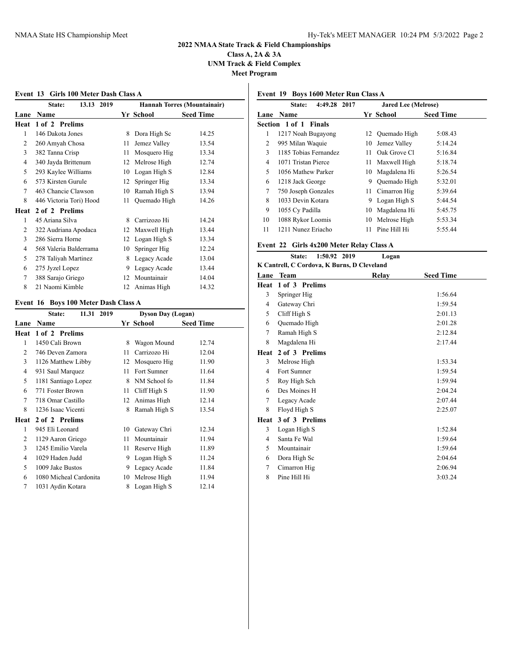**Class A, 2A & 3A UNM Track & Field Complex Meet Program**

**Event 13 Girls 100 Meter Dash Class A**

|      | 13.13 2019<br>State:    |    |              | <b>Hannah Torres (Mountainair)</b> |
|------|-------------------------|----|--------------|------------------------------------|
| Lane | <b>Name</b>             |    | Yr School    | <b>Seed Time</b>                   |
| Heat | 1 of 2 Prelims          |    |              |                                    |
| 1    | 146 Dakota Jones        | 8  | Dora High Sc | 14.25                              |
| 2    | 260 Amyah Chosa         | 11 | Jemez Valley | 13.54                              |
| 3    | 382 Tanna Crisp         | 11 | Mosquero Hig | 13.34                              |
| 4    | 340 Jayda Brittenum     | 12 | Melrose High | 12.74                              |
| 5    | 293 Kaylee Williams     | 10 | Logan High S | 12.84                              |
| 6    | 573 Kirsten Gurule      | 12 | Springer Hig | 13.34                              |
| 7    | 463 Chancie Clawson     | 10 | Ramah High S | 13.94                              |
| 8    | 446 Victoria Tori) Hood | 11 | Quemado High | 14.26                              |
| Heat | 2 of 2 Prelims          |    |              |                                    |
| 1    | 45 Ariana Silva         | 8  | Carrizozo Hi | 14.24                              |
| 2    | 322 Audriana Apodaca    | 12 | Maxwell High | 13.44                              |
| 3    | 286 Sierra Horne        | 12 | Logan High S | 13.34                              |
| 4    | 568 Valeria Balderrama  | 10 | Springer Hig | 12.24                              |
| 5    | 278 Taliyah Martinez    | 8  | Legacy Acade | 13.04                              |
| 6    | 275 Jyzel Lopez         | 9  | Legacy Acade | 13.44                              |
| 7    | 388 Sarajo Griego       | 12 | Mountainair  | 14.04                              |
| 8    | 21 Naomi Kimble         | 12 | Animas High  | 14.32                              |

### **Event 16 Boys 100 Meter Dash Class A**

|      | 11.31 2019<br>State:   |    |   | <b>Dyson Day (Logan)</b> |                  |
|------|------------------------|----|---|--------------------------|------------------|
| Lane | <b>Name</b>            |    |   | Yr School                | <b>Seed Time</b> |
| Heat | 1 of 2 Prelims         |    |   |                          |                  |
| 1    | 1450 Cali Brown        |    | 8 | Wagon Mound              | 12.74            |
| 2    | 746 Deven Zamora       | 11 |   | Carrizozo Hi             | 12.04            |
| 3    | 1126 Matthew Libby     | 12 |   | Mosquero Hig             | 11.90            |
| 4    | 931 Saul Marquez       | 11 |   | Fort Sumner              | 11.64            |
| 5    | 1181 Santiago Lopez    |    | 8 | NM School fo             | 11.84            |
| 6    | 771 Foster Brown       | 11 |   | Cliff High S             | 11.90            |
| 7    | 718 Omar Castillo      | 12 |   | Animas High              | 12.14            |
| 8    | 1236 Isaac Vicenti     |    | 8 | Ramah High S             | 13.54            |
| Heat | 2 of 2 Prelims         |    |   |                          |                  |
| 1    | 945 Eli Leonard        | 10 |   | Gateway Chri             | 12.34            |
| 2    | 1129 Aaron Griego      | 11 |   | Mountainair              | 11.94            |
| 3    | 1245 Emilio Varela     | 11 |   | Reserve High             | 11.89            |
| 4    | 1029 Haden Judd        |    | 9 | Logan High S             | 11.24            |
| 5    | 1009 Jake Bustos       |    | 9 | Legacy Acade             | 11.84            |
| 6    | 1080 Micheal Cardonita | 10 |   | Melrose High             | 11.94            |
| 7    | 1031 Aydin Kotara      | 8  |   | Logan High S             | 12.14            |
|      |                        |    |   |                          |                  |

## **Event 19 Boys 1600 Meter Run Class A**

|    | 4:49.28<br>2017<br>State: |     | <b>Jared Lee (Melrose)</b> |                  |  |
|----|---------------------------|-----|----------------------------|------------------|--|
|    | Lane Name                 |     | Yr School                  | <b>Seed Time</b> |  |
|    | Section 1 of 1 Finals     |     |                            |                  |  |
| 1  | 1217 Noah Bugayong        |     | 12 Ouemado High            | 5:08.43          |  |
| 2  | 995 Milan Waquie          | 10  | Jemez Valley               | 5:14.24          |  |
| 3  | 1185 Tobias Fernandez     | 11  | Oak Grove Cl               | 5:16.84          |  |
| 4  | 1071 Tristan Pierce       | 11. | Maxwell High               | 5:18.74          |  |
| 5  | 1056 Mathew Parker        | 10  | Magdalena Hi               | 5:26.54          |  |
| 6  | 1218 Jack George          | 9   | Quemado High               | 5:32.01          |  |
| 7  | 750 Joseph Gonzales       | 11  | Cimarron Hig               | 5:39.64          |  |
| 8  | 1033 Devin Kotara         | 9   | Logan High S               | 5:44.54          |  |
| 9  | 1055 Cy Padilla           | 10  | Magdalena Hi               | 5:45.75          |  |
| 10 | 1088 Rykor Loomis         | 10  | Melrose High               | 5:53.34          |  |
| 11 | 1211 Nunez Eriacho        | 11  | Pine Hill Hi               | 5:55.44          |  |
|    |                           |     |                            |                  |  |

#### **Event 22 Girls 4x200 Meter Relay Class A**

|                                             | State: 1:50.92 2019 |  | Logan |
|---------------------------------------------|---------------------|--|-------|
| K Cantrell, C Cordova, K Burns, D Cleveland |                     |  |       |

| Lane | <b>Team</b>    | Relay | <b>Seed Time</b> |
|------|----------------|-------|------------------|
| Heat | 1 of 3 Prelims |       |                  |
| 3    | Springer Hig   |       | 1:56.64          |
| 4    | Gateway Chri   |       | 1:59.54          |
| 5    | Cliff High S   |       | 2:01.13          |
| 6    | Quemado High   |       | 2:01.28          |
| 7    | Ramah High S   |       | 2:12.84          |
| 8    | Magdalena Hi   |       | 2:17.44          |
| Heat | 2 of 3 Prelims |       |                  |
| 3    | Melrose High   |       | 1:53.34          |
| 4    | Fort Sumner    |       | 1:59.54          |
| 5    | Roy High Sch   |       | 1:59.94          |
| 6    | Des Moines H   |       | 2:04.24          |
| 7    | Legacy Acade   |       | 2:07.44          |
| 8    | Floyd High S   |       | 2:25.07          |
| Heat | 3 of 3 Prelims |       |                  |
| 3    | Logan High S   |       | 1:52.84          |
| 4    | Santa Fe Wal   |       | 1:59.64          |
| 5    | Mountainair    |       | 1:59.64          |
| 6    | Dora High Sc   |       | 2:04.64          |
| 7    | Cimarron Hig   |       | 2:06.94          |
| 8    | Pine Hill Hi   |       | 3:03.24          |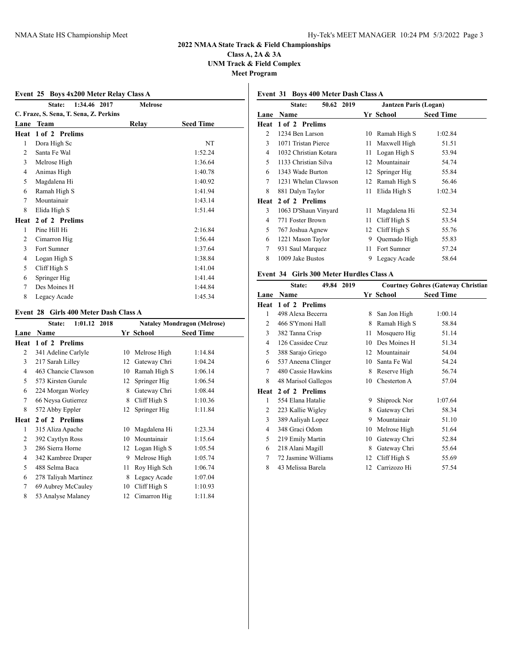### **2022 NMAA State Track & Field Championships Class A, 2A & 3A**

**UNM Track & Field Complex**

**Meet Program**

## **Event 25 Boys 4x200 Meter Relay Class A**

|                | 1:34.46 2017<br>State:                 | <b>Melrose</b> |                  |
|----------------|----------------------------------------|----------------|------------------|
|                | C. Fraze, S. Sena, T. Sena, Z. Perkins |                |                  |
| Lane           | Team                                   | Relay          | <b>Seed Time</b> |
| Heat           | 1 of 2 Prelims                         |                |                  |
| 1              | Dora High Sc                           |                | NT               |
| 2              | Santa Fe Wal                           |                | 1:52.24          |
| 3              | Melrose High                           |                | 1:36.64          |
| $\overline{4}$ | Animas High                            |                | 1:40.78          |
| 5              | Magdalena Hi                           |                | 1:40.92          |
| 6              | Ramah High S                           |                | 1:41.94          |
| 7              | Mountainair                            |                | 1:43.14          |
| 8              | Elida High S                           |                | 1:51.44          |
| Heat           | 2 of 2 Prelims                         |                |                  |
| 1              | Pine Hill Hi                           |                | 2:16.84          |
| $\overline{c}$ | Cimarron Hig                           |                | 1:56.44          |
| 3              | Fort Sumner                            |                | 1:37.64          |
| 4              | Logan High S                           |                | 1:38.84          |
| 5              | Cliff High S                           |                | 1:41.04          |
| 6              | Springer Hig                           |                | 1:41.44          |
| 7              | Des Moines H                           |                | 1:44.84          |
| 8              | Legacy Acade                           |                | 1:45.34          |

#### **Event 28 Girls 400 Meter Dash Class A**

|                | $1:01.12$ 2018<br>State: |    |              | <b>Nataley Mondragon (Melrose)</b> |
|----------------|--------------------------|----|--------------|------------------------------------|
| Lane           | Name                     |    | Yr School    | <b>Seed Time</b>                   |
| Heat           | 1 of 2 Prelims           |    |              |                                    |
| 2              | 341 Adeline Carlyle      | 10 | Melrose High | 1:14.84                            |
| 3              | 217 Sarah Lilley         | 12 | Gateway Chri | 1:04.24                            |
| $\overline{4}$ | 463 Chancie Clawson      | 10 | Ramah High S | 1:06.14                            |
| 5              | 573 Kirsten Gurule       | 12 | Springer Hig | 1:06.54                            |
| 6              | 224 Morgan Worley        | 8  | Gateway Chri | 1:08.44                            |
| 7              | 66 Neysa Gutierrez       | 8  | Cliff High S | 1:10.36                            |
| 8              | 572 Abby Eppler          | 12 | Springer Hig | 1:11.84                            |
| Heat           | 2 of 2 Prelims           |    |              |                                    |
| 1              | 315 Aliza Apache         | 10 | Magdalena Hi | 1:23.34                            |
| 2              | 392 Caytlyn Ross         | 10 | Mountainair  | 1:15.64                            |
| 3              | 286 Sierra Horne         | 12 | Logan High S | 1:05.54                            |
| $\overline{4}$ | 342 Kambree Draper       | 9  | Melrose High | 1:05.74                            |
| 5              | 488 Selma Baca           | 11 | Roy High Sch | 1:06.74                            |
| 6              | 278 Taliyah Martinez     | 8  | Legacy Acade | 1:07.04                            |
| 7              | 69 Aubrey McCauley       | 10 | Cliff High S | 1:10.93                            |
| 8              | 53 Analyse Malaney       | 12 | Cimarron Hig | 1:11.84                            |
|                |                          |    |              |                                    |

## **Event 31 Boys 400 Meter Dash Class A**

|      | 50.62 2019<br><b>State:</b> |    | <b>Jantzen Paris (Logan)</b> |                  |  |
|------|-----------------------------|----|------------------------------|------------------|--|
| Lane | <b>Name</b>                 |    | Yr School                    | <b>Seed Time</b> |  |
| Heat | 1 of 2 Prelims              |    |                              |                  |  |
| 2    | 1234 Ben Larson             | 10 | Ramah High S                 | 1:02.84          |  |
| 3    | 1071 Tristan Pierce         | 11 | Maxwell High                 | 51.51            |  |
| 4    | 1032 Christian Kotara       | 11 | Logan High S                 | 53.94            |  |
| 5    | 1133 Christian Silva        | 12 | Mountainair                  | 54.74            |  |
| 6    | 1343 Wade Burton            | 12 | Springer Hig                 | 55.84            |  |
| 7    | 1231 Whelan Clawson         | 12 | Ramah High S                 | 56.46            |  |
| 8    | 881 Dalyn Taylor            | 11 | Elida High S                 | 1:02.34          |  |
| Heat | 2 of 2 Prelims              |    |                              |                  |  |
| 3    | 1063 D'Shaun Vinyard        | 11 | Magdalena Hi                 | 52.34            |  |
| 4    | 771 Foster Brown            | 11 | Cliff High S                 | 53.54            |  |
| 5    | 767 Joshua Agnew            | 12 | Cliff High S                 | 55.76            |  |
| 6    | 1221 Mason Taylor           | 9  | Quemado High                 | 55.83            |  |
| 7    | 931 Saul Marquez            | 11 | Fort Sumner                  | 57.24            |  |
| 8    | 1009 Jake Bustos            | 9  | Legacy Acade                 | 58.64            |  |

## **Event 34 Girls 300 Meter Hurdles Class A**

|                | 49.84 2019<br>State: |    | <b>Courtney Gohres (Gateway Christian</b> |                  |
|----------------|----------------------|----|-------------------------------------------|------------------|
| Lane           | Name                 |    | Yr School                                 | <b>Seed Time</b> |
| Heat           | 1 of 2 Prelims       |    |                                           |                  |
| 1              | 498 Alexa Becerra    | 8  | San Jon High                              | 1:00.14          |
| 2              | 466 S'Ymoni Hall     | 8  | Ramah High S                              | 58.84            |
| 3              | 382 Tanna Crisp      | 11 | Mosquero Hig                              | 51.14            |
| 4              | 126 Cassidee Cruz    | 10 | Des Moines H                              | 51.34            |
| 5              | 388 Sarajo Griego    | 12 | Mountainair                               | 54.04            |
| 6              | 537 Aneena Clinger   | 10 | Santa Fe Wal                              | 54.24            |
| 7              | 480 Cassie Hawkins   | 8  | Reserve High                              | 56.74            |
| 8              | 48 Marisol Gallegos  | 10 | Chesterton A                              | 57.04            |
| Heat           | 2 of 2 Prelims       |    |                                           |                  |
| 1              | 554 Elana Hatalie    | 9  | Shiprock Nor                              | 1:07.64          |
| $\overline{c}$ | 223 Kallie Wigley    | 8  | Gateway Chri                              | 58.34            |
| 3              | 389 Aaliyah Lopez    | 9  | Mountainair                               | 51.10            |
| 4              | 348 Graci Odom       | 10 | Melrose High                              | 51.64            |
| 5              | 219 Emily Martin     | 10 | Gateway Chri                              | 52.84            |
| 6              | 218 Alani Magill     | 8  | Gateway Chri                              | 55.64            |
| 7              | 72 Jasmine Williams  | 12 | Cliff High S                              | 55.69            |
| 8              | 43 Melissa Barela    | 12 | Carrizozo Hi                              | 57.54            |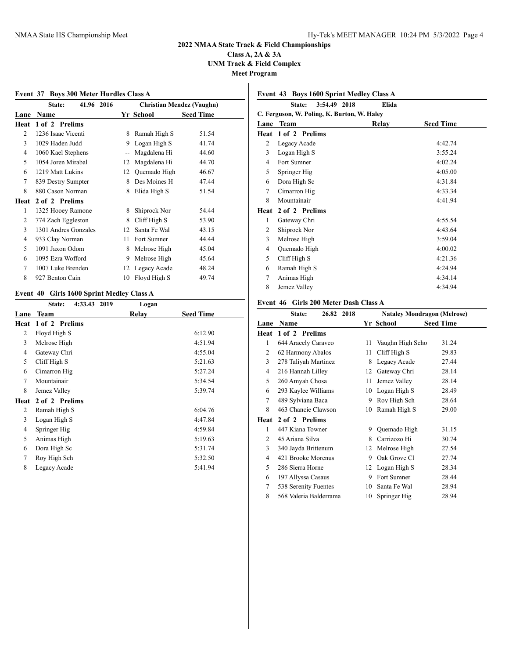## **Class A, 2A & 3A UNM Track & Field Complex Meet Program**

|                | Event 37 Boys 300 Meter Hurdles Class A |                |              |                                  |
|----------------|-----------------------------------------|----------------|--------------|----------------------------------|
|                | 41.96 2016<br>State:                    |                |              | <b>Christian Mendez (Vaughn)</b> |
| Lane           | Name                                    |                | Yr School    | <b>Seed Time</b>                 |
| Heat           | 1 of 2 Prelims                          |                |              |                                  |
| 2              | 1236 Isaac Vicenti                      | 8              | Ramah High S | 51.54                            |
| 3              | 1029 Haden Judd                         | 9              | Logan High S | 41.74                            |
| 4              | 1060 Kael Stephens                      | $\overline{a}$ | Magdalena Hi | 44.60                            |
| 5              | 1054 Joren Mirabal                      | 12             | Magdalena Hi | 44.70                            |
| 6              | 1219 Matt Lukins                        | 12             | Quemado High | 46.67                            |
| 7              | 839 Destry Sumpter                      | 8              | Des Moines H | 47.44                            |
| 8              | 880 Cason Norman                        | 8              | Elida High S | 51.54                            |
| Heat           | 2 of 2 Prelims                          |                |              |                                  |
| 1              | 1325 Hooey Ramone                       | 8              | Shiprock Nor | 54.44                            |
| $\overline{c}$ | 774 Zach Eggleston                      | 8              | Cliff High S | 53.90                            |
| 3              | 1301 Andres Gonzales                    | 12             | Santa Fe Wal | 43.15                            |
| 4              | 933 Clay Norman                         | 11             | Fort Sumner  | 44.44                            |
| 5              | 1091 Jaxon Odom                         | 8              | Melrose High | 45.04                            |
| 6              | 1095 Ezra Wofford                       | 9              | Melrose High | 45.64                            |
| 7              | 1007 Luke Brenden                       | 12             | Legacy Acade | 48.24                            |
| 8              | 927 Benton Cain                         | 10             | Floyd High S | 49.74                            |

## **Event 40 Girls 1600 Sprint Medley Class A**

|                | 4:33.43 2019<br>State: | Logan |                  |
|----------------|------------------------|-------|------------------|
| Lane           | Team                   | Relay | <b>Seed Time</b> |
| Heat           | 1 of 2 Prelims         |       |                  |
| 2              | Floyd High S           |       | 6:12.90          |
| 3              | Melrose High           |       | 4:51.94          |
| $\overline{4}$ | Gateway Chri           |       | 4:55.04          |
| 5              | Cliff High S           |       | 5:21.63          |
| 6              | Cimarron Hig           |       | 5:27.24          |
| 7              | Mountainair            |       | 5:34.54          |
| 8              | Jemez Valley           |       | 5:39.74          |
| Heat           | 2 of 2 Prelims         |       |                  |
| 2              | Ramah High S           |       | 6:04.76          |
| 3              | Logan High S           |       | 4:47.84          |
| 4              | Springer Hig           |       | 4:59.84          |
| 5              | Animas High            |       | 5:19.63          |
| 6              | Dora High Sc           |       | 5:31.74          |
| 7              | Roy High Sch           |       | 5:32.50          |
| 8              | Legacy Acade           |       | 5:41.94          |
|                |                        |       |                  |

## **Event 43 Boys 1600 Sprint Medley Class A**

|      | 3:54.49 2018<br>State:                      | Elida |                  |
|------|---------------------------------------------|-------|------------------|
|      | C. Ferguson, W. Poling, K. Burton, W. Haley |       |                  |
|      | Lane Team                                   | Relay | <b>Seed Time</b> |
| Heat | 1 of 2 Prelims                              |       |                  |
| 2    | Legacy Acade                                |       | 4:42.74          |
| 3    | Logan High S                                |       | 3:55.24          |
| 4    | Fort Sumner                                 |       | 4:02.24          |
| 5    | Springer Hig                                |       | 4:05.00          |
| 6    | Dora High Sc                                |       | 4:31.84          |
| 7    | Cimarron Hig                                |       | 4:33.34          |
| 8    | Mountainair                                 |       | 4:41.94          |
| Heat | 2 of 2 Prelims                              |       |                  |
| 1    | Gateway Chri                                |       | 4:55.54          |
| 2    | Shiprock Nor                                |       | 4:43.64          |
| 3    | Melrose High                                |       | 3:59.04          |
| 4    | Quemado High                                |       | 4:00.02          |
| 5    | Cliff High S                                |       | 4:21.36          |
| 6    | Ramah High S                                |       | 4:24.94          |
| 7    | Animas High                                 |       | 4:34.14          |
| 8    | Jemez Valley                                |       | 4:34.94          |
|      |                                             |       |                  |

## **Event 46 Girls 200 Meter Dash Class A**

|                | State:                 | 26.82 2018 |    | <b>Nataley Mondragon (Melrose)</b> |                  |
|----------------|------------------------|------------|----|------------------------------------|------------------|
| Lane           | Name                   |            |    | Yr School                          | <b>Seed Time</b> |
| Heat           | 1 of 2 Prelims         |            |    |                                    |                  |
| 1              | 644 Aracely Caraveo    |            | 11 | Vaughn High Scho                   | 31.24            |
| 2              | 62 Harmony Abalos      |            | 11 | Cliff High S                       | 29.83            |
| 3              | 278 Taliyah Martinez   |            | 8  | Legacy Acade                       | 27.44            |
| 4              | 216 Hannah Lilley      |            | 12 | Gateway Chri                       | 28.14            |
| 5              | 260 Amyah Chosa        |            | 11 | Jemez Valley                       | 28.14            |
| 6              | 293 Kaylee Williams    |            | 10 | Logan High S                       | 28.49            |
| $\tau$         | 489 Sylviana Baca      |            | 9  | Roy High Sch                       | 28.64            |
| 8              | 463 Chancie Clawson    |            | 10 | Ramah High S                       | 29.00            |
| Heat           | 2 of 2 Prelims         |            |    |                                    |                  |
| 1              | 447 Kiana Towner       |            | 9  | Quemado High                       | 31.15            |
| $\mathfrak{D}$ | 45 Ariana Silva        |            | 8  | Carrizozo Hi                       | 30.74            |
| 3              | 340 Jayda Brittenum    |            | 12 | Melrose High                       | 27.54            |
| 4              | 421 Brooke Morenus     |            | 9  | Oak Grove Cl                       | 27.74            |
| 5              | 286 Sierra Horne       |            | 12 | Logan High S                       | 28.34            |
| 6              | 197 Allyssa Casaus     |            | 9  | Fort Sumner                        | 28.44            |
| 7              | 538 Serenity Fuentes   |            | 10 | Santa Fe Wal                       | 28.94            |
| 8              | 568 Valeria Balderrama |            | 10 | Springer Hig                       | 28.94            |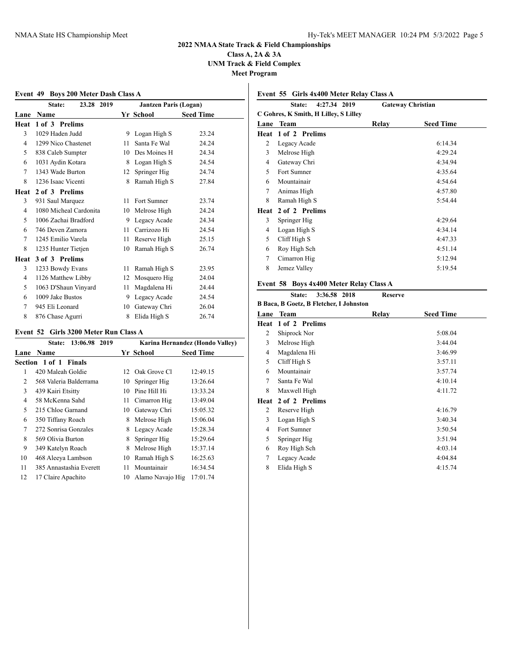## **Class A, 2A & 3A UNM Track & Field Complex Meet Program**

|                | Event 49 Boys 200 Meter Dash Class A |    |                              |                  |
|----------------|--------------------------------------|----|------------------------------|------------------|
|                | 23.28 2019<br>State:                 |    | <b>Jantzen Paris (Logan)</b> |                  |
| Lane           | <b>Name</b>                          |    | Yr School                    | <b>Seed Time</b> |
| Heat           | 1 of 3 Prelims                       |    |                              |                  |
| 3              | 1029 Haden Judd                      | 9  | Logan High S                 | 23.24            |
| 4              | 1299 Nico Chastenet                  | 11 | Santa Fe Wal                 | 24.24            |
| 5              | 838 Caleb Sumpter                    | 10 | Des Moines H                 | 24.34            |
| 6              | 1031 Aydin Kotara                    | 8  | Logan High S                 | 24.54            |
| 7              | 1343 Wade Burton                     | 12 | Springer Hig                 | 24.74            |
| 8              | 1236 Isaac Vicenti                   | 8  | Ramah High S                 | 27.84            |
| Heat           | 2 of 3 Prelims                       |    |                              |                  |
| 3              | 931 Saul Marquez                     | 11 | Fort Sumner                  | 23.74            |
| 4              | 1080 Micheal Cardonita               | 10 | Melrose High                 | 24.24            |
| 5              | 1006 Zachai Bradford                 | 9  | Legacy Acade                 | 24.34            |
| 6              | 746 Deven Zamora                     | 11 | Carrizozo Hi                 | 24.54            |
| 7              | 1245 Emilio Varela                   | 11 | Reserve High                 | 25.15            |
| 8              | 1235 Hunter Tietjen                  | 10 | Ramah High S                 | 26.74            |
| Heat           | 3 of 3 Prelims                       |    |                              |                  |
| 3              | 1233 Bowdy Evans                     | 11 | Ramah High S                 | 23.95            |
| $\overline{4}$ | 1126 Matthew Libby                   | 12 | Mosquero Hig                 | 24.04            |
| 5              | 1063 D'Shaun Vinyard                 | 11 | Magdalena Hi                 | 24.44            |
| 6              | 1009 Jake Bustos                     | 9  | Legacy Acade                 | 24.54            |
| 7              | 945 Eli Leonard                      | 10 | Gateway Chri                 | 26.04            |
| 8              | 876 Chase Agurri                     | 8  | Elida High S                 | 26.74            |

#### **Event 52 Girls 3200 Meter Run Class A**

|      | 13:06.98 2019<br>State: |    | Karina Hernandez (Hondo Valley) |                  |  |
|------|-------------------------|----|---------------------------------|------------------|--|
| Lane | <b>Name</b>             |    | Yr School                       | <b>Seed Time</b> |  |
|      | Section 1 of 1 Finals   |    |                                 |                  |  |
| 1    | 420 Maleah Goldie       | 12 | Oak Grove Cl                    | 12:49.15         |  |
| 2    | 568 Valeria Balderrama  | 10 | Springer Hig                    | 13:26.64         |  |
| 3    | 439 Kairi Etsitty       | 10 | Pine Hill Hi                    | 13:33.24         |  |
| 4    | 58 McKenna Sahd         | 11 | Cimarron Hig                    | 13:49.04         |  |
| 5    | 215 Chloe Garnand       | 10 | Gateway Chri                    | 15:05.32         |  |
| 6    | 350 Tiffany Roach       | 8  | Melrose High                    | 15:06.04         |  |
| 7    | 272 Sonrisa Gonzales    | 8  | Legacy Acade                    | 15:28.34         |  |
| 8    | 569 Olivia Burton       | 8  | Springer Hig                    | 15:29.64         |  |
| 9    | 349 Katelyn Roach       | 8  | Melrose High                    | 15:37.14         |  |
| 10   | 468 Aleeya Lambson      | 10 | Ramah High S                    | 16:25.63         |  |
| 11   | 385 Annastashia Everett | 11 | Mountainair                     | 16:34.54         |  |
| 12   | 17 Claire Apachito      | 10 | Alamo Navajo Hig                | 17:01.74         |  |
|      |                         |    |                                 |                  |  |

## **Event 55 Girls 4x400 Meter Relay Class A**

|      | 4:27.34 2019<br>State:                | <b>Gateway Christian</b> |                  |
|------|---------------------------------------|--------------------------|------------------|
|      | C Gohres, K Smith, H Lilley, S Lilley |                          |                  |
| Lane | <b>Team</b>                           | Relav                    | <b>Seed Time</b> |
|      | Heat 1 of 2 Prelims                   |                          |                  |
| 2    | Legacy Acade                          |                          | 6:14.34          |
| 3    | Melrose High                          |                          | 4:29.24          |
| 4    | Gateway Chri                          |                          | 4:34.94          |
| 5    | Fort Sumner                           |                          | 4:35.64          |
| 6    | Mountainair                           |                          | 4:54.64          |
| 7    | Animas High                           |                          | 4:57.80          |
| 8    | Ramah High S                          |                          | 5:54.44          |
| Heat | 2 of 2 Prelims                        |                          |                  |
| 3    | Springer Hig                          |                          | 4:29.64          |
| 4    | Logan High S                          |                          | 4:34.14          |
| 5    | Cliff High S                          |                          | 4:47.33          |
| 6    | Roy High Sch                          |                          | 4:51.14          |
| 7    | Cimarron Hig                          |                          | 5:12.94          |
| 8    | Jemez Valley                          |                          | 5:19.54          |
|      |                                       |                          |                  |

## **Event 58 Boys 4x400 Meter Relay Class A**

|      | 3:36.58 2018<br>State:                  | <b>Reserve</b> |                  |  |
|------|-----------------------------------------|----------------|------------------|--|
|      | B Baca, B Goetz, B Fletcher, I Johnston |                |                  |  |
|      | Lane Team                               | Relay          | <b>Seed Time</b> |  |
| Heat | 1 of 2 Prelims                          |                |                  |  |
| 2    | Shiprock Nor                            |                | 5:08.04          |  |
| 3    | Melrose High                            |                | 3:44.04          |  |
| 4    | Magdalena Hi                            |                | 3:46.99          |  |
| 5    | Cliff High S                            |                | 3:57.11          |  |
| 6    | Mountainair                             |                | 3:57.74          |  |
| 7    | Santa Fe Wal                            |                | 4:10.14          |  |
| 8    | Maxwell High                            |                | 4:11.72          |  |
| Heat | 2 of 2 Prelims                          |                |                  |  |
| 2    | Reserve High                            |                | 4:16.79          |  |
| 3    | Logan High S                            |                | 3:40.34          |  |
| 4    | Fort Sumner                             |                | 3:50.54          |  |
| 5    | Springer Hig                            |                | 3:51.94          |  |
| 6    | Roy High Sch                            |                | 4:03.14          |  |
| 7    | Legacy Acade                            |                | 4:04.84          |  |
| 8    | Elida High S                            |                | 4:15.74          |  |
|      |                                         |                |                  |  |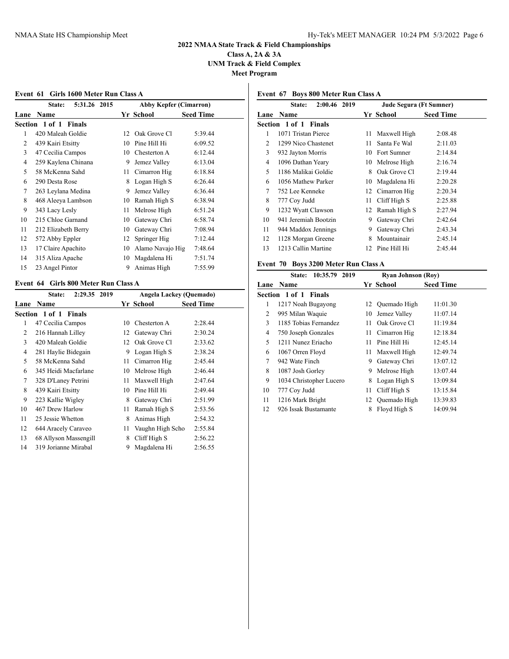**Class A, 2A & 3A UNM Track & Field Complex Meet Program**

### **Event 61 Girls 1600 Meter Run Class A**

|                | 5:31.26<br>State:            | 2015 | <b>Abby Kepfer (Cimarron)</b> |                  |  |
|----------------|------------------------------|------|-------------------------------|------------------|--|
| Lane           | Name                         |      | Yr School                     | <b>Seed Time</b> |  |
|                | <b>Section 1 of 1 Finals</b> |      |                               |                  |  |
| 1              | 420 Maleah Goldie            | 12   | Oak Grove Cl                  | 5:39.44          |  |
| $\overline{c}$ | 439 Kairi Etsitty            | 10   | Pine Hill Hi                  | 6:09.52          |  |
| 3              | 47 Cecilia Campos            | 10   | Chesterton A                  | 6:12.44          |  |
| 4              | 259 Kaylena Chinana          | 9    | Jemez Valley                  | 6:13.04          |  |
| 5              | 58 McKenna Sahd              | 11   | Cimarron Hig                  | 6:18.84          |  |
| 6              | 290 Desta Rose               | 8    | Logan High S                  | 6:26.44          |  |
| 7              | 263 Leylana Medina           | 9    | Jemez Valley                  | 6:36.44          |  |
| 8              | 468 Aleeya Lambson           | 10   | Ramah High S                  | 6:38.94          |  |
| 9              | 343 Lacy Lesly               | 11   | Melrose High                  | 6:51.24          |  |
| 10             | 215 Chloe Garnand            | 10   | Gateway Chri                  | 6:58.74          |  |
| 11             | 212 Elizabeth Berry          | 10   | Gateway Chri                  | 7:08.94          |  |
| 12             | 572 Abby Eppler              | 12   | Springer Hig                  | 7:12.44          |  |
| 13             | 17 Claire Apachito           | 10   | Alamo Navajo Hig              | 7:48.64          |  |
| 14             | 315 Aliza Apache             | 10   | Magdalena Hi                  | 7:51.74          |  |
| 15             | 23 Angel Pintor              | 9    | Animas High                   | 7:55.99          |  |
|                |                              |      |                               |                  |  |

### **Event 64 Girls 800 Meter Run Class A**

|                | State:                | 2:29.35 2019 |              | Angela Lackey (Quemado) |                  |
|----------------|-----------------------|--------------|--------------|-------------------------|------------------|
| Lane           | Name                  |              |              | Yr School               | <b>Seed Time</b> |
|                | Section 1 of 1 Finals |              |              |                         |                  |
| 1              | 47 Cecilia Campos     |              | 10           | Chesterton A            | 2:28.44          |
| 2              | 216 Hannah Lilley     |              | $12^{\circ}$ | Gateway Chri            | 2:30.24          |
| 3              | 420 Maleah Goldie     |              | 12           | Oak Grove Cl            | 2:33.62          |
| $\overline{4}$ | 281 Haylie Bidegain   |              | 9            | Logan High S            | 2:38.24          |
| 5              | 58 McKenna Sahd       |              | 11           | Cimarron Hig            | 2:45.44          |
| 6              | 345 Heidi Macfarlane  |              | 10           | Melrose High            | 2:46.44          |
| 7              | 328 D'Laney Petrini   |              | 11           | Maxwell High            | 2:47.64          |
| 8              | 439 Kairi Etsitty     |              | 10           | Pine Hill Hi            | 2:49.44          |
| 9              | 223 Kallie Wigley     |              | 8            | Gateway Chri            | 2:51.99          |
| 10             | 467 Drew Harlow       |              | 11           | Ramah High S            | 2:53.56          |
| 11             | 25 Jessie Whetton     |              | 8            | Animas High             | 2:54.32          |
| 12             | 644 Aracely Caraveo   |              | 11           | Vaughn High Scho        | 2:55.84          |
| 13             | 68 Allyson Massengill |              | 8            | Cliff High S            | 2:56.22          |
| 14             | 319 Jorianne Mirabal  |              | 9            | Magdalena Hi            | 2:56.55          |
|                |                       |              |              |                         |                  |

## **Event 67 Boys 800 Meter Run Class A**

|      | 2:00.46 2019<br>State: |    | Jude Segura (Ft Sumner) |                  |
|------|------------------------|----|-------------------------|------------------|
| Lane | <b>Name</b>            |    | Yr School               | <b>Seed Time</b> |
|      | Section 1 of 1 Finals  |    |                         |                  |
| 1    | 1071 Tristan Pierce    | 11 | Maxwell High            | 2:08.48          |
| 2    | 1299 Nico Chastenet    | 11 | Santa Fe Wal            | 2:11.03          |
| 3    | 932 Jayton Morris      | 10 | Fort Sumner             | 2:14.84          |
| 4    | 1096 Dathan Yeary      | 10 | Melrose High            | 2:16.74          |
| 5    | 1186 Malikai Goldie    | 8  | Oak Grove Cl            | 2:19.44          |
| 6    | 1056 Mathew Parker     | 10 | Magdalena Hi            | 2:20.28          |
| 7    | 752 Lee Kenneke        |    | 12 Cimarron Hig         | 2:20.34          |
| 8    | 777 Coy Judd           | 11 | Cliff High S            | 2:25.88          |
| 9    | 1232 Wyatt Clawson     | 12 | Ramah High S            | 2:27.94          |
| 10   | 941 Jeremiah Bootzin   | 9  | Gateway Chri            | 2:42.64          |
| 11   | 944 Maddox Jennings    | 9  | Gateway Chri            | 2:43.34          |
| 12   | 1128 Morgan Greene     | 8  | Mountainair             | 2:45.14          |
| 13   | 1213 Callin Martine    | 12 | Pine Hill Hi            | 2:45.44          |
|      |                        |    |                         |                  |

## **Event 70 Boys 3200 Meter Run Class A**

|      | 10:35.79<br>2019<br><b>State:</b> | <b>Ryan Johnson (Roy)</b> |                 |                  |  |
|------|-----------------------------------|---------------------------|-----------------|------------------|--|
| Lane | Name                              |                           | Yr School       | <b>Seed Time</b> |  |
|      | Section 1 of 1 Finals             |                           |                 |                  |  |
| 1    | 1217 Noah Bugayong                |                           | 12 Ouemado High | 11:01.30         |  |
| 2    | 995 Milan Waquie                  | 10                        | Jemez Valley    | 11:07.14         |  |
| 3    | 1185 Tobias Fernandez             | 11                        | Oak Grove Cl    | 11:19.84         |  |
| 4    | 750 Joseph Gonzales               | 11                        | Cimarron Hig    | 12:18.84         |  |
| 5    | 1211 Nunez Eriacho                | 11                        | Pine Hill Hi    | 12:45.14         |  |
| 6    | 1067 Orren Floyd                  | 11                        | Maxwell High    | 12:49.74         |  |
| 7    | 942 Wate Finch                    | 9                         | Gateway Chri    | 13:07.12         |  |
| 8    | 1087 Josh Gorley                  | 9                         | Melrose High    | 13:07.44         |  |
| 9    | 1034 Christopher Lucero           | 8                         | Logan High S    | 13:09.84         |  |
| 10   | 777 Coy Judd                      | 11                        | Cliff High S    | 13:15.84         |  |
| 11   | 1216 Mark Bright                  | 12                        | Quemado High    | 13:39.83         |  |
| 12   | 926 Issak Bustamante              | 8                         | Floyd High S    | 14:09.94         |  |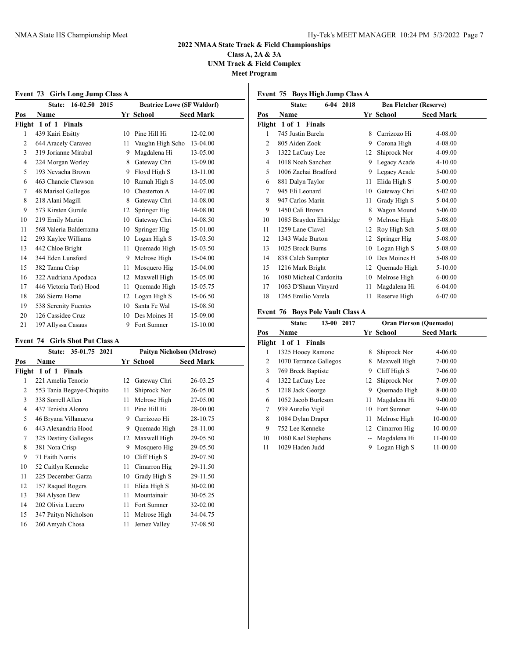**Class A, 2A & 3A UNM Track & Field Complex Meet Program**

**Event 73 Girls Long Jump Class A**

|                | 16-02.50 2015<br>State: | <b>Beatrice Lowe (SF Waldorf)</b> |                  |                  |  |
|----------------|-------------------------|-----------------------------------|------------------|------------------|--|
| Pos            | Name                    |                                   | Yr School        | <b>Seed Mark</b> |  |
| Flight         | 1 of 1 Finals           |                                   |                  |                  |  |
| 1              | 439 Kairi Etsitty       | 10                                | Pine Hill Hi     | 12-02.00         |  |
| 2              | 644 Aracely Caraveo     | 11                                | Vaughn High Scho | 13-04.00         |  |
| 3              | 319 Jorianne Mirabal    | 9                                 | Magdalena Hi     | 13-05.00         |  |
| $\overline{4}$ | 224 Morgan Worley       | 8                                 | Gateway Chri     | 13-09.00         |  |
| 5              | 193 Nevaeha Brown       | 9                                 | Floyd High S     | 13-11.00         |  |
| 6              | 463 Chancie Clawson     | 10                                | Ramah High S     | 14-05.00         |  |
| 7              | 48 Marisol Gallegos     | 10                                | Chesterton A     | 14-07.00         |  |
| 8              | 218 Alani Magill        | 8                                 | Gateway Chri     | 14-08.00         |  |
| 9              | 573 Kirsten Gurule      | 12                                | Springer Hig     | 14-08.00         |  |
| 10             | 219 Emily Martin        | 10                                | Gateway Chri     | 14-08.50         |  |
| 11             | 568 Valeria Balderrama  | 10                                | Springer Hig     | 15-01.00         |  |
| 12             | 293 Kaylee Williams     | 10                                | Logan High S     | 15-03.50         |  |
| 13             | 442 Chloe Bright        | 11                                | Ouemado High     | 15-03.50         |  |
| 14             | 344 Eden Lunsford       | 9                                 | Melrose High     | 15-04.00         |  |
| 15             | 382 Tanna Crisp         | 11                                | Mosquero Hig     | 15-04.00         |  |
| 16             | 322 Audriana Apodaca    | 12                                | Maxwell High     | 15-05.00         |  |
| 17             | 446 Victoria Tori) Hood | 11                                | Quemado High     | 15-05.75         |  |
| 18             | 286 Sierra Horne        | 12                                | Logan High S     | 15-06.50         |  |
| 19             | 538 Serenity Fuentes    | 10                                | Santa Fe Wal     | 15-08.50         |  |
| 20             | 126 Cassidee Cruz       | 10                                | Des Moines H     | 15-09.00         |  |
| 21             | 197 Allyssa Casaus      | 9                                 | Fort Sumner      | 15-10.00         |  |

## **Event 74 Girls Shot Put Class A**

|     | 35-01.75 2021<br>State:   | <b>Paityn Nicholson (Melrose)</b> |              |                  |  |
|-----|---------------------------|-----------------------------------|--------------|------------------|--|
| Pos | <b>Name</b>               |                                   | Yr School    | <b>Seed Mark</b> |  |
|     | Flight 1 of 1 Finals      |                                   |              |                  |  |
| 1   | 221 Amelia Tenorio        | 12                                | Gateway Chri | 26-03.25         |  |
| 2   | 553 Tania Begaye-Chiquito | 11                                | Shiprock Nor | 26-05.00         |  |
| 3   | 338 Sorrell Allen         | 11                                | Melrose High | 27-05.00         |  |
| 4   | 437 Tenisha Alonzo        | 11                                | Pine Hill Hi | 28-00.00         |  |
| 5   | 46 Bryana Villanueva      | 9                                 | Carrizozo Hi | 28-10.75         |  |
| 6   | 443 Alexandria Hood       | 9                                 | Quemado High | 28-11.00         |  |
| 7   | 325 Destiny Gallegos      | 12                                | Maxwell High | 29-05.50         |  |
| 8   | 381 Nora Crisp            | 9                                 | Mosquero Hig | 29-05.50         |  |
| 9   | 71 Faith Norris           | 10                                | Cliff High S | 29-07.50         |  |
| 10  | 52 Caitlyn Kenneke        | 11                                | Cimarron Hig | 29-11.50         |  |
| 11  | 225 December Garza        | 10                                | Grady High S | 29-11.50         |  |
| 12  | 157 Raquel Rogers         | 11                                | Elida High S | 30-02.00         |  |
| 13  | 384 Alyson Dew            | 11                                | Mountainair  | 30-05.25         |  |
| 14  | 202 Olivia Lucero         | 11                                | Fort Sumner  | 32-02.00         |  |
| 15  | 347 Paityn Nicholson      | 11                                | Melrose High | 34-04.75         |  |
| 16  | 260 Amyah Chosa           | 11                                | Jemez Valley | 37-08.50         |  |
|     |                           |                                   |              |                  |  |

## **Event 75 Boys High Jump Class A**

|                | $6 - 04$<br>2018<br>State: |    | <b>Ben Fletcher (Reserve)</b> |                  |  |  |
|----------------|----------------------------|----|-------------------------------|------------------|--|--|
| Pos            | Name                       |    | Yr School                     | <b>Seed Mark</b> |  |  |
| Flight         | 1 of 1 Finals              |    |                               |                  |  |  |
| 1              | 745 Justin Barela          | 8  | Carrizozo Hi                  | 4-08.00          |  |  |
| $\overline{2}$ | 805 Aiden Zook             | 9  | Corona High                   | 4-08.00          |  |  |
| 3              | 1322 LaCauy Lee            | 12 | Shiprock Nor                  | 4-09.00          |  |  |
| $\overline{4}$ | 1018 Noah Sanchez          | 9  | Legacy Acade                  | 4-10.00          |  |  |
| 5              | 1006 Zachai Bradford       | 9  | Legacy Acade                  | 5-00.00          |  |  |
| 6              | 881 Dalyn Taylor           | 11 | Elida High S                  | $5 - 00.00$      |  |  |
| 7              | 945 Eli Leonard            | 10 | Gateway Chri                  | 5-02.00          |  |  |
| 8              | 947 Carlos Marin           | 11 | Grady High S                  | 5-04.00          |  |  |
| 9              | 1450 Cali Brown            | 8  | Wagon Mound                   | 5-06.00          |  |  |
| 10             | 1085 Brayden Eldridge      | 9  | Melrose High                  | 5-08.00          |  |  |
| 11             | 1259 Lane Clavel           | 12 | Roy High Sch                  | 5-08.00          |  |  |
| 12             | 1343 Wade Burton           | 12 | Springer Hig                  | 5-08.00          |  |  |
| 13             | 1025 Brock Burns           | 10 | Logan High S                  | 5-08.00          |  |  |
| 14             | 838 Caleb Sumpter          | 10 | Des Moines H                  | 5-08.00          |  |  |
| 15             | 1216 Mark Bright           | 12 | Quemado High                  | 5-10.00          |  |  |
| 16             | 1080 Micheal Cardonita     | 10 | Melrose High                  | $6 - 00.00$      |  |  |
| 17             | 1063 D'Shaun Vinyard       | 11 | Magdalena Hi                  | 6-04.00          |  |  |
| 18             | 1245 Emilio Varela         | 11 | Reserve High                  | 6-07.00          |  |  |

## **Event 76 Boys Pole Vault Class A**

|        | $13 - 00$<br>2017<br>State: |     | <b>Oran Pierson (Quemado)</b> |                  |  |  |
|--------|-----------------------------|-----|-------------------------------|------------------|--|--|
| Pos    | Name                        |     | Yr School                     | <b>Seed Mark</b> |  |  |
| Flight | 1 of 1<br>Finals            |     |                               |                  |  |  |
| 1      | 1325 Hooey Ramone           | 8   | Shiprock Nor                  | 4-06.00          |  |  |
| 2      | 1070 Terrance Gallegos      | 8   | Maxwell High                  | $7 - 00.00$      |  |  |
| 3      | 769 Breck Baptiste          | 9   | Cliff High S                  | 7-06.00          |  |  |
| 4      | 1322 LaCauy Lee             | 12  | Shiprock Nor                  | 7-09.00          |  |  |
| 5      | 1218 Jack George            | 9   | Quemado High                  | 8-00.00          |  |  |
| 6      | 1052 Jacob Burleson         | 11  | Magdalena Hi                  | $9 - 00.00$      |  |  |
| 7      | 939 Aurelio Vigil           | 10  | Fort Sumner                   | $9 - 06.00$      |  |  |
| 8      | 1084 Dylan Draper           | 11  | Melrose High                  | 10-00.00         |  |  |
| 9      | 752 Lee Kenneke             |     | 12 Cimarron Hig               | 10-00.00         |  |  |
| 10     | 1060 Kael Stephens          | $-$ | Magdalena Hi                  | 11-00.00         |  |  |
| 11     | 1029 Haden Judd             | 9   | Logan High S                  | 11-00.00         |  |  |
|        |                             |     |                               |                  |  |  |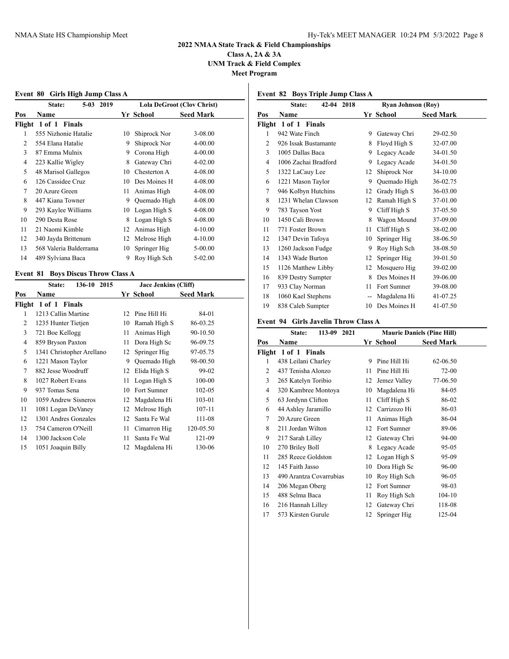**Class A, 2A & 3A UNM Track & Field Complex**

**Meet Program**

|                          | EVENT OU GIFTS HIGH JUMP CRASS A                                                                                                                                                                                                                              |                            |    |                                                   |                  |  |
|--------------------------|---------------------------------------------------------------------------------------------------------------------------------------------------------------------------------------------------------------------------------------------------------------|----------------------------|----|---------------------------------------------------|------------------|--|
| 2019<br>State:<br>$5-03$ |                                                                                                                                                                                                                                                               | Lola DeGroot (Clov Christ) |    |                                                   |                  |  |
| Pos                      | <b>Name</b>                                                                                                                                                                                                                                                   |                            |    | Yr School                                         | <b>Seed Mark</b> |  |
|                          | Flight 1 of 1 Finals                                                                                                                                                                                                                                          |                            |    |                                                   |                  |  |
|                          | 555 Nizhonie Hatalie                                                                                                                                                                                                                                          |                            | 10 | Shiprock Nor                                      | $3 - 08.00$      |  |
| $\mathfrak{D}$           | 554 Elana Hatalie                                                                                                                                                                                                                                             |                            | 9  | Shiprock Nor                                      | $4 - 00.00$      |  |
| 3                        | 87 Emma Mulnix                                                                                                                                                                                                                                                |                            |    | 9 Corona High                                     | $4 - 00.00$      |  |
| 4                        | 223 Kallie Wigley                                                                                                                                                                                                                                             |                            | 8  | Gateway Chri                                      | $4 - 02.00$      |  |
| 5.                       | 48 Marisol Gallegos                                                                                                                                                                                                                                           |                            | 10 | Chesterton A                                      | $4 - 08.00$      |  |
|                          | $(126.0 - 126.0 - 126.0 - 126.0 - 126.0 - 126.0 - 126.0 - 126.0 - 126.0 - 126.0 - 126.0 - 126.0 - 126.0 - 126.0 - 126.0 - 126.0 - 126.0 - 126.0 - 126.0 - 126.0 - 126.0 - 126.0 - 126.0 - 126.0 - 126.0 - 126.0 - 126.0 - 126.0 - 126.0 - 126.0 - 126.0 - 12$ |                            |    | $10 \quad \text{D} = M \cdot \text{m} = \text{H}$ | 1.00.00          |  |

#### **Event 80 Girls High Jump Class A**

|    | Flight 1 of 1 Finals   |    |              |             |
|----|------------------------|----|--------------|-------------|
| 1  | 555 Nizhonie Hatalie   | 10 | Shiprock Nor | $3 - 08.00$ |
| 2  | 554 Elana Hatalie      | 9  | Shiprock Nor | $4 - 00.00$ |
| 3  | 87 Emma Mulnix         | 9  | Corona High  | $4 - 00.00$ |
| 4  | 223 Kallie Wigley      | 8  | Gateway Chri | $4 - 02.00$ |
| 5  | 48 Marisol Gallegos    | 10 | Chesterton A | 4-08.00     |
| 6  | 126 Cassidee Cruz      | 10 | Des Moines H | 4-08.00     |
| 7  | 20 Azure Green         | 11 | Animas High  | 4-08.00     |
| 8  | 447 Kiana Towner       | 9  | Quemado High | 4-08.00     |
| 9  | 293 Kaylee Williams    | 10 | Logan High S | 4-08.00     |
| 10 | 290 Desta Rose         | 8  | Logan High S | 4-08.00     |
| 11 | 21 Naomi Kimble        | 12 | Animas High  | $4 - 10.00$ |
| 12 | 340 Jayda Brittenum    | 12 | Melrose High | $4 - 10.00$ |
| 13 | 568 Valeria Balderrama | 10 | Springer Hig | $5 - 00.00$ |
| 14 | 489 Sylviana Baca      | 9  | Roy High Sch | $5 - 02.00$ |

## **Event 81 Boys Discus Throw Class A**

|        | 136-10<br>2015<br>State:  | Jace Jenkins (Cliff) |              |                  |  |
|--------|---------------------------|----------------------|--------------|------------------|--|
| Pos    | Name                      |                      | Yr School    | <b>Seed Mark</b> |  |
|        | Flight 1 of 1 Finals      |                      |              |                  |  |
| 1      | 1213 Callin Martine       | 12                   | Pine Hill Hi | 84-01            |  |
| 2      | 1235 Hunter Tietjen       | 10                   | Ramah High S | 86-03.25         |  |
| 3      | 721 Boe Kellogg           | 11                   | Animas High  | 90-10.50         |  |
| 4      | 859 Bryson Paxton         | 11                   | Dora High Sc | 96-09.75         |  |
| 5      | 1341 Christopher Arellano | 12                   | Springer Hig | 97-05.75         |  |
| 6      | 1221 Mason Taylor         | 9                    | Ouemado High | 98-00.50         |  |
| $\tau$ | 882 Jesse Woodruff        | 12                   | Elida High S | 99-02            |  |
| 8      | 1027 Robert Evans         | 11                   | Logan High S | 100-00           |  |
| 9      | 937 Tomas Sena            | 10                   | Fort Sumner  | $102 - 05$       |  |
| 10     | 1059 Andrew Sisneros      | 12                   | Magdalena Hi | 103-01           |  |
| 11     | 1081 Logan DeVaney        | 12                   | Melrose High | 107-11           |  |
| 12     | 1301 Andres Gonzales      | 12                   | Santa Fe Wal | 111-08           |  |
| 13     | 754 Cameron O'Neill       | 11                   | Cimarron Hig | 120-05.50        |  |
| 14     | 1300 Jackson Cole         | 11                   | Santa Fe Wal | 121-09           |  |
| 15     | 1051 Joaquin Billy        | 12                   | Magdalena Hi | 130-06           |  |

## **Event 82 Boys Triple Jump Class A**

|                | 42-04<br>State:                | 2018 | <b>Ryan Johnson (Roy)</b> |              |                  |  |
|----------------|--------------------------------|------|---------------------------|--------------|------------------|--|
| Pos            | Name                           |      |                           | Yr School    | <b>Seed Mark</b> |  |
|                | Flight 1 of 1<br><b>Finals</b> |      |                           |              |                  |  |
| 1              | 942 Wate Finch                 |      | 9                         | Gateway Chri | 29-02.50         |  |
| 2              | 926 Issak Bustamante           |      | 8                         | Floyd High S | 32-07.00         |  |
| 3              | 1005 Dallas Baca               |      | 9                         | Legacy Acade | 34-01.50         |  |
| $\overline{4}$ | 1006 Zachai Bradford           |      | 9                         | Legacy Acade | 34-01.50         |  |
| 5              | 1322 LaCauy Lee                |      | 12                        | Shiprock Nor | 34-10.00         |  |
| 6              | 1221 Mason Taylor              |      | 9                         | Quemado High | 36-02.75         |  |
| 7              | 946 Kolbyn Hutchins            |      | 12                        | Grady High S | 36-03.00         |  |
| 8              | 1231 Whelan Clawson            |      | 12                        | Ramah High S | 37-01.00         |  |
| 9              | 783 Tayson Yost                |      | 9                         | Cliff High S | 37-05.50         |  |
| 10             | 1450 Cali Brown                |      | 8                         | Wagon Mound  | 37-09.00         |  |
| 11             | 771 Foster Brown               |      | 11                        | Cliff High S | 38-02.00         |  |
| 12             | 1347 Devin Tafoya              |      | 10                        | Springer Hig | 38-06.50         |  |
| 13             | 1260 Jackson Fudge             |      | 9                         | Roy High Sch | 38-08.50         |  |
| 14             | 1343 Wade Burton               |      | 12                        | Springer Hig | 39-01.50         |  |
| 15             | 1126 Matthew Libby             |      | 12                        | Mosquero Hig | 39-02.00         |  |
| 16             | 839 Destry Sumpter             |      | 8                         | Des Moines H | 39-06.00         |  |
| 17             | 933 Clay Norman                |      | 11                        | Fort Sumner  | 39-08.00         |  |
| 18             | 1060 Kael Stephens             |      | --                        | Magdalena Hi | 41-07.25         |  |
| 19             | 838 Caleb Sumpter              |      | 10                        | Des Moines H | 41-07.50         |  |

## **Event 94 Girls Javelin Throw Class A**

|                | $113 - 09$<br>2021<br>State: |    | <b>Maurie Daniels (Pine Hill)</b> |                  |  |  |
|----------------|------------------------------|----|-----------------------------------|------------------|--|--|
| Pos            | Name                         |    | Yr School                         | <b>Seed Mark</b> |  |  |
|                | Flight 1 of 1 Finals         |    |                                   |                  |  |  |
| 1              | 438 Leilani Charley          | 9  | Pine Hill Hi                      | 62-06.50         |  |  |
| $\overline{2}$ | 437 Tenisha Alonzo           | 11 | Pine Hill Hi                      | 72-00            |  |  |
| 3              | 265 Katelyn Toribio          | 12 | Jemez Valley                      | 77-06.50         |  |  |
| $\overline{4}$ | 320 Kambree Montoya          | 10 | Magdalena Hi                      | 84-05            |  |  |
| 5              | 63 Jordynn Clifton           | 11 | Cliff High S                      | 86-02            |  |  |
| 6              | 44 Ashley Jaramillo          | 12 | Carrizozo Hi                      | 86-03            |  |  |
| 7              | 20 Azure Green               | 11 | Animas High                       | 86-04            |  |  |
| 8              | 211 Jordan Wilton            | 12 | Fort Sumner                       | 89-06            |  |  |
| 9              | 217 Sarah Lilley             | 12 | Gateway Chri                      | 94-00            |  |  |
| 10             | 270 Briley Boll              | 8  | Legacy Acade                      | 95-05            |  |  |
| 11             | 285 Reece Goldston           | 12 | Logan High S                      | 95-09            |  |  |
| 12             | 145 Faith Jasso              | 10 | Dora High Sc                      | 96-00            |  |  |
| 13             | 490 Arantza Covarrubias      | 10 | Roy High Sch                      | 96-05            |  |  |
| 14             | 206 Megan Oberg              | 12 | Fort Sumner                       | 98-03            |  |  |
| 15             | 488 Selma Baca               | 11 | Roy High Sch                      | $104 - 10$       |  |  |
| 16             | 216 Hannah Lilley            | 12 | Gateway Chri                      | 118-08           |  |  |
| 17             | 573 Kirsten Gurule           | 12 | Springer Hig                      | 125-04           |  |  |
|                |                              |    |                                   |                  |  |  |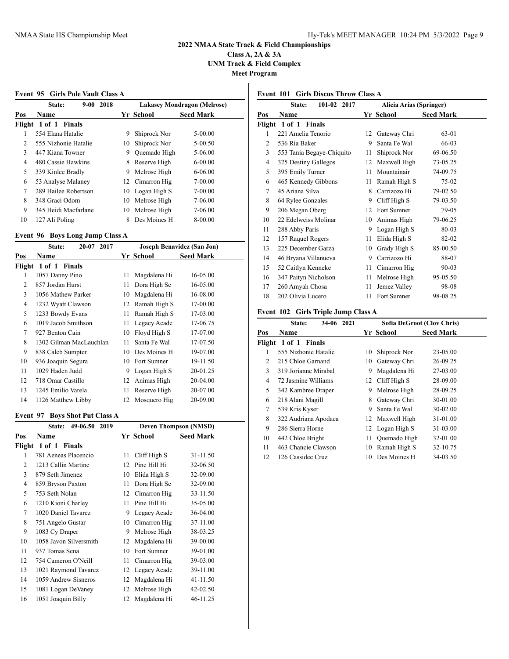**Class A, 2A & 3A UNM Track & Field Complex Meet Program**

**Event 95 Girls Pole Vault Class A**

|     | $9 - 00$<br>2018<br>State: |    |                 | <b>Lakasey Mondragon (Melrose)</b> |  |
|-----|----------------------------|----|-----------------|------------------------------------|--|
| Pos | <b>Name</b>                |    | Yr School       | <b>Seed Mark</b>                   |  |
|     | Flight 1 of 1 Finals       |    |                 |                                    |  |
| 1   | 554 Elana Hatalie          | 9  | Shiprock Nor    | $5 - 00.00$                        |  |
| 2   | 555 Nizhonie Hatalie       | 10 | Shiprock Nor    | 5-00.50                            |  |
| 3   | 447 Kiana Towner           | 9  | Quemado High    | 5-06.00                            |  |
| 4   | 480 Cassie Hawkins         | 8  | Reserve High    | $6-00.00$                          |  |
| 5   | 339 Kinlee Bradly          | 9  | Melrose High    | $6 - 06.00$                        |  |
| 6   | 53 Analyse Malaney         |    | 12 Cimarron Hig | 7-00.00                            |  |
| 7   | 289 Hailee Robertson       |    | 10 Logan High S | $7 - 00.00$                        |  |
| 8   | 348 Graci Odom             | 10 | Melrose High    | 7-06.00                            |  |
| 9   | 345 Heidi Macfarlane       |    | 10 Melrose High | 7-06.00                            |  |
| 10  | 127 Ali Poling             | 8  | Des Moines H    | 8-00.00                            |  |
|     |                            |    |                 |                                    |  |

## **Event 96 Boys Long Jump Class A**

|        | $20 - 07$<br>2017<br>State: |    | Joseph Benavidez (San Jon) |                  |  |
|--------|-----------------------------|----|----------------------------|------------------|--|
| Pos    | Name                        |    | Yr School                  | <b>Seed Mark</b> |  |
| Flight | 1 of 1 Finals               |    |                            |                  |  |
| 1      | 1057 Danny Pino             | 11 | Magdalena Hi               | 16-05.00         |  |
| 2      | 857 Jordan Hurst            | 11 | Dora High Sc               | 16-05.00         |  |
| 3      | 1056 Mathew Parker          | 10 | Magdalena Hi               | 16-08.00         |  |
| 4      | 1232 Wyatt Clawson          | 12 | Ramah High S               | 17-00.00         |  |
| 5      | 1233 Bowdy Evans            | 11 | Ramah High S               | 17-03.00         |  |
| 6      | 1019 Jacob Smithson         | 11 | Legacy Acade               | 17-06.75         |  |
| 7      | 927 Benton Cain             | 10 | Floyd High S               | 17-07.00         |  |
| 8      | 1302 Gilman MacLauchlan     | 11 | Santa Fe Wal               | 17-07.50         |  |
| 9      | 838 Caleb Sumpter           | 10 | Des Moines H               | 19-07.00         |  |
| 10     | 936 Joaquin Segura          |    | 10 Fort Sumner             | 19-11.50         |  |
| 11     | 1029 Haden Judd             | 9  | Logan High S               | 20-01.25         |  |
| 12     | 718 Omar Castillo           | 12 | Animas High                | 20-04.00         |  |
| 13     | 1245 Emilio Varela          | 11 | Reserve High               | 20-07.00         |  |
| 14     | 1126 Matthew Libby          | 12 | Mosquero Hig               | 20-09.00         |  |

## **Event 97 Boys Shot Put Class A**

|                | 49-06.50<br>2019<br><b>State:</b> | <b>Deven Thompson (NMSD)</b> |              |                  |  |
|----------------|-----------------------------------|------------------------------|--------------|------------------|--|
| Pos            | Name                              |                              | Yr School    | <b>Seed Mark</b> |  |
|                | Flight 1 of 1<br>Finals           |                              |              |                  |  |
| 1              | 781 Aeneas Placencio              | 11                           | Cliff High S | 31-11.50         |  |
| $\overline{c}$ | 1213 Callin Martine               | 12                           | Pine Hill Hi | 32-06.50         |  |
| 3              | 879 Seth Jimenez                  | 10                           | Elida High S | 32-09.00         |  |
| 4              | 859 Bryson Paxton                 | 11                           | Dora High Sc | 32-09.00         |  |
| 5              | 753 Seth Nolan                    | 12                           | Cimarron Hig | 33-11.50         |  |
| 6              | 1210 Kioni Charley                | 11                           | Pine Hill Hi | 35-05.00         |  |
| 7              | 1020 Daniel Tavarez               | 9                            | Legacy Acade | 36-04.00         |  |
| 8              | 751 Angelo Gustar                 | 10                           | Cimarron Hig | 37-11.00         |  |
| 9              | 1083 Cy Draper                    | 9                            | Melrose High | 38-03.25         |  |
| 10             | 1058 Javon Silversmith            | 12                           | Magdalena Hi | 39-00.00         |  |
| 11             | 937 Tomas Sena                    | 10                           | Fort Sumner  | 39-01.00         |  |
| 12             | 754 Cameron O'Neill               | 11                           | Cimarron Hig | 39-03.00         |  |
| 13             | 1021 Raymond Tavarez              | 12                           | Legacy Acade | 39-11.00         |  |
| 14             | 1059 Andrew Sisneros              | 12                           | Magdalena Hi | 41-11.50         |  |
| 15             | 1081 Logan DeVaney                | 12                           | Melrose High | 42-02.50         |  |
| 16             | 1051 Joaquin Billy                | 12                           | Magdalena Hi | 46-11.25         |  |

## **Event 101 Girls Discus Throw Class A**

|                | 101-02 2017<br>State:     | Alicia Arias (Springer) |              |                  |
|----------------|---------------------------|-------------------------|--------------|------------------|
| Pos            | Name                      |                         | Yr School    | <b>Seed Mark</b> |
| Flight         | 1 of 1<br><b>Finals</b>   |                         |              |                  |
| 1              | 221 Amelia Tenorio        | 12                      | Gateway Chri | 63-01            |
| 2              | 536 Ria Baker             | 9                       | Santa Fe Wal | 66-03            |
| 3              | 553 Tania Begaye-Chiquito | 11                      | Shiprock Nor | 69-06.50         |
| $\overline{4}$ | 325 Destiny Gallegos      | 12                      | Maxwell High | 73-05.25         |
| 5              | 395 Emily Turner          | 11                      | Mountainair  | 74-09.75         |
| 6              | 465 Kennedy Gibbons       | 11                      | Ramah High S | 75-02            |
| 7              | 45 Ariana Silva           | 8                       | Carrizozo Hi | 79-02.50         |
| 8              | 64 Rylee Gonzales         | 9                       | Cliff High S | 79-03.50         |
| 9              | 206 Megan Oberg           | 12                      | Fort Sumner  | 79-05            |
| 10             | 22 Edelweiss Molinar      | 10                      | Animas High  | 79-06.25         |
| 11             | 288 Abby Paris            | 9                       | Logan High S | 80-03            |
| 12             | 157 Raquel Rogers         | 11                      | Elida High S | 82-02            |
| 13             | 225 December Garza        | 10                      | Grady High S | 85-00.50         |
| 14             | 46 Bryana Villanueva      | 9                       | Carrizozo Hi | 88-07            |
| 15             | 52 Caitlyn Kenneke        | 11                      | Cimarron Hig | 90-03            |
| 16             | 347 Paityn Nicholson      | 11                      | Melrose High | 95-05.50         |
| 17             | 260 Amyah Chosa           | 11                      | Jemez Valley | 98-08            |
| 18             | 202 Olivia Lucero         | 11                      | Fort Sumner  | 98-08.25         |
|                |                           |                         |              |                  |

## **Event 102 Girls Triple Jump Class A**

|        | 34-06 2021<br>State: | Sofia DeGroot (Clov Chris) |                 |                  |
|--------|----------------------|----------------------------|-----------------|------------------|
| Pos    | Name                 |                            | Yr School       | <b>Seed Mark</b> |
| Flight | 1 of 1 Finals        |                            |                 |                  |
| 1      | 555 Nizhonie Hatalie | 10                         | Shiprock Nor    | 23-05.00         |
| 2      | 215 Chloe Garnand    | 10                         | Gateway Chri    | 26-09.25         |
| 3      | 319 Jorianne Mirabal | 9                          | Magdalena Hi    | 27-03.00         |
| 4      | 72 Jasmine Williams  |                            | 12 Cliff High S | 28-09.00         |
| 5      | 342 Kambree Draper   | 9                          | Melrose High    | 28-09.25         |
| 6      | 218 Alani Magill     | 8                          | Gateway Chri    | 30-01.00         |
| 7      | 539 Kris Kyser       | 9                          | Santa Fe Wal    | $30 - 02.00$     |
| 8      | 322 Audriana Apodaca |                            | 12 Maxwell High | 31-01.00         |
| 9      | 286 Sierra Horne     |                            | 12 Logan High S | 31-03.00         |
| 10     | 442 Chloe Bright     | 11                         | Quemado High    | 32-01.00         |
| 11     | 463 Chancie Clawson  | 10                         | Ramah High S    | 32-10.75         |
| 12     | 126 Cassidee Cruz    | 10                         | Des Moines H    | 34-03.50         |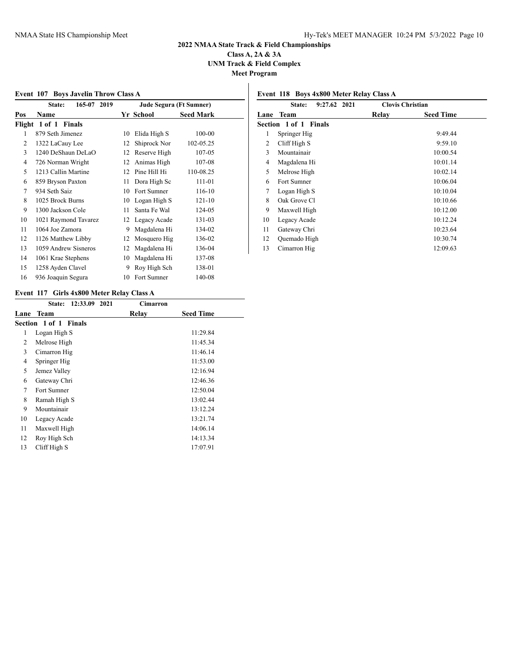**Class A, 2A & 3A UNM Track & Field Complex**

**Meet Program**

| <br>v |  | ۰. |  |
|-------|--|----|--|
|       |  |    |  |

## **Event 107 Boys Javelin Throw Class A State: 165-07 2019 Jude Segura (Ft Sumner) Pos Name Yr School Seed Mark Flight 1 of 1 Finals** 879 Seth Jimenez 10 Elida High S 100-00 1322 LaCauy Lee 12 Shiprock Nor 102-05.25 3 1240 DeShaun DeLaO 12 Reserve High 107-05 726 Norman Wright 12 Animas High 107-08 1213 Callin Martine 12 Pine Hill Hi 110-08.25 859 Bryson Paxton 11 Dora High Sc 111-01 934 Seth Saiz 10 Fort Sumner 116-10 1025 Brock Burns 10 Logan High S 121-10 1300 Jackson Cole 11 Santa Fe Wal 124-05 1021 Raymond Tavarez 12 Legacy Acade 131-03 1064 Joe Zamora 9 Magdalena Hi 134-02

 1126 Matthew Libby 12 Mosquero Hig 136-02 1059 Andrew Sisneros 12 Magdalena Hi 136-04 1061 Krae Stephens 10 Magdalena Hi 137-08 1258 Ayden Clavel 9 Roy High Sch 138-01 936 Joaquin Segura 10 Fort Sumner 140-08

| 9:27.62 2021<br><b>Clovis Christian</b><br><b>State:</b> |                       |       |                  |  |
|----------------------------------------------------------|-----------------------|-------|------------------|--|
|                                                          | Lane Team             | Relay | <b>Seed Time</b> |  |
|                                                          | Section 1 of 1 Finals |       |                  |  |
| 1                                                        | Springer Hig          |       | 9:49.44          |  |
| 2                                                        | Cliff High S          |       | 9:59.10          |  |
| 3                                                        | Mountainair           |       | 10:00.54         |  |
| 4                                                        | Magdalena Hi          |       | 10:01.14         |  |
| 5                                                        | Melrose High          |       | 10:02.14         |  |
| 6                                                        | Fort Sumner           |       | 10:06.04         |  |

 Logan High S 10:10.04 8 Oak Grove Cl 10:10.66 Maxwell High 10:12.00 Legacy Acade 10:12.24 Gateway Chri 10:23.64 Quemado High 10:30.74 13 Cimarron Hig 12:09.63

**Event 118 Boys 4x800 Meter Relay Class A**

#### **Event 117 Girls 4x800 Meter Relay Class A**

|      | 12:33.09<br>2021<br>State: | Cimarron |                  |
|------|----------------------------|----------|------------------|
| Lane | Team                       | Relav    | <b>Seed Time</b> |
|      | Section 1 of 1 Finals      |          |                  |
| 1    | Logan High S               |          | 11:29.84         |
| 2    | Melrose High               |          | 11:45.34         |
| 3    | Cimarron Hig               |          | 11:46.14         |
| 4    | Springer Hig               |          | 11:53.00         |
| 5    | Jemez Valley               |          | 12:16.94         |
| 6    | Gateway Chri               |          | 12:46.36         |
| 7    | Fort Sumner                |          | 12:50.04         |
| 8    | Ramah High S               |          | 13:02.44         |
| 9    | Mountainair                |          | 13:12.24         |
| 10   | Legacy Acade               |          | 13:21.74         |
| 11   | Maxwell High               |          | 14:06.14         |
| 12   | Roy High Sch               |          | 14:13.34         |
| 13   | Cliff High S               |          | 17:07.91         |
|      |                            |          |                  |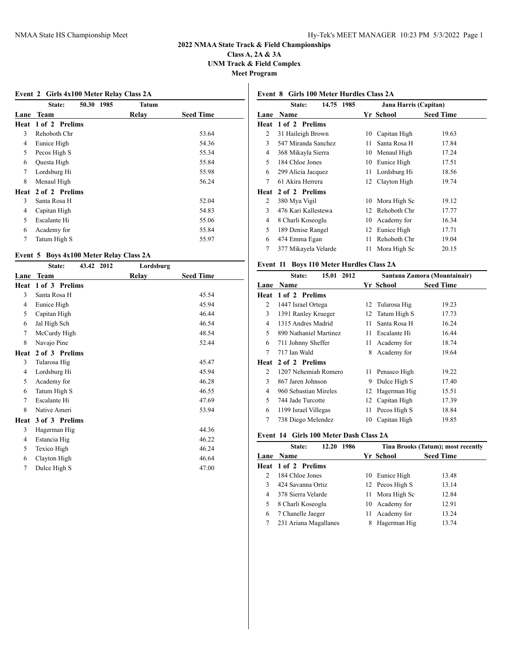**Event 2 Girls 4x100 Meter Relay Class 2A**

# **2022 NMAA State Track & Field Championships**

**Class A, 2A & 3A UNM Track & Field Complex Meet Program**

## **State: 50.30 1985 Tatum Lane Team Relay Seed Time Heat 1 of 2 Prelims** Rehoboth Chr 53.64 Eunice High 54.36 5 Pecos High S 55.34 Questa High 55.84 Lordsburg Hi 55.98 8 Menaul High 56.24 **Heat 2 of 2 Prelims** Santa Rosa H 52.04 Capitan High 54.83 Escalante Hi 55.06 Academy for 55.84 7 Tatum High S 55.97

#### **Event 5 Boys 4x100 Meter Relay Class 2A**

|      | State:         | 43.42 2012 | Lordsburg |                  |
|------|----------------|------------|-----------|------------------|
| Lane | <b>Team</b>    |            | Relay     | <b>Seed Time</b> |
| Heat | 1 of 3 Prelims |            |           |                  |
| 3    | Santa Rosa H   |            |           | 45.54            |
| 4    | Eunice High    |            |           | 45.94            |
| 5    | Capitan High   |            |           | 46.44            |
| 6    | Jal High Sch   |            |           | 46.54            |
| 7    | McCurdy High   |            |           | 48.54            |
| 8    | Navajo Pine    |            |           | 52.44            |
| Heat | 2 of 3 Prelims |            |           |                  |
| 3    | Tularosa Hig   |            |           | 45.47            |
| 4    | Lordsburg Hi   |            |           | 45.94            |
| 5    | Academy for    |            |           | 46.28            |
| 6    | Tatum High S   |            |           | 46.55            |
| 7    | Escalante Hi   |            |           | 47.69            |
| 8    | Native Ameri   |            |           | 53.94            |
| Heat | 3 of 3 Prelims |            |           |                  |
| 3    | Hagerman Hig   |            |           | 44.36            |
| 4    | Estancia Hig   |            |           | 46.22            |
| 5    | Texico High    |            |           | 46.24            |
| 6    | Clayton High   |            |           | 46.64            |
| 7    | Dulce High S   |            |           | 47.00            |
|      |                |            |           |                  |

## **Event 8 Girls 100 Meter Hurdles Class 2A**

|      | State:<br>14.75<br>1985 |    | Jana Harris (Capitan) |                  |  |
|------|-------------------------|----|-----------------------|------------------|--|
| Lane | <b>Name</b>             |    | Yr School             | <b>Seed Time</b> |  |
| Heat | 1 of 2 Prelims          |    |                       |                  |  |
| 2    | 31 Haileigh Brown       | 10 | Capitan High          | 19.63            |  |
| 3    | 547 Miranda Sanchez     | 11 | Santa Rosa H          | 17.84            |  |
| 4    | 368 Mikayla Sierra      | 10 | Menaul High           | 17.24            |  |
| 5    | 184 Chloe Jones         | 10 | Eunice High           | 17.51            |  |
| 6    | 299 Alicia Jacquez      | 11 | Lordsburg Hi          | 18.56            |  |
| 7    | 61 Akira Herrera        |    | 12 Clayton High       | 19.74            |  |
| Heat | 2 of 2 Prelims          |    |                       |                  |  |
| 2    | 380 Mya Vigil           | 10 | Mora High Sc          | 19.12            |  |
| 3    | 476 Kari Kallestewa     | 12 | Rehoboth Chr          | 17.77            |  |
| 4    | 8 Charli Koseoglu       | 10 | Academy for           | 16.34            |  |
| 5    | 189 Denise Rangel       | 12 | Eunice High           | 17.71            |  |
| 6    | 474 Emma Egan           | 11 | Rehoboth Chr          | 19.04            |  |
| 7    | 377 Mikayela Velarde    | 11 | Mora High Sc          | 20.15            |  |
|      |                         |    |                       |                  |  |

## **Event 11 Boys 110 Meter Hurdles Class 2A**

|                | 15.01 2012<br>State:   | Santana Zamora (Mountainair) |                 |                  |
|----------------|------------------------|------------------------------|-----------------|------------------|
| Lane           | <b>Name</b>            |                              | Yr School       | <b>Seed Time</b> |
| Heat           | 1 of 2 Prelims         |                              |                 |                  |
| 2              | 1447 Israel Ortega     | 12                           | Tularosa Hig    | 19.23            |
| 3              | 1391 Ranley Krueger    | 12                           | Tatum High S    | 17.73            |
| 4              | 1315 Andres Madrid     | 11                           | Santa Rosa H    | 16.24            |
| 5              | 890 Nathaniel Martinez | 11                           | Escalante Hi    | 16.44            |
| 6              | 711 Johnny Sheffer     | 11                           | Academy for     | 18.74            |
| 7              | 717 Ian Wald           | 8                            | Academy for     | 19.64            |
| Heat           | 2 of 2 Prelims         |                              |                 |                  |
| $\mathfrak{D}$ | 1207 Nehemiah Romero   |                              | 11 Penasco High | 19.22            |
| 3              | 867 Jaren Johnson      | 9                            | Dulce High S    | 17.40            |
| 4              | 960 Sebastian Mireles  | 12                           | Hagerman Hig    | 15.51            |
| 5              | 744 Jade Turcotte      | 12                           | Capitan High    | 17.39            |
| 6              | 1199 Israel Villegas   | 11                           | Pecos High S    | 18.84            |
| 7              | 738 Diego Melendez     | 10                           | Capitan High    | 19.85            |

#### **Event 14 Girls 100 Meter Dash Class 2A**

|   | 1986<br>State:<br>12.20 |    | Tina Brooks (Tatum); most recently |                  |  |
|---|-------------------------|----|------------------------------------|------------------|--|
|   | Lane Name               |    | Yr School                          | <b>Seed Time</b> |  |
|   | Heat 1 of 2 Prelims     |    |                                    |                  |  |
| 2 | 184 Chloe Jones         |    | 10 Eunice High                     | 13.48            |  |
| 3 | 424 Savanna Ortiz       |    | 12 Pecos High S                    | 13.14            |  |
| 4 | 378 Sierra Velarde      |    | 11 Mora High Sc                    | 12.84            |  |
| 5 | 8 Charli Koseoglu       |    | 10 Academy for                     | 12.91            |  |
| 6 | 7 Chanelle Jaeger       | 11 | Academy for                        | 13.24            |  |
|   | 231 Ariana Magallanes   |    | Hagerman Hig                       | 13.74            |  |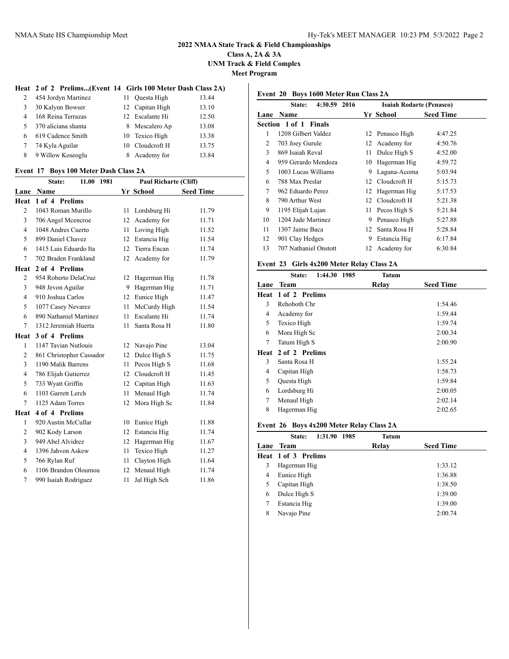**Class A, 2A & 3A UNM Track & Field Complex Meet Program**

#### **Heat 2 of 2 Prelims...(Event 14 Girls 100 Meter Dash Class 2A)**

| 2  | 454 Jordyn Martinez | 11 Ouesta High  | 13.44 |
|----|---------------------|-----------------|-------|
| 3  | 30 Kalynn Bowser    | 12 Capitan High | 13.10 |
| 4  | 168 Reina Terrazas  | 12 Escalante Hi | 12.50 |
| 5. | 370 aliciana shanta | 8 Mescalero Ap  | 13.08 |
| 6  | 619 Cadence Smith   | 10 Texico High  | 13.38 |
|    | 74 Kyla Aguilar     | 10 Cloudcroft H | 13.75 |
| 8  | 9 Willow Koseoglu   | 8 Academy for   | 13.84 |

#### **Event 17 Boys 100 Meter Dash Class 2A**

|                | State:<br>11.00<br>1981  | <b>Paul Richarte (Cliff)</b> |              |                  |  |
|----------------|--------------------------|------------------------------|--------------|------------------|--|
| Lane           | <b>Name</b>              |                              | Yr School    | <b>Seed Time</b> |  |
| Heat           | 1 of 4 Prelims           |                              |              |                  |  |
| $\overline{c}$ | 1043 Roman Murillo       | 11                           | Lordsburg Hi | 11.79            |  |
| 3              | 706 Angel Mcencroe       | 12                           | Academy for  | 11.71            |  |
| $\overline{4}$ | 1048 Andres Cuerto       | 11                           | Loving High  | 11.52            |  |
| 5              | 899 Daniel Chavez        | 12                           | Estancia Hig | 11.54            |  |
| 6              | 1415 Luis Eduardo Ita    | 12                           | Tierra Encan | 11.74            |  |
| $\tau$         | 702 Braden Frankland     | 12                           | Academy for  | 11.79            |  |
| Heat           | 2 of 4 Prelims           |                              |              |                  |  |
| $\overline{c}$ | 954 Roberto DelaCruz     | 12                           | Hagerman Hig | 11.78            |  |
| 3              | 948 Jevon Aguilar        | 9                            | Hagerman Hig | 11.71            |  |
| $\overline{4}$ | 910 Joshua Carlos        | 12                           | Eunice High  | 11.47            |  |
| 5              | 1077 Casey Nevarez       | 11                           | McCurdy High | 11.54            |  |
| 6              | 890 Nathaniel Martinez   | 11                           | Escalante Hi | 11.74            |  |
| $\tau$         | 1312 Jeremiah Huerta     | 11                           | Santa Rosa H | 11.80            |  |
| Heat           | 3 of 4 Prelims           |                              |              |                  |  |
| $\mathbf{1}$   | 1147 Tavian Nutlouis     | 12                           | Navajo Pine  | 13.04            |  |
| $\mathfrak{2}$ | 861 Christopher Cassador | 12                           | Dulce High S | 11.75            |  |
| 3              | 1190 Malik Barrens       | 11                           | Pecos High S | 11.68            |  |
| $\overline{4}$ | 786 Elijah Gutierrez     | 12                           | Cloudcroft H | 11.45            |  |
| 5              | 733 Wyatt Griffin        | 12                           | Capitan High | 11.63            |  |
| 6              | 1103 Garrett Lerch       | 11                           | Menaul High  | 11.74            |  |
| $\overline{7}$ | 1125 Adam Torres         | 12                           | Mora High Sc | 11.84            |  |
| Heat           | 4 of 4 Prelims           |                              |              |                  |  |
| 1              | 920 Austin McCullar      | 10                           | Eunice High  | 11.88            |  |
| $\mathfrak{2}$ | 902 Kody Larson          | 12                           | Estancia Hig | 11.74            |  |
| 3              | 949 Abel Alvidrez        | 12                           | Hagerman Hig | 11.67            |  |
| $\overline{4}$ | 1396 Jahvon Askew        | 11                           | Texico High  | 11.27            |  |
| 5              | 766 Rylan Ruf            | 11                           | Clayton High | 11.64            |  |
| 6              | 1106 Brandon Oloumou     | 12                           | Menaul High  | 11.74            |  |
| $\overline{7}$ | 990 Isaiah Rodriguez     | 11                           | Jal High Sch | 11.86            |  |

#### **Event 20 Boys 1600 Meter Run Class 2A**

|    | 4:30.59 2016<br><b>State:</b> |     | <b>Isaiah Rodarte (Penasco)</b> |                  |
|----|-------------------------------|-----|---------------------------------|------------------|
|    | <b>Lane Name</b>              |     | Yr School                       | <b>Seed Time</b> |
|    | <b>Section 1 of 1 Finals</b>  |     |                                 |                  |
| 1  | 1208 Gilbert Valdez           |     | 12 Penasco High                 | 4:47.25          |
| 2  | 703 Joey Gurule               | 12  | Academy for                     | 4:50.76          |
| 3  | 869 Isaiah Reval              | 11  | Dulce High S                    | 4:52.00          |
| 4  | 959 Gerardo Mendoza           | 10  | Hagerman Hig                    | 4:59.72          |
| 5  | 1003 Lucas Williams           | 9   | Laguna-Acoma                    | 5:03.94          |
| 6  | 788 Max Preslar               | 12  | Cloudcroft H                    | 5:15.73          |
| 7  | 962 Eduardo Perez             | 12  | Hagerman Hig                    | 5:17.53          |
| 8  | 790 Arthur West               | 12  | Cloudcroft H                    | 5:21.38          |
| 9  | 1195 Elijah Lujan             | 11- | Pecos High S                    | 5:21.84          |
| 10 | 1204 Jude Martinez            | 9   | Penasco High                    | 5:27.88          |
| 11 | 1307 Jaime Baca               | 12  | Santa Rosa H                    | 5:28.84          |
| 12 | 901 Clay Hedges               | 9   | Estancia Hig                    | 6:17.84          |
| 13 | 707 Nathaniel Onstott         | 12  | Academy for                     | 6:30.84          |
|    |                               |     |                                 |                  |

## **Event 23 Girls 4x200 Meter Relay Class 2A**

| 1:44.30<br>State: | <b>Tatum</b>   |                                                                                                                                                   |
|-------------------|----------------|---------------------------------------------------------------------------------------------------------------------------------------------------|
| Team              | Relay          |                                                                                                                                                   |
|                   |                |                                                                                                                                                   |
| Rehoboth Chr      |                |                                                                                                                                                   |
| Academy for       |                |                                                                                                                                                   |
| Texico High       |                |                                                                                                                                                   |
| Mora High Sc      |                |                                                                                                                                                   |
| Tatum High S      |                |                                                                                                                                                   |
| 2 of 2 Prelims    |                |                                                                                                                                                   |
| Santa Rosa H      |                |                                                                                                                                                   |
| Capitan High      |                |                                                                                                                                                   |
| Questa High       |                |                                                                                                                                                   |
| Lordsburg Hi      |                |                                                                                                                                                   |
| Menaul High       |                |                                                                                                                                                   |
| Hagerman Hig      |                |                                                                                                                                                   |
| Lane              | 1 of 2 Prelims | 1985<br><b>Seed Time</b><br>1:54.46<br>1:59.44<br>1:59.74<br>2:00.34<br>2:00.90<br>1:55.24<br>1:58.73<br>1:59.84<br>2:00.05<br>2:02.14<br>2:02.65 |

## **Event 26 Boys 4x200 Meter Relay Class 2A**

|      | 1:31.90 1985<br>State:     | Tatum |                  |
|------|----------------------------|-------|------------------|
| Lane | Team                       | Relay | <b>Seed Time</b> |
|      | <b>Heat 1 of 3 Prelims</b> |       |                  |
| 3    | Hagerman Hig               |       | 1:33.12          |
| 4    | Eunice High                |       | 1:36.88          |
|      | Capitan High               |       | 1:38.50          |
| 6    | Dulce High S               |       | 1:39.00          |
|      | Estancia Hig               |       | 1:39.00          |
| 8    | Navajo Pine                |       | 2:00.74          |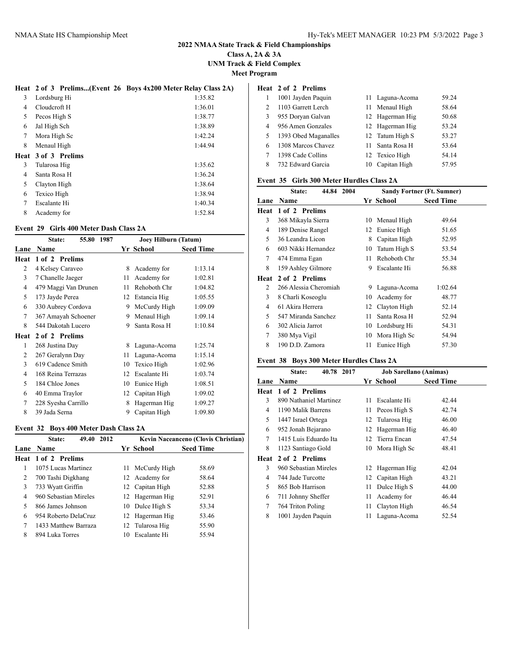**Class A, 2A & 3A UNM Track & Field Complex**

**Meet Program**

|                |                | Heat 2 of 3 Prelims(Event 26 Boys 4x200 Meter Relay Class 2A) |
|----------------|----------------|---------------------------------------------------------------|
| 3              | Lordsburg Hi   | 1:35.82                                                       |
| 4              | Cloudcroft H   | 1:36.01                                                       |
| 5              | Pecos High S   | 1:38.77                                                       |
| 6              | Jal High Sch   | 1:38.89                                                       |
| 7              | Mora High Sc   | 1:42.24                                                       |
| 8              | Menaul High    | 1:44.94                                                       |
| Heat           | 3 of 3 Prelims |                                                               |
| 3              | Tularosa Hig   | 1:35.62                                                       |
| 4              | Santa Rosa H   | 1:36.24                                                       |
| 5              | Clayton High   | 1:38.64                                                       |
| 6              | Texico High    | 1:38.94                                                       |
| $\overline{7}$ | Escalante Hi   | 1:40.34                                                       |
| 8              | Academy for    | 1:52.84                                                       |

#### **Event 29 Girls 400 Meter Dash Class 2A**

|      | 55.80<br>1987<br>State: | Joey Hilburn (Tatum) |              |                  |
|------|-------------------------|----------------------|--------------|------------------|
| Lane | Name                    |                      | Yr School    | <b>Seed Time</b> |
| Heat | 1 of 2 Prelims          |                      |              |                  |
| 2    | 4 Kelsey Caraveo        | 8                    | Academy for  | 1:13.14          |
| 3    | 7 Chanelle Jaeger       | 11                   | Academy for  | 1:02.81          |
| 4    | 479 Maggi Van Drunen    | 11                   | Rehoboth Chr | 1:04.82          |
| 5    | 173 Jayde Perea         | 12                   | Estancia Hig | 1:05.55          |
| 6    | 330 Aubrey Cordova      | 9                    | McCurdy High | 1:09.09          |
| 7    | 367 Amayah Schoener     | 9                    | Menaul High  | 1:09.14          |
| 8    | 544 Dakotah Lucero      | 9                    | Santa Rosa H | 1:10.84          |
| Heat | 2 of 2 Prelims          |                      |              |                  |
| 1    | 268 Justina Day         | 8                    | Laguna-Acoma | 1:25.74          |
| 2    | 267 Geralynn Day        | 11                   | Laguna-Acoma | 1:15.14          |
| 3    | 619 Cadence Smith       | 10                   | Texico High  | 1:02.96          |
| 4    | 168 Reina Terrazas      | 12                   | Escalante Hi | 1:03.74          |
| 5    | 184 Chloe Jones         | 10                   | Eunice High  | 1:08.51          |
| 6    | 40 Emma Traylor         | 12                   | Capitan High | 1:09.02          |
| 7    | 228 Syesha Carrillo     | 8                    | Hagerman Hig | 1:09.27          |
| 8    | 39 Jada Serna           | 9                    | Capitan High | 1:09.80          |

### **Event 32 Boys 400 Meter Dash Class 2A**

|                | 49.40<br>2012<br>State: |     |                 | Kevin Naceanceno (Clovis Christian) |
|----------------|-------------------------|-----|-----------------|-------------------------------------|
| Lane           | <b>Name</b>             |     | Yr School       | <b>Seed Time</b>                    |
|                | Heat 1 of 2 Prelims     |     |                 |                                     |
| L              | 1075 Lucas Martinez     | 11. | McCurdy High    | 58.69                               |
| $\overline{c}$ | 700 Tashi Digkhang      |     | 12 Academy for  | 58.64                               |
| 3              | 733 Wyatt Griffin       |     | 12 Capitan High | 52.88                               |
| 4              | 960 Sebastian Mireles   |     | 12 Hagerman Hig | 52.91                               |
| 5              | 866 James Johnson       |     | 10 Dulce High S | 53.34                               |
| 6              | 954 Roberto DelaCruz    |     | 12 Hagerman Hig | 53.46                               |
| 7              | 1433 Matthew Barraza    |     | 12 Tularosa Hig | 55.90                               |
| 8              | 894 Luka Torres         | 10  | Escalante Hi    | 55.94                               |

|                | Heat 2 of 2 Prelims  |                 |       |
|----------------|----------------------|-----------------|-------|
|                | 1001 Jayden Paquin   | 11 Laguna-Acoma | 59.24 |
| $\mathfrak{D}$ | 1103 Garrett Lerch   | 11 Menaul High  | 58.64 |
| 3              | 955 Doryan Galvan    | 12 Hagerman Hig | 50.68 |
| 4              | 956 Amen Gonzales    | 12 Hagerman Hig | 53.24 |
| 5              | 1393 Obed Maganalles | 12 Tatum High S | 53.27 |
| 6              | 1308 Marcos Chavez   | 11 Santa Rosa H | 53.64 |
|                | 1398 Cade Collins    | 12 Texico High  | 54.14 |
| 8              | 732 Edward Garcia    | 10 Capitan High | 57.95 |

#### **Event 35 Girls 300 Meter Hurdles Class 2A**

|      | 44.84 2004<br>State:  |    | <b>Sandy Fortner (Ft. Sumner)</b> |                  |  |
|------|-----------------------|----|-----------------------------------|------------------|--|
| Lane | Name                  |    | Yr School                         | <b>Seed Time</b> |  |
| Heat | 1 of 2 Prelims        |    |                                   |                  |  |
| 3    | 368 Mikayla Sierra    | 10 | Menaul High                       | 49.64            |  |
| 4    | 189 Denise Rangel     | 12 | Eunice High                       | 51.65            |  |
| 5    | 36 Leandra Licon      | 8  | Capitan High                      | 52.95            |  |
| 6    | 603 Nikki Hernandez   | 10 | Tatum High S                      | 53.54            |  |
| 7    | 474 Emma Egan         | 11 | Rehoboth Chr                      | 55.34            |  |
| 8    | 159 Ashley Gilmore    | 9  | Escalante Hi                      | 56.88            |  |
| Heat | 2 of 2 Prelims        |    |                                   |                  |  |
| 2    | 266 Alessia Cheromiah | 9. | Laguna-Acoma                      | 1:02.64          |  |
| 3    | 8 Charli Koseoglu     | 10 | Academy for                       | 48.77            |  |
| 4    | 61 Akira Herrera      | 12 | Clayton High                      | 52.14            |  |
| 5    | 547 Miranda Sanchez   | 11 | Santa Rosa H                      | 52.94            |  |
| 6    | 302 Alicia Jarrot     | 10 | Lordsburg Hi                      | 54.31            |  |
| 7    | 380 Mya Vigil         | 10 | Mora High Sc                      | 54.94            |  |
| 8    | 190 D.D. Zamora       | 11 | Eunice High                       | 57.30            |  |

### **Event 38 Boys 300 Meter Hurdles Class 2A**

|      | 40.78 2017<br>State:   |    | <b>Job Sarellano (Animas)</b> |                  |
|------|------------------------|----|-------------------------------|------------------|
| Lane | <b>Name</b>            |    | Yr School                     | <b>Seed Time</b> |
| Heat | 1 of 2 Prelims         |    |                               |                  |
| 3    | 890 Nathaniel Martinez | 11 | Escalante Hi                  | 42.44            |
| 4    | 1190 Malik Barrens     | 11 | Pecos High S                  | 42.74            |
| 5    | 1447 Israel Ortega     |    | 12 Tularosa Hig               | 46.00            |
| 6    | 952 Jonah Bejarano     | 12 | Hagerman Hig                  | 46.40            |
| 7    | 1415 Luis Eduardo Ita  |    | 12 Tierra Encan               | 47.54            |
| 8    | 1123 Santiago Gold     | 10 | Mora High Sc                  | 48.41            |
| Heat | 2 of 2 Prelims         |    |                               |                  |
| 3    | 960 Sebastian Mireles  |    | 12 Hagerman Hig               | 42.04            |
| 4    | 744 Jade Turcotte      |    | 12 Capitan High               | 43.21            |
| 5    | 865 Bob Harrison       | 11 | Dulce High S                  | 44.00            |
| 6    | 711 Johnny Sheffer     | 11 | Academy for                   | 46.44            |
| 7    | 764 Triton Poling      | 11 | Clayton High                  | 46.54            |
| 8    | 1001 Jayden Paquin     | 11 | Laguna-Acoma                  | 52.54            |
|      |                        |    |                               |                  |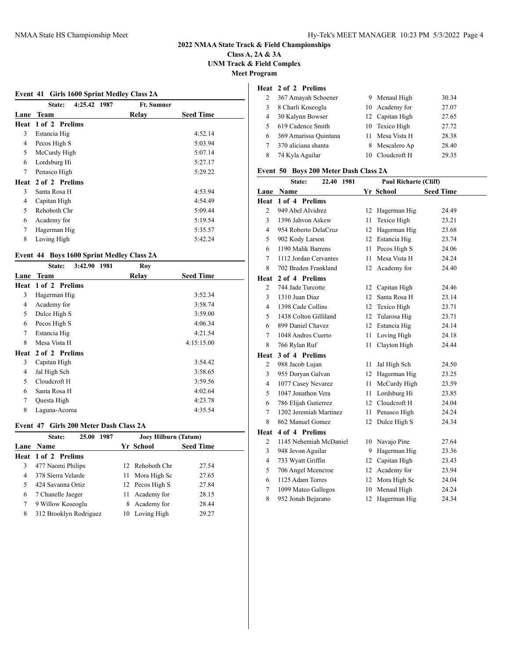## **Class A, 2A & 3A UNM Track & Field Complex Meet Program**

|  |  |  | <b>Event 41 Girls 1600 Sprint Medley Class 2A</b> |  |
|--|--|--|---------------------------------------------------|--|
|  |  |  |                                                   |  |

|      | 4:25.42 1987<br>State: | <b>Ft. Sumner</b> |                  |
|------|------------------------|-------------------|------------------|
| Lane | Team                   | Relav             | <b>Seed Time</b> |
| Heat | 1 of 2 Prelims         |                   |                  |
| 3    | Estancia Hig           |                   | 4:52.14          |
| 4    | Pecos High S           |                   | 5:03.94          |
| 5    | McCurdy High           |                   | 5:07.14          |
| 6    | Lordsburg Hi           |                   | 5:27.17          |
| 7    | Penasco High           |                   | 5:29.22          |
| Heat | 2 of 2 Prelims         |                   |                  |
| 3    | Santa Rosa H           |                   | 4:53.94          |
| 4    | Capitan High           |                   | 4:54.49          |
| 5    | Rehoboth Chr           |                   | 5:09.44          |
| 6    | Academy for            |                   | 5:19.54          |
| 7    | Hagerman Hig           |                   | 5:35.57          |
| 8    | Loving High            |                   | 5:42.24          |
|      |                        |                   |                  |

## **Event 44 Boys 1600 Sprint Medley Class 2A**

|        | 3:42.90 1981<br>State: | Roy   |                  |
|--------|------------------------|-------|------------------|
| Lane   | Team                   | Relay | <b>Seed Time</b> |
|        | Heat 1 of 2 Prelims    |       |                  |
| 3      | Hagerman Hig           |       | 3:52.34          |
| 4      | Academy for            |       | 3:58.74          |
| 5      | Dulce High S           |       | 3:59.00          |
| 6      | Pecos High S           |       | 4:06.34          |
| $\tau$ | Estancia Hig           |       | 4:21.54          |
| 8      | Mesa Vista H           |       | 4:15:15.00       |
| Heat   | 2 of 2 Prelims         |       |                  |
| 3      | Capitan High           |       | 3:54.42          |
| 4      | Jal High Sch           |       | 3:58.65          |
| 5      | Cloudcroft H           |       | 3:59.56          |
| 6      | Santa Rosa H           |       | 4:02.64          |
| 7      | Questa High            |       | 4:23.78          |
| 8      | Laguna-Acoma           |       | 4:35.54          |

## **Event 47 Girls 200 Meter Dash Class 2A**

|   | 25.00 1987<br>State:   | Joey Hilburn (Tatum) |                  |
|---|------------------------|----------------------|------------------|
|   | Lane Name              | Yr School            | <b>Seed Time</b> |
|   | Heat 1 of 2 Prelims    |                      |                  |
| 3 | 477 Naomi Philips      | Rehoboth Chr<br>12.  | 27.54            |
| 4 | 378 Sierra Velarde     | Mora High Sc<br>11   | 27.65            |
| 5 | 424 Savanna Ortiz      | 12 Pecos High S      | 27.84            |
| 6 | 7 Chanelle Jaeger      | Academy for<br>11    | 28.15            |
| 7 | 9 Willow Koseoglu      | Academy for<br>8     | 28.44            |
| 8 | 312 Brooklyn Rodriguez | 10 Loving High       | 29.27            |

#### **Heat 2 of 2 Prelims**

|    | 367 Amayah Schoener   | 9 Menaul High   | 30.34 |
|----|-----------------------|-----------------|-------|
| 3  | 8 Charli Koseoglu     | 10 Academy for  | 27.07 |
| 4  | 30 Kalynn Bowser      | 12 Capitan High | 27.65 |
| 5. | 619 Cadence Smith     | 10 Texico High  | 27.72 |
| 6  | 369 Amarissa Quintana | 11 Mesa Vista H | 28.38 |
|    | 370 aliciana shanta   | 8 Mescalero Ap  | 28.40 |
|    | 74 Kyla Aguilar       | 10 Clouderoft H | 29.35 |

## **Event 50 Boys 200 Meter Dash Class 2A**

|                | State:<br>22.40 1981   | Paul Richarte (Cliff) |                 |                  |  |
|----------------|------------------------|-----------------------|-----------------|------------------|--|
|                | Lane Name              |                       | Yr School       | <b>Seed Time</b> |  |
| Heat           | 1 of 4 Prelims         |                       |                 |                  |  |
| $\overline{c}$ | 949 Abel Alvidrez      | 12                    | Hagerman Hig    | 24.49            |  |
| 3              | 1396 Jahvon Askew      | 11                    | Texico High     | 23.21            |  |
| $\overline{4}$ | 954 Roberto DelaCruz   | 12                    | Hagerman Hig    | 23.68            |  |
| 5              | 902 Kody Larson        |                       | 12 Estancia Hig | 23.74            |  |
| 6              | 1190 Malik Barrens     | 11                    | Pecos High S    | 24.06            |  |
| $\overline{7}$ | 1112 Jordan Cervantes  | 11                    | Mesa Vista H    | 24.24            |  |
| 8              | 702 Braden Frankland   | 12                    | Academy for     | 24.40            |  |
| Heat           | 2 of 4 Prelims         |                       |                 |                  |  |
| $\overline{2}$ | 744 Jade Turcotte      | 12                    | Capitan High    | 24.46            |  |
| 3              | 1310 Juan Diaz         | 12                    | Santa Rosa H    | 23.14            |  |
| $\overline{4}$ | 1398 Cade Collins      |                       | 12 Texico High  | 23.71            |  |
| 5              | 1438 Colton Gilliland  | 12                    | Tularosa Hig    | 23.71            |  |
| 6              | 899 Daniel Chavez      | 12                    | Estancia Hig    | 24.14            |  |
| $\overline{7}$ | 1048 Andres Cuerto     | 11                    | Loving High     | 24.18            |  |
| 8              | 766 Rylan Ruf          | 11                    | Clayton High    | 24.44            |  |
| Heat           | 3 of 4 Prelims         |                       |                 |                  |  |
| $\overline{c}$ | 988 Jacob Lujan        | 11                    | Jal High Sch    | 24.50            |  |
| 3              | 955 Doryan Galvan      | 12                    | Hagerman Hig    | 23.25            |  |
| $\overline{4}$ | 1077 Casey Nevarez     | 11                    | McCurdy High    | 23.59            |  |
| 5              | 1047 Jonathon Vera     | 11                    | Lordsburg Hi    | 23.85            |  |
| 6              | 786 Elijah Gutierrez   |                       | 12 Cloudcroft H | 24.04            |  |
| 7              | 1202 Jeremiah Martinez | 11                    | Penasco High    | 24.24            |  |
| 8              | 862 Manuel Gomez       | 12                    | Dulce High S    | 24.34            |  |
| Heat           | 4 of 4 Prelims         |                       |                 |                  |  |
| $\overline{c}$ | 1145 Nehemiah McDaniel | 10                    | Navajo Pine     | 27.64            |  |
| 3              | 948 Jevon Aguilar      | 9                     | Hagerman Hig    | 23.36            |  |
| $\overline{4}$ | 733 Wyatt Griffin      | 12                    | Capitan High    | 23.43            |  |
| 5              | 706 Angel Mcencroe     | 12                    | Academy for     | 23.94            |  |
| 6              | 1125 Adam Torres       | 12                    | Mora High Sc    | 24.04            |  |
| 7              | 1099 Mateo Gallegos    | 10                    | Menaul High     | 24.24            |  |
| 8              | 952 Jonah Bejarano     | 12                    | Hagerman Hig    | 24.34            |  |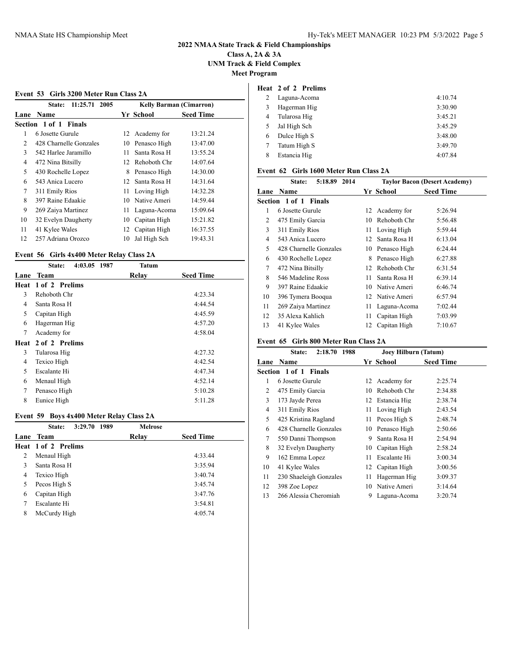## **Class A, 2A & 3A UNM Track & Field Complex Meet Program**

| 11:25.71 2005<br><b>State:</b> |    |                                |                                                                                              |  |
|--------------------------------|----|--------------------------------|----------------------------------------------------------------------------------------------|--|
|                                |    | <b>Kelly Barman (Cimarron)</b> |                                                                                              |  |
| <b>Lane Name</b>               |    |                                | <b>Seed Time</b>                                                                             |  |
| Section 1 of 1 Finals          |    |                                |                                                                                              |  |
| 6 Josette Gurule               |    |                                | 13:21.24                                                                                     |  |
| 428 Charnelle Gonzales         | 10 | Penasco High                   | 13:47.00                                                                                     |  |
| 542 Harlee Jaramillo           | 11 | Santa Rosa H                   | 13:55.24                                                                                     |  |
| 472 Nina Bitsilly              |    |                                | 14:07.64                                                                                     |  |
| 430 Rochelle Lopez             | 8  | Penasco High                   | 14:30.00                                                                                     |  |
| 543 Anica Lucero               |    | Santa Rosa H                   | 14:31.64                                                                                     |  |
| 311 Emily Rios                 |    | Loving High                    | 14:32.28                                                                                     |  |
| 397 Raine Edaakie              | 10 | Native Ameri                   | 14:59.44                                                                                     |  |
| 269 Zaiya Martinez             | 11 | Laguna-Acoma                   | 15:09.64                                                                                     |  |
| 32 Evelyn Daugherty            | 10 | Capitan High                   | 15:21.82                                                                                     |  |
| 41 Kylee Wales                 |    |                                | 16:37.55                                                                                     |  |
| 257 Adriana Orozco             | 10 | Jal High Sch                   | 19:43.31                                                                                     |  |
|                                |    |                                | Yr School<br>12 Academy for<br>12 Rehoboth Chr<br>12 <sup>12</sup><br>11-<br>12 Capitan High |  |

## **Event 56 Girls 4x400 Meter Relay Class 2A**

| 4:03.05 1987<br>State: | Tatum |                  |
|------------------------|-------|------------------|
| Team                   | Relav | <b>Seed Time</b> |
| 1 of 2 Prelims         |       |                  |
| Rehoboth Chr           |       | 4:23.34          |
| Santa Rosa H           |       | 4:44.54          |
| Capitan High           |       | 4:45.59          |
| Hagerman Hig           |       | 4:57.20          |
| Academy for            |       | 4:58.04          |
| 2 of 2 Prelims<br>Heat |       |                  |
| Tularosa Hig           |       | 4:27.32          |
| Texico High            |       | 4:42.54          |
| Escalante Hi           |       | 4:47.34          |
| Menaul High            |       | 4:52.14          |
| Penasco High           |       | 5:10.28          |
| Eunice High            |       | 5:11.28          |
|                        |       |                  |

## **Event 59 Boys 4x400 Meter Relay Class 2A**

|      | 3:29.70<br>1989<br>State: | <b>Melrose</b> |                  |
|------|---------------------------|----------------|------------------|
| Lane | Team                      | Relav          | <b>Seed Time</b> |
|      | Heat 1 of 2 Prelims       |                |                  |
| 2    | Menaul High               |                | 4:33.44          |
| 3    | Santa Rosa H              |                | 3:35.94          |
| 4    | Texico High               |                | 3:40.74          |
| 5    | Pecos High S              |                | 3:45.74          |
| 6    | Capitan High              |                | 3:47.76          |
| 7    | Escalante Hi              |                | 3:54.81          |
| 8    | McCurdy High              |                | 4:05.74          |
|      |                           |                |                  |

## **Heat 2 of 2 Prelims**

|   | Laguna-Acoma | 4:10.74 |
|---|--------------|---------|
| 3 | Hagerman Hig | 3:30.90 |
| 4 | Tularosa Hig | 3:45.21 |
| 5 | Jal High Sch | 3:45.29 |
| 6 | Dulce High S | 3:48.00 |
|   | Tatum High S | 3:49.70 |
| 8 | Estancia Hig | 4:07.84 |

## **Event 62 Girls 1600 Meter Run Class 2A**

|      | 5:18.89<br>2014<br>State: |     |                 | <b>Taylor Bacon (Desert Academy)</b> |
|------|---------------------------|-----|-----------------|--------------------------------------|
| Lane | <b>Name</b>               |     | Yr School       | <b>Seed Time</b>                     |
|      | Section 1 of 1 Finals     |     |                 |                                      |
| 1    | 6 Josette Gurule          |     | 12 Academy for  | 5:26.94                              |
| 2    | 475 Emily Garcia          | 10  | Rehoboth Chr    | 5:56.48                              |
| 3    | 311 Emily Rios            | 11. | Loving High     | 5:59.44                              |
| 4    | 543 Anica Lucero          | 12  | Santa Rosa H    | 6:13.04                              |
| 5    | 428 Charnelle Gonzales    | 10  | Penasco High    | 6:24.44                              |
| 6    | 430 Rochelle Lopez        | 8   | Penasco High    | 6:27.88                              |
| 7    | 472 Nina Bitsilly         | 12  | Rehoboth Chr    | 6:31.54                              |
| 8    | 546 Madeline Ross         | 11  | Santa Rosa H    | 6:39.14                              |
| 9    | 397 Raine Edaakie         | 10  | Native Ameri    | 6:46.74                              |
| 10   | 396 Tymera Booqua         |     | 12 Native Ameri | 6:57.94                              |
| 11   | 269 Zaiya Martinez        | 11  | Laguna-Acoma    | 7:02.44                              |
| 12   | 35 Alexa Kahlich          | 11  | Capitan High    | 7:03.99                              |
| 13   | 41 Kylee Wales            | 12  | Capitan High    | 7:10.67                              |

## **Event 65 Girls 800 Meter Run Class 2A**

|      | 2:18.70<br>1988<br>State: |    | Joey Hilburn (Tatum) |                  |  |
|------|---------------------------|----|----------------------|------------------|--|
| Lane | <b>Name</b>               |    | Yr School            | <b>Seed Time</b> |  |
|      | Section 1 of 1 Finals     |    |                      |                  |  |
| 1    | 6 Josette Gurule          |    | 12 Academy for       | 2:25.74          |  |
| 2    | 475 Emily Garcia          | 10 | Rehoboth Chr         | 2:34.88          |  |
| 3    | 173 Jayde Perea           |    | 12 Estancia Hig      | 2:38.74          |  |
| 4    | 311 Emily Rios            | 11 | Loving High          | 2:43.54          |  |
| 5    | 425 Kristina Ragland      | 11 | Pecos High S         | 2:48.74          |  |
| 6    | 428 Charnelle Gonzales    |    | 10 Penasco High      | 2:50.66          |  |
| 7    | 550 Danni Thompson        | 9  | Santa Rosa H         | 2:54.94          |  |
| 8    | 32 Evelyn Daugherty       | 10 | Capitan High         | 2:58.24          |  |
| 9    | 162 Emma Lopez            | 11 | Escalante Hi         | 3:00.34          |  |
| 10   | 41 Kylee Wales            |    | 12 Capitan High      | 3:00.56          |  |
| 11   | 230 Shaeleigh Gonzales    | 11 | Hagerman Hig         | 3:09.37          |  |
| 12   | 398 Zoe Lopez             | 10 | Native Ameri         | 3:14.64          |  |
| 13   | 266 Alessia Cheromiah     | 9  | Laguna-Acoma         | 3:20.74          |  |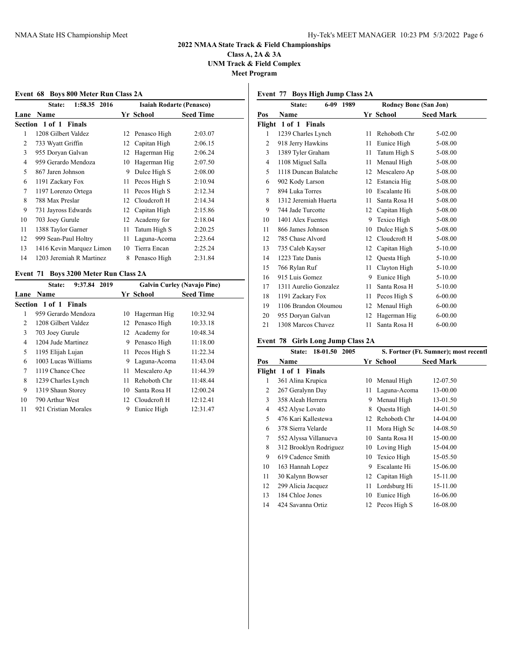**Class A, 2A & 3A UNM Track & Field Complex Meet Program**

**Event 68 Boys 800 Meter Run Class 2A**

|      | 1:58.35 2016<br>State:   |    | <b>Isaiah Rodarte (Penasco)</b> |                  |
|------|--------------------------|----|---------------------------------|------------------|
| Lane | <b>Name</b>              |    | Yr School                       | <b>Seed Time</b> |
|      | Section 1 of 1 Finals    |    |                                 |                  |
| 1    | 1208 Gilbert Valdez      |    | 12 Penasco High                 | 2:03.07          |
| 2    | 733 Wyatt Griffin        | 12 | Capitan High                    | 2:06.15          |
| 3    | 955 Doryan Galvan        | 12 | Hagerman Hig                    | 2:06.24          |
| 4    | 959 Gerardo Mendoza      | 10 | Hagerman Hig                    | 2:07.50          |
| 5    | 867 Jaren Johnson        | 9  | Dulce High S                    | 2:08.00          |
| 6    | 1191 Zackary Fox         | 11 | Pecos High S                    | 2:10.94          |
| 7    | 1197 Lorenzo Ortega      | 11 | Pecos High S                    | 2:12.34          |
| 8    | 788 Max Preslar          | 12 | Cloudcroft H                    | 2:14.34          |
| 9    | 731 Jayross Edwards      |    | 12 Capitan High                 | 2:15.86          |
| 10   | 703 Joey Gurule          | 12 | Academy for                     | 2:18.04          |
| 11   | 1388 Taylor Garner       | 11 | Tatum High S                    | 2:20.25          |
| 12   | 999 Sean-Paul Holtry     | 11 | Laguna-Acoma                    | 2:23.64          |
| 13   | 1416 Kevin Marquez Limon | 10 | Tierra Encan                    | 2:25.24          |
| 14   | 1203 Jeremiah R Martinez | 8  | Penasco High                    | 2:31.84          |
|      |                          |    |                                 |                  |

## **Event 71 Boys 3200 Meter Run Class 2A**

|      | 2019<br>9:37.84<br>State: |    |                 | <b>Galvin Curley (Navajo Pine)</b> |
|------|---------------------------|----|-----------------|------------------------------------|
| Lane | <b>Name</b>               |    | Yr School       | <b>Seed Time</b>                   |
|      | Section 1 of 1 Finals     |    |                 |                                    |
| 1    | 959 Gerardo Mendoza       | 10 | Hagerman Hig    | 10:32.94                           |
| 2    | 1208 Gilbert Valdez       |    | 12 Penasco High | 10:33.18                           |
| 3    | 703 Joey Gurule           | 12 | Academy for     | 10:48.34                           |
| 4    | 1204 Jude Martinez        | 9  | Penasco High    | 11:18.00                           |
| 5    | 1195 Elijah Lujan         | 11 | Pecos High S    | 11:22.34                           |
| 6    | 1003 Lucas Williams       | 9  | Laguna-Acoma    | 11:43.04                           |
| 7    | 1119 Chance Chee          | 11 | Mescalero Ap    | 11:44.39                           |
| 8    | 1239 Charles Lynch        | 11 | Rehoboth Chr    | 11:48.44                           |
| 9    | 1319 Shaun Storey         | 10 | Santa Rosa H    | 12:00.24                           |
| 10   | 790 Arthur West           |    | 12 Clouderoft H | 12:12.41                           |
| 11   | 921 Cristian Morales      | 9  | Eunice High     | 12:31.47                           |

## **Event 77 Boys High Jump Class 2A**

|                | $6 - 09$<br>State:             | 1989 |    | <b>Rodney Bone (San Jon)</b> |                  |
|----------------|--------------------------------|------|----|------------------------------|------------------|
| Pos            | Name                           |      |    | Yr School                    | <b>Seed Mark</b> |
|                | Flight 1 of 1<br><b>Finals</b> |      |    |                              |                  |
| 1              | 1239 Charles Lynch             |      | 11 | Rehoboth Chr                 | $5-02.00$        |
| $\overline{2}$ | 918 Jerry Hawkins              |      | 11 | Eunice High                  | 5-08.00          |
| 3              | 1389 Tyler Graham              |      | 11 | Tatum High S                 | 5-08.00          |
| $\overline{4}$ | 1108 Miguel Salla              |      | 11 | Menaul High                  | 5-08.00          |
| 5              | 1118 Duncan Balatche           |      | 12 | Mescalero Ap                 | 5-08.00          |
| 6              | 902 Kody Larson                |      | 12 | Estancia Hig                 | 5-08.00          |
| 7              | 894 Luka Torres                |      | 10 | Escalante Hi                 | 5-08.00          |
| 8              | 1312 Jeremiah Huerta           |      | 11 | Santa Rosa H                 | 5-08.00          |
| 9              | 744 Jade Turcotte              |      | 12 | Capitan High                 | 5-08.00          |
| 10             | 1401 Alex Fuentes              |      | 9  | Texico High                  | 5-08.00          |
| 11             | 866 James Johnson              |      | 10 | Dulce High S                 | 5-08.00          |
| 12             | 785 Chase Alvord               |      | 12 | Cloudcroft H                 | 5-08.00          |
| 13             | 735 Caleb Kayser               |      | 12 | Capitan High                 | 5-10.00          |
| 14             | 1223 Tate Danis                |      | 12 | Questa High                  | 5-10.00          |
| 15             | 766 Rylan Ruf                  |      | 11 | Clayton High                 | 5-10.00          |
| 16             | 915 Luis Gomez                 |      | 9  | Eunice High                  | 5-10.00          |
| 17             | 1311 Aurelio Gonzalez          |      | 11 | Santa Rosa H                 | 5-10.00          |
| 18             | 1191 Zackary Fox               |      | 11 | Pecos High S                 | $6 - 00.00$      |
| 19             | 1106 Brandon Oloumou           |      | 12 | Menaul High                  | $6 - 00.00$      |
| 20             | 955 Doryan Galvan              |      | 12 | Hagerman Hig                 | $6 - 00.00$      |
| 21             | 1308 Marcos Chavez             |      | 11 | Santa Rosa H                 | $6 - 00.00$      |

## **Event 78 Girls Long Jump Class 2A**

|     | 18-01.50<br>2005<br>State: | S. Fortner (Ft. Sumner); most recentl |              |                  |
|-----|----------------------------|---------------------------------------|--------------|------------------|
| Pos | Name                       |                                       | Yr School    | <b>Seed Mark</b> |
|     | Flight 1 of 1 Finals       |                                       |              |                  |
| 1   | 361 Alina Krupica          | 10                                    | Menaul High  | 12-07.50         |
| 2   | 267 Geralynn Day           | 11                                    | Laguna-Acoma | 13-00.00         |
| 3   | 358 Aleah Herrera          | 9                                     | Menaul High  | 13-01.50         |
| 4   | 452 Alyse Lovato           | 8                                     | Questa High  | 14-01.50         |
| 5   | 476 Kari Kallestewa        | 12                                    | Rehoboth Chr | 14-04.00         |
| 6   | 378 Sierra Velarde         | 11                                    | Mora High Sc | 14-08.50         |
| 7   | 552 Alyssa Villanueva      | 10                                    | Santa Rosa H | 15-00.00         |
| 8   | 312 Brooklyn Rodriguez     | 10                                    | Loving High  | 15-04.00         |
| 9   | 619 Cadence Smith          | 10                                    | Texico High  | 15-05.50         |
| 10  | 163 Hannah Lopez           | 9                                     | Escalante Hi | 15-06.00         |
| 11  | 30 Kalynn Bowser           | 12                                    | Capitan High | 15-11.00         |
| 12  | 299 Alicia Jacquez         | 11                                    | Lordsburg Hi | 15-11.00         |
| 13  | 184 Chloe Jones            | 10                                    | Eunice High  | 16-06.00         |
| 14  | 424 Savanna Ortiz          | 12                                    | Pecos High S | 16-08.00         |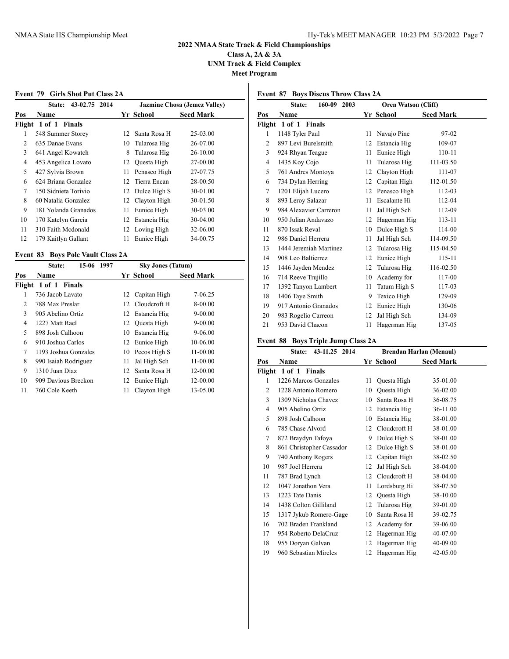**Class A, 2A & 3A UNM Track & Field Complex**

**Meet Program**

## **Event 79 Girls Shot Put Class 2A**

|     | 43-02.75<br>2014<br>State: |    |              | <b>Jazmine Chosa (Jemez Valley)</b> |
|-----|----------------------------|----|--------------|-------------------------------------|
| Pos | Name                       |    | Yr School    | <b>Seed Mark</b>                    |
|     | Flight 1 of 1 Finals       |    |              |                                     |
| 1   | 548 Summer Storey          | 12 | Santa Rosa H | 25-03.00                            |
| 2   | 635 Danae Evans            | 10 | Tularosa Hig | 26-07.00                            |
| 3   | 641 Angel Kowatch          | 8  | Tularosa Hig | 26-10.00                            |
| 4   | 453 Angelica Lovato        | 12 | Questa High  | 27-00.00                            |
| 5   | 427 Sylvia Brown           | 11 | Penasco High | 27-07.75                            |
| 6   | 624 Briana Gonzalez        | 12 | Tierra Encan | 28-00.50                            |
| 7   | 150 Sidnieta Torivio       | 12 | Dulce High S | 30-01.00                            |
| 8   | 60 Natalia Gonzalez        | 12 | Clayton High | 30-01.50                            |
| 9   | 181 Yolanda Granados       | 11 | Eunice High  | 30-03.00                            |
| 10  | 170 Katelyn Garcia         | 12 | Estancia Hig | 30-04.00                            |
| 11  | 310 Faith Medonald         | 12 | Loving High  | 32-06.00                            |
| 12  | 179 Kaitlyn Gallant        | 11 | Eunice High  | 34-00.75                            |
|     |                            |    |              |                                     |

## **Event 83 Boys Pole Vault Class 2A**

|     | 15-06 1997<br>State: |           | <b>Sky Jones (Tatum)</b>        |  |  |
|-----|----------------------|-----------|---------------------------------|--|--|
| Pos | <b>Name</b>          | Yr School | <b>Seed Mark</b>                |  |  |
|     | Flight 1 of 1 Finals |           |                                 |  |  |
| 1   | 736 Jacob Lavato     | 12        | $7 - 06.25$<br>Capitan High     |  |  |
| 2   | 788 Max Preslar      | 12        | $8 - 00.00$<br>Cloudcroft H     |  |  |
| 3   | 905 Abelino Ortiz    | 12.       | $9 - 00.00$<br>Estancia Hig     |  |  |
| 4   | 1227 Matt Rael       | 12        | $9 - 00.00$<br>Questa High      |  |  |
| 5   | 898 Josh Calhoon     | 10        | $9 - 06.00$<br>Estancia Hig     |  |  |
| 6   | 910 Joshua Carlos    |           | 12 Eunice High<br>10-06.00      |  |  |
| 7   | 1193 Joshua Gonzales |           | $11 - 00.00$<br>10 Pecos High S |  |  |
| 8   | 990 Isaiah Rodriguez | 11        | $11 - 00.00$<br>Jal High Sch    |  |  |
| 9   | 1310 Juan Diaz       | 12        | Santa Rosa H<br>12-00.00        |  |  |
| 10  | 909 Davious Breckon  | 12        | 12-00.00<br>Eunice High         |  |  |
| 11  | 760 Cole Keeth       | 11        | 13-05.00<br>Clayton High        |  |  |

## **Event 87 Boys Discus Throw Class 2A**

|                | 160-09<br>2003<br>State: | <b>Oren Watson (Cliff)</b> |              |                  |  |
|----------------|--------------------------|----------------------------|--------------|------------------|--|
| <u>Pos</u>     | <b>Name</b>              |                            | Yr School    | <b>Seed Mark</b> |  |
|                | Flight 1 of 1 Finals     |                            |              |                  |  |
| 1              | 1148 Tyler Paul          | 11                         | Navajo Pine  | 97-02            |  |
| $\overline{c}$ | 897 Levi Burelsmith      | 12                         | Estancia Hig | 109-07           |  |
| 3              | 924 Rhyan Teague         | 11                         | Eunice High  | 110-11           |  |
| $\overline{4}$ | 1435 Koy Cojo            | 11                         | Tularosa Hig | 111-03.50        |  |
| 5              | 761 Andres Montoya       | 12                         | Clayton High | 111-07           |  |
| 6              | 734 Dylan Herring        | 12                         | Capitan High | 112-01.50        |  |
| 7              | 1201 Elijah Lucero       | 12                         | Penasco High | 112-03           |  |
| 8              | 893 Leroy Salazar        | 11                         | Escalante Hi | 112-04           |  |
| 9              | 984 Alexavier Carreron   | 11                         | Jal High Sch | 112-09           |  |
| 10             | 950 Julian Andavazo      | 12                         | Hagerman Hig | $113 - 11$       |  |
| 11             | 870 Issak Reval          | 10                         | Dulce High S | 114-00           |  |
| 12             | 986 Daniel Herrera       | 11                         | Jal High Sch | 114-09.50        |  |
| 13             | 1444 Jeremiah Martinez   | 12                         | Tularosa Hig | 115-04.50        |  |
| 14             | 908 Leo Baltierrez       | 12                         | Eunice High  | 115-11           |  |
| 15             | 1446 Jayden Mendez       | 12                         | Tularosa Hig | 116-02.50        |  |
| 16             | 714 Reeve Trujillo       | 10                         | Academy for  | 117-00           |  |
| 17             | 1392 Tanyon Lambert      | 11                         | Tatum High S | 117-03           |  |
| 18             | 1406 Taye Smith          | 9                          | Texico High  | 129-09           |  |
| 19             | 917 Antonio Granados     | 12                         | Eunice High  | 130-06           |  |
| 20             | 983 Rogelio Carreon      | 12                         | Jal High Sch | 134-09           |  |
| 21             | 953 David Chacon         | 11                         | Hagerman Hig | 137-05           |  |

## **Event 88 Boys Triple Jump Class 2A**

|     | State:<br>43-11.25 2014  | <b>Brendan Harlan (Menaul)</b> |              |                  |
|-----|--------------------------|--------------------------------|--------------|------------------|
| Pos | Name                     |                                | Yr School    | <b>Seed Mark</b> |
|     | Flight 1 of 1 Finals     |                                |              |                  |
| 1   | 1226 Marcos Gonzales     | 11                             | Questa High  | 35-01.00         |
| 2   | 1228 Antonio Romero      | 10                             | Questa High  | 36-02.00         |
| 3   | 1309 Nicholas Chavez     | 10                             | Santa Rosa H | 36-08.75         |
| 4   | 905 Abelino Ortiz        | 12                             | Estancia Hig | 36-11.00         |
| 5   | 898 Josh Calhoon         | 10                             | Estancia Hig | 38-01.00         |
| 6   | 785 Chase Alvord         | 12                             | Cloudcroft H | 38-01.00         |
| 7   | 872 Braydyn Tafoya       | 9                              | Dulce High S | 38-01.00         |
| 8   | 861 Christopher Cassador | 12                             | Dulce High S | 38-01.00         |
| 9   | 740 Anthony Rogers       | 12                             | Capitan High | 38-02.50         |
| 10  | 987 Joel Herrera         | 12                             | Jal High Sch | 38-04.00         |
| 11  | 787 Brad Lynch           | 12                             | Cloudcroft H | 38-04.00         |
| 12  | 1047 Jonathon Vera       | 11                             | Lordsburg Hi | 38-07.50         |
| 13  | 1223 Tate Danis          | 12                             | Questa High  | 38-10.00         |
| 14  | 1438 Colton Gilliland    | 12                             | Tularosa Hig | 39-01.00         |
| 15  | 1317 Jykub Romero-Gage   | 10                             | Santa Rosa H | 39-02.75         |
| 16  | 702 Braden Frankland     | 12                             | Academy for  | 39-06.00         |
| 17  | 954 Roberto DelaCruz     | 12                             | Hagerman Hig | 40-07.00         |
| 18  | 955 Doryan Galvan        | 12                             | Hagerman Hig | 40-09.00         |
| 19  | 960 Sebastian Mireles    | 12                             | Hagerman Hig | 42-05.00         |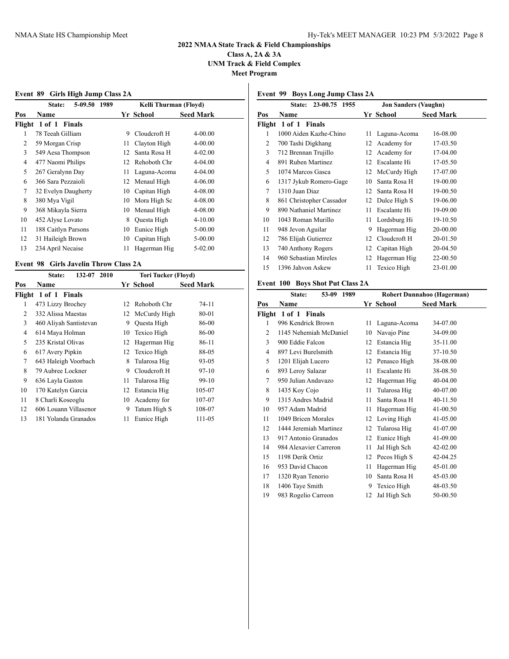**Class A, 2A & 3A UNM Track & Field Complex Meet Program**

**Event 89 Girls High Jump Class 2A**

|     | 5-09.50<br>1989<br>State: |    | Kelli Thurman (Floyd) |                  |  |
|-----|---------------------------|----|-----------------------|------------------|--|
| Pos | <b>Name</b>               |    | Yr School             | <b>Seed Mark</b> |  |
|     | Flight 1 of 1<br>Finals   |    |                       |                  |  |
|     | 78 Teeah Gilliam          | 9  | Cloudcroft H          | $4 - 00.00$      |  |
| 2   | 59 Morgan Crisp           | 11 | Clayton High          | $4 - 00.00$      |  |
| 3   | 549 Aesa Thompson         | 12 | Santa Rosa H          | $4 - 02.00$      |  |
| 4   | 477 Naomi Philips         | 12 | Rehoboth Chr          | $4 - 04.00$      |  |
| 5   | 267 Geralynn Day          | 11 | Laguna-Acoma          | $4 - 04.00$      |  |
| 6   | 366 Sara Pezzaioli        | 12 | Menaul High           | $4 - 06.00$      |  |
| 7   | 32 Evelyn Daugherty       | 10 | Capitan High          | $4 - 08.00$      |  |
| 8   | 380 Mya Vigil             | 10 | Mora High Sc          | $4 - 08.00$      |  |
| 9   | 368 Mikayla Sierra        | 10 | Menaul High           | $4 - 08.00$      |  |
| 10  | 452 Alyse Lovato          | 8  | Questa High           | $4 - 10.00$      |  |
| 11  | 188 Caitlyn Parsons       | 10 | Eunice High           | 5-00.00          |  |
| 12  | 31 Haileigh Brown         | 10 | Capitan High          | 5-00.00          |  |
| 13  | 234 April Necaise         | 11 | Hagerman Hig          | 5-02.00          |  |
|     |                           |    |                       |                  |  |

### **Event 98 Girls Javelin Throw Class 2A**

|                | <b>Tori Tucker (Floyd)</b><br>132-07 2010<br>State: |    |                 |                  |  |  |
|----------------|-----------------------------------------------------|----|-----------------|------------------|--|--|
| Pos            | Name                                                |    | Yr School       | <b>Seed Mark</b> |  |  |
|                | Flight 1 of 1 Finals                                |    |                 |                  |  |  |
| 1              | 473 Lizzy Brochey                                   | 12 | Rehoboth Chr    | 74-11            |  |  |
| $\overline{c}$ | 332 Alissa Maestas                                  |    | 12 McCurdy High | 80-01            |  |  |
| 3              | 460 Aliyah Santistevan                              | 9  | Questa High     | 86-00            |  |  |
| 4              | 614 Maya Holman                                     | 10 | Texico High     | 86-00            |  |  |
| 5              | 235 Kristal Olivas                                  | 12 | Hagerman Hig    | 86-11            |  |  |
| 6              | 617 Avery Pipkin                                    |    | 12 Texico High  | 88-05            |  |  |
| 7              | 643 Haleigh Voorbach                                | 8  | Tularosa Hig    | 93-05            |  |  |
| 8              | 79 Aubree Lockner                                   | 9  | Cloudcroft H    | $97-10$          |  |  |
| 9              | 636 Layla Gaston                                    | 11 | Tularosa Hig    | 99-10            |  |  |
| 10             | 170 Katelyn Garcia                                  | 12 | Estancia Hig    | 105-07           |  |  |
| 11             | 8 Charli Koseoglu                                   | 10 | Academy for     | 107-07           |  |  |
| 12             | 606 Louann Villasenor                               | 9  | Tatum High S    | 108-07           |  |  |
| 13             | 181 Yolanda Granados                                | 11 | Eunice High     | 111-05           |  |  |

## **Event 99 Boys Long Jump Class 2A**

| 23-00.75 1955<br><b>State:</b> | <b>Jon Sanders (Vaughn)</b> |              |                  |
|--------------------------------|-----------------------------|--------------|------------------|
| Name                           |                             |              | <b>Seed Mark</b> |
| Flight<br>1 of 1 Finals        |                             |              |                  |
| 1000 Aiden Kazhe-Chino         | 11                          | Laguna-Acoma | 16-08.00         |
| 700 Tashi Digkhang             | 12                          | Academy for  | 17-03.50         |
| 712 Brennan Trujillo           | 12                          | Academy for  | 17-04.00         |
| 891 Ruben Martinez             | 12                          | Escalante Hi | 17-05.50         |
| 1074 Marcos Gasca              | 12                          | McCurdy High | 17-07.00         |
| 1317 Jykub Romero-Gage         | 10                          | Santa Rosa H | 19-00.00         |
| 1310 Juan Diaz                 | 12                          | Santa Rosa H | 19-00.50         |
| 861 Christopher Cassador       | 12                          | Dulce High S | 19-06.00         |
| 890 Nathaniel Martinez         | 11                          | Escalante Hi | 19-09.00         |
| 1043 Roman Murillo             | 11                          | Lordsburg Hi | 19-10.50         |
| 948 Jevon Aguilar              | 9                           | Hagerman Hig | 20-00.00         |
| 786 Elijah Gutierrez           | 12                          | Cloudcroft H | 20-01.50         |
| 740 Anthony Rogers             | 12                          | Capitan High | 20-04.50         |
| 960 Sebastian Mireles          | 12                          | Hagerman Hig | 22-00.50         |
| 1396 Jahvon Askew              | 11                          | Texico High  | 23-01.00         |
|                                |                             |              | Yr School        |

## **Event 100 Boys Shot Put Class 2A**

|                | 53-09 1989<br>State:   |    | Robert Dunnahoo (Hagerman) |                  |  |
|----------------|------------------------|----|----------------------------|------------------|--|
| Pos            | Name                   |    | Yr School                  | <b>Seed Mark</b> |  |
|                | Flight 1 of 1 Finals   |    |                            |                  |  |
| 1              | 996 Kendrick Brown     | 11 | Laguna-Acoma               | 34-07.00         |  |
| $\overline{2}$ | 1145 Nehemiah McDaniel | 10 | Navajo Pine                | 34-09.00         |  |
| 3              | 900 Eddie Falcon       | 12 | Estancia Hig               | 35-11.00         |  |
| 4              | 897 Levi Burelsmith    | 12 | Estancia Hig               | 37-10.50         |  |
| 5              | 1201 Elijah Lucero     | 12 | Penasco High               | 38-08.00         |  |
| 6              | 893 Leroy Salazar      | 11 | Escalante Hi               | 38-08.50         |  |
| 7              | 950 Julian Andavazo    | 12 | Hagerman Hig               | 40-04.00         |  |
| 8              | 1435 Koy Cojo          | 11 | Tularosa Hig               | 40-07.00         |  |
| 9              | 1315 Andres Madrid     | 11 | Santa Rosa H               | 40-11.50         |  |
| 10             | 957 Adam Madrid        | 11 | Hagerman Hig               | 41-00.50         |  |
| 11             | 1049 Bricen Morales    | 12 | Loving High                | 41-05.00         |  |
| 12             | 1444 Jeremiah Martinez | 12 | Tularosa Hig               | 41-07.00         |  |
| 13             | 917 Antonio Granados   | 12 | Eunice High                | 41-09.00         |  |
| 14             | 984 Alexavier Carreron | 11 | Jal High Sch               | 42-02.00         |  |
| 15             | 1198 Derik Ortiz       | 12 | Pecos High S               | 42-04.25         |  |
| 16             | 953 David Chacon       | 11 | Hagerman Hig               | 45-01.00         |  |
| 17             | 1320 Ryan Tenorio      | 10 | Santa Rosa H               | 45-03.00         |  |
| 18             | 1406 Taye Smith        | 9  | Texico High                | 48-03.50         |  |
| 19             | 983 Rogelio Carreon    | 12 | Jal High Sch               | 50-00.50         |  |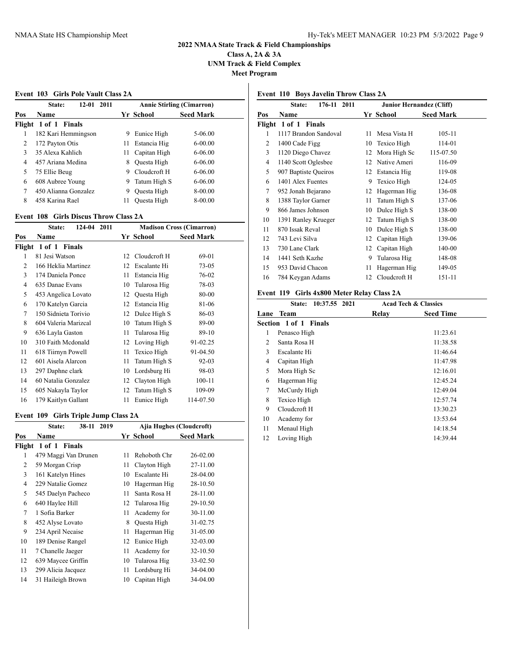**Class A, 2A & 3A UNM Track & Field Complex**

**Meet Program**

#### **Event 103 Girls Pole Vault Class 2A**

|     | State:<br>$12 - 01$<br>2011 |    | <b>Annie Stirling (Cimarron)</b> |                  |
|-----|-----------------------------|----|----------------------------------|------------------|
| Pos | Name                        |    | Yr School                        | <b>Seed Mark</b> |
|     | Flight 1 of 1 Finals        |    |                                  |                  |
| 1   | 182 Kari Hemmingson         | 9  | Eunice High                      | 5-06.00          |
| 2   | 172 Payton Otis             | 11 | Estancia Hig                     | $6 - 00.00$      |
| 3   | 35 Alexa Kahlich            | 11 | Capitan High                     | $6-06.00$        |
| 4   | 457 Ariana Medina           | 8  | Ouesta High                      | $6 - 06.00$      |
| 5   | 75 Ellie Beug               | 9  | Cloudcroft H                     | $6-06.00$        |
| 6   | 608 Aubree Young            | 9  | Tatum High S                     | $6-06.00$        |
| 7   | 450 Alianna Gonzalez        | 9  | Questa High                      | 8-00.00          |
| 8   | 458 Karina Rael             | 11 | Ouesta High                      | 8-00.00          |

## **Event 108 Girls Discus Throw Class 2A**

|     | State:               | 124-04 2011 | <b>Madison Cross (Cimarron)</b> |              |                  |  |
|-----|----------------------|-------------|---------------------------------|--------------|------------------|--|
| Pos | Name                 |             |                                 | Yr School    | <b>Seed Mark</b> |  |
|     | Flight 1 of 1 Finals |             |                                 |              |                  |  |
| 1   | 81 Jesi Watson       |             | 12                              | Cloudcroft H | 69-01            |  |
| 2   | 166 Heklia Martinez  |             | 12                              | Escalante Hi | $73 - 05$        |  |
| 3   | 174 Daniela Ponce    |             | 11                              | Estancia Hig | 76-02            |  |
| 4   | 635 Danae Evans      |             | 10                              | Tularosa Hig | 78-03            |  |
| 5   | 453 Angelica Lovato  |             | 12                              | Questa High  | 80-00            |  |
| 6   | 170 Katelyn Garcia   |             | 12                              | Estancia Hig | 81-06            |  |
| 7   | 150 Sidnieta Torivio |             | 12                              | Dulce High S | 86-03            |  |
| 8   | 604 Valeria Marizcal |             | 10                              | Tatum High S | 89-00            |  |
| 9   | 636 Layla Gaston     |             | 11                              | Tularosa Hig | 89-10            |  |
| 10  | 310 Faith Mcdonald   |             | 12                              | Loving High  | 91-02.25         |  |
| 11  | 618 Tiirnyn Powell   |             | 11                              | Texico High  | 91-04.50         |  |
| 12  | 601 Aisela Alarcon   |             | 11                              | Tatum High S | $92 - 03$        |  |
| 13  | 297 Daphne clark     |             | 10                              | Lordsburg Hi | 98-03            |  |
| 14  | 60 Natalia Gonzalez  |             | 12                              | Clayton High | $100 - 11$       |  |
| 15  | 605 Nakayla Taylor   |             | 12                              | Tatum High S | 109-09           |  |
| 16  | 179 Kaitlyn Gallant  |             | 11                              | Eunice High  | 114-07.50        |  |

## **Event 109 Girls Triple Jump Class 2A**

|     | 38-11<br>2019<br>State: | Ajia Hughes (Cloudcroft) |              |                  |
|-----|-------------------------|--------------------------|--------------|------------------|
| Pos | Name                    |                          | Yr School    | <b>Seed Mark</b> |
|     | Flight 1 of 1 Finals    |                          |              |                  |
| 1   | 479 Maggi Van Drunen    | 11                       | Rehoboth Chr | $26 - 02.00$     |
| 2   | 59 Morgan Crisp         | 11                       | Clayton High | 27-11.00         |
| 3   | 161 Katelyn Hines       | 10                       | Escalante Hi | 28-04.00         |
| 4   | 229 Natalie Gomez       | 10                       | Hagerman Hig | 28-10.50         |
| 5   | 545 Daelyn Pacheco      | 11                       | Santa Rosa H | 28-11.00         |
| 6   | 640 Haylee Hill         | 12                       | Tularosa Hig | 29-10.50         |
| 7   | 1 Sofia Barker          | 11                       | Academy for  | 30-11.00         |
| 8   | 452 Alyse Lovato        | 8                        | Questa High  | 31-02.75         |
| 9   | 234 April Necaise       | 11                       | Hagerman Hig | 31-05.00         |
| 10  | 189 Denise Rangel       | 12                       | Eunice High  | 32-03.00         |
| 11  | 7 Chanelle Jaeger       | 11                       | Academy for  | 32-10.50         |
| 12  | 639 Maycee Griffin      | 10                       | Tularosa Hig | 33-02.50         |
| 13  | 299 Alicia Jacquez      | 11                       | Lordsburg Hi | 34-04.00         |
| 14  | 31 Haileigh Brown       | 10                       | Capitan High | 34-04.00         |
|     |                         |                          |              |                  |

## **Event 110 Boys Javelin Throw Class 2A**

|     | State:<br>176-11 2011 |    | <b>Junior Hernandez (Cliff)</b> |                  |
|-----|-----------------------|----|---------------------------------|------------------|
| Pos | Name                  |    | Yr School                       | <b>Seed Mark</b> |
|     | Flight 1 of 1 Finals  |    |                                 |                  |
| 1   | 1117 Brandon Sandoval | 11 | Mesa Vista H                    | 105-11           |
| 2   | 1400 Cade Figg        | 10 | Texico High                     | 114-01           |
| 3   | 1120 Diego Chavez     | 12 | Mora High Sc                    | 115-07.50        |
| 4   | 1140 Scott Oglesbee   | 12 | Native Ameri                    | 116-09           |
| 5   | 907 Baptiste Queiros  | 12 | Estancia Hig                    | 119-08           |
| 6   | 1401 Alex Fuentes     | 9  | Texico High                     | 124-05           |
| 7   | 952 Jonah Bejarano    | 12 | Hagerman Hig                    | 136-08           |
| 8   | 1388 Taylor Garner    | 11 | Tatum High S                    | 137-06           |
| 9   | 866 James Johnson     | 10 | Dulce High S                    | 138-00           |
| 10  | 1391 Ranley Krueger   | 12 | Tatum High S                    | 138-00           |
| 11  | 870 Issak Reval       | 10 | Dulce High S                    | 138-00           |
| 12  | 743 Levi Silva        | 12 | Capitan High                    | 139-06           |
| 13  | 730 Lane Clark        | 12 | Capitan High                    | 140-00           |
| 14  | 1441 Seth Kazhe       | 9  | Tularosa Hig                    | 148-08           |
| 15  | 953 David Chacon      | 11 | Hagerman Hig                    | 149-05           |
| 16  | 784 Keygan Adams      | 12 | Cloudcroft H                    | 151-11           |
|     |                       |    |                                 |                  |

## **Event 119 Girls 4x800 Meter Relay Class 2A**

|      | 10:37.55 2021<br>State:      |       | <b>Acad Tech &amp; Classics</b> |  |
|------|------------------------------|-------|---------------------------------|--|
| Lane | Team                         | Relay | <b>Seed Time</b>                |  |
|      | <b>Section 1 of 1 Finals</b> |       |                                 |  |
| 1    | Penasco High                 |       | 11:23.61                        |  |
| 2    | Santa Rosa H                 |       | 11:38.58                        |  |
| 3    | Escalante Hi                 |       | 11:46.64                        |  |
| 4    | Capitan High                 |       | 11:47.98                        |  |
| 5    | Mora High Sc                 |       | 12:16.01                        |  |
| 6    | Hagerman Hig                 |       | 12:45.24                        |  |
| 7    | McCurdy High                 |       | 12:49.04                        |  |
| 8    | Texico High                  |       | 12:57.74                        |  |
| 9    | Cloudcroft H                 |       | 13:30.23                        |  |
| 10   | Academy for                  |       | 13:53.64                        |  |
| 11   | Menaul High                  |       | 14:18.54                        |  |
| 12   | Loving High                  |       | 14:39.44                        |  |
|      |                              |       |                                 |  |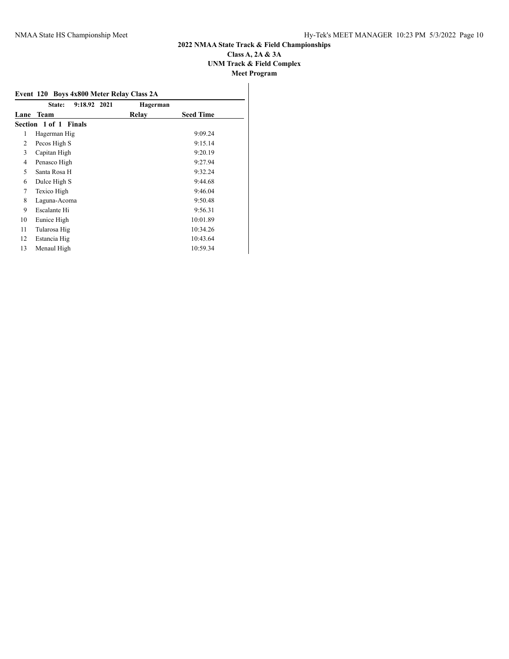## **2022 NMAA State Track & Field Championships Class A, 2A & 3A UNM Track & Field Complex Meet Program**

|      | Event 120 Boys 4x800 Meter Relay Class 2A |          |                  |
|------|-------------------------------------------|----------|------------------|
|      | 9:18.92 2021<br>State:                    | Hagerman |                  |
| Lane | Team                                      | Relav    | <b>Seed Time</b> |
|      | Section 1 of 1 Finals                     |          |                  |
| 1    | Hagerman Hig                              |          | 9:09.24          |
| 2    | Pecos High S                              |          | 9:15.14          |
| 3    | Capitan High                              |          | 9:20.19          |
| 4    | Penasco High                              |          | 9:27.94          |
| 5    | Santa Rosa H                              |          | 9:32.24          |
| 6    | Dulce High S                              |          | 9:44.68          |
| 7    | Texico High                               |          | 9:46.04          |
| 8    | Laguna-Acoma                              |          | 9:50.48          |
| 9    | Escalante Hi                              |          | 9:56.31          |
| 10   | Eunice High                               |          | 10:01.89         |
| 11   | Tularosa Hig                              |          | 10:34.26         |
| 12   | Estancia Hig                              |          | 10:43.64         |
| 13   | Menaul High                               |          | 10:59.34         |
|      |                                           |          |                  |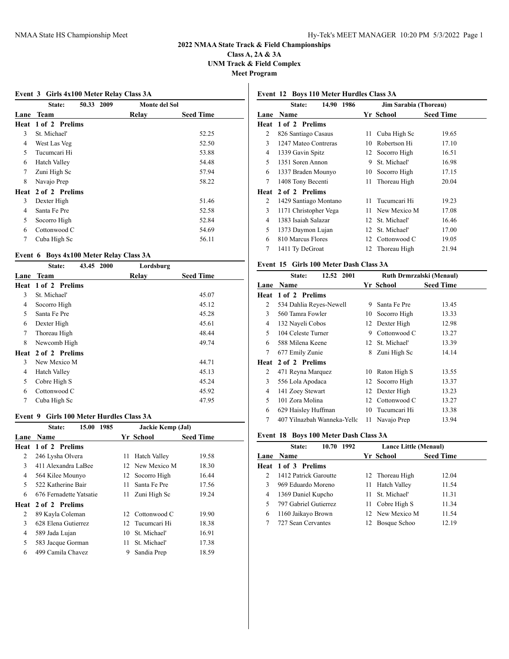### **2022 NMAA State Track & Field Championships Class A, 2A & 3A**

**UNM Track & Field Complex**

**Meet Program**

# **Event 3 Girls 4x100 Meter Relay Class 3A State: 50.33 2009 Monte del Sol**

| Lane | Team                | Relay | <b>Seed Time</b> |
|------|---------------------|-------|------------------|
|      | Heat 1 of 2 Prelims |       |                  |
| 3    | St. Michael'        |       | 52.25            |
| 4    | West Las Veg        |       | 52.50            |
| 5    | Tucumcari Hi        |       | 53.88            |
| 6    | <b>Hatch Valley</b> |       | 54.48            |
| 7    | Zuni High Sc        |       | 57.94            |
| 8    | Navajo Prep         |       | 58.22            |
|      | Heat 2 of 2 Prelims |       |                  |
| 3    | Dexter High         |       | 51.46            |
| 4    | Santa Fe Pre        |       | 52.58            |
| 5    | Socorro High        |       | 52.84            |
| 6    | Cottonwood C        |       | 54.69            |
| 7    | Cuba High Sc        |       | 56.11            |

#### **Event 6 Boys 4x100 Meter Relay Class 3A**

|      | 43.45 2000<br>State: | Lordsburg |                  |
|------|----------------------|-----------|------------------|
| Lane | <b>Team</b>          | Relav     | <b>Seed Time</b> |
|      | Heat 1 of 2 Prelims  |           |                  |
| 3    | St. Michael'         |           | 45.07            |
| 4    | Socorro High         |           | 45.12            |
| 5    | Santa Fe Pre         |           | 45.28            |
| 6    | Dexter High          |           | 45.61            |
| 7    | Thoreau High         |           | 48.44            |
| 8    | Newcomb High         |           | 49.74            |
|      | Heat 2 of 2 Prelims  |           |                  |
| 3    | New Mexico M         |           | 44.71            |
| 4    | Hatch Valley         |           | 45.13            |
| 5    | Cobre High S         |           | 45.24            |
| 6    | Cottonwood C         |           | 45.92            |
| 7    | Cuba High Sc         |           | 47.95            |
|      |                      |           |                  |

### **Event 9 Girls 100 Meter Hurdles Class 3A**

|                | 15.00<br>1985<br>State:    |     | Jackie Kemp (Jal) |                  |
|----------------|----------------------------|-----|-------------------|------------------|
| Lane           | <b>Name</b>                |     | Yr School         | <b>Seed Time</b> |
|                | <b>Heat 1 of 2 Prelims</b> |     |                   |                  |
| 2              | 246 Lysha Olvera           | 11  | Hatch Valley      | 19.58            |
| 3              | 411 Alexandra LaBee        |     | 12 New Mexico M   | 18.30            |
| 4              | 564 Kilee Mounyo           |     | 12 Socorro High   | 16.44            |
| 5.             | 522 Katherine Bair         | 11. | Santa Fe Pre      | 17.56            |
| 6              | 676 Fernadette Yatsatie    | 11  | Zuni High Sc      | 19.24            |
| Heat           | 2 of 2 Prelims             |     |                   |                  |
| $\overline{c}$ | 89 Kayla Coleman           |     | 12 Cottonwood C   | 19.90            |
| 3              | 628 Elena Gutierrez        |     | 12 Tucumcari Hi   | 18.38            |
| 4              | 589 Jada Lujan             | 10  | St. Michael'      | 16.91            |
| 5              | 583 Jacque Gorman          | 11. | St. Michael'      | 17.38            |
| 6              | 499 Camila Chavez          | 9   | Sandia Prep       | 18.59            |
|                |                            |     |                   |                  |

## **Event 12 Boys 110 Meter Hurdles Class 3A**

| Jim Sarabia (Thoreau) |
|-----------------------|
| <b>Seed Time</b>      |
|                       |
| 19.65                 |
| 17.10                 |
| 16.51                 |
| 16.98                 |
| 17.15                 |
| 20.04                 |
|                       |
| 19.23                 |
| 17.08                 |
| 16.46                 |
| 17.00                 |
| 19.05                 |
| 21.94                 |
|                       |

## **Event 15 Girls 100 Meter Dash Class 3A**

|      | 12.52 2001<br>State:        |    | Ruth Drmrzalski (Menaul) |                  |
|------|-----------------------------|----|--------------------------|------------------|
| Lane | Name                        |    | Yr School                | <b>Seed Time</b> |
| Heat | 1 of 2 Prelims              |    |                          |                  |
| 2    | 534 Dahlia Reyes-Newell     | 9  | Santa Fe Pre             | 13.45            |
| 3    | 560 Tamra Fowler            | 10 | Socorro High             | 13.33            |
| 4    | 132 Nayeli Cobos            |    | 12 Dexter High           | 12.98            |
| 5    | 104 Celeste Turner          | 9  | Cottonwood C             | 13.27            |
| 6    | 588 Milena Keene            |    | 12 St. Michael'          | 13.39            |
| 7    | 677 Emily Zunie             | 8  | Zuni High Sc             | 14.14            |
| Heat | 2 of 2 Prelims              |    |                          |                  |
| 2    | 471 Reyna Marquez           | 10 | Raton High S             | 13.55            |
| 3    | 556 Lola Apodaca            |    | 12 Socorro High          | 13.37            |
| 4    | 141 Zoey Stewart            |    | 12 Dexter High           | 13.23            |
| 5    | 101 Zora Molina             |    | 12 Cottonwood C          | 13.27            |
| 6    | 629 Haisley Huffman         | 10 | Tucumcari Hi             | 13.38            |
| 7    | 407 Yilnazbah Wanneka-Yello | 11 | Navajo Prep              | 13.94            |

#### **Event 18 Boys 100 Meter Dash Class 3A**

|   | 10.70 1992<br>State:  |     | Lance Little (Menaul) |                  |
|---|-----------------------|-----|-----------------------|------------------|
|   | Lane Name             |     | Yr School             | <b>Seed Time</b> |
|   | Heat 1 of 3 Prelims   |     |                       |                  |
| 2 | 1412 Patrick Garoutte |     | 12 Thoreau High       | 12.04            |
| 3 | 969 Eduardo Moreno    | 11. | Hatch Valley          | 11.54            |
| 4 | 1369 Daniel Kupcho    |     | 11 St. Michael'       | 11.31            |
| 5 | 797 Gabriel Gutierrez |     | 11 Cobre High S       | 11.34            |
| 6 | 1160 Jaikayo Brown    |     | 12 New Mexico M       | 11.54            |
|   | 727 Sean Cervantes    | 12  | Bosque Schoo          | 12.19            |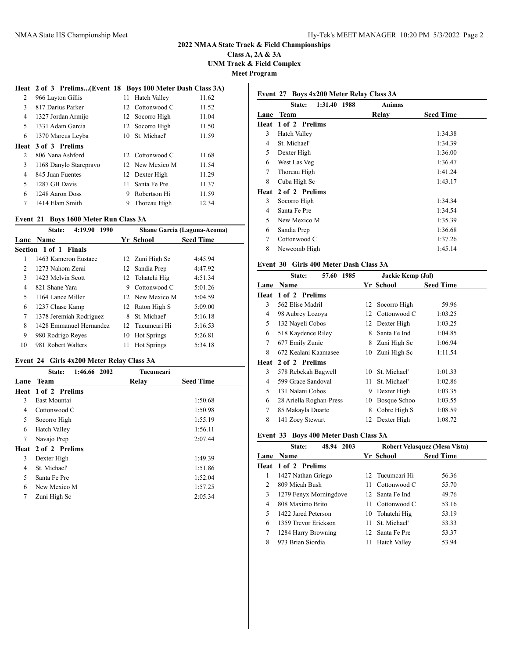**Class A, 2A & 3A UNM Track & Field Complex**

**Meet Program**

#### **Heat 2 of 3 Prelims...(Event 18 Boys 100 Meter Dash Class 3A)**

| 2 | 966 Layton Gillis      |    | 11 Hatch Valley | 11.62 |
|---|------------------------|----|-----------------|-------|
| 3 | 817 Darius Parker      |    | 12 Cottonwood C | 11.52 |
| 4 | 1327 Jordan Armijo     |    | 12 Socorro High | 11.04 |
| 5 | 1331 Adam Garcia       |    | 12 Socorro High | 11.50 |
| 6 | 1370 Marcus Leyba      |    | 10 St. Michael' | 11.59 |
|   | Heat 3 of 3 Prelims    |    |                 |       |
| 2 | 806 Nana Ashford       |    | 12 Cottonwood C | 11.68 |
| 3 |                        |    |                 |       |
|   | 1168 Danylo Starepravo |    | 12 New Mexico M | 11.54 |
| 4 | 845 Juan Fuentes       |    | 12 Dexter High  | 11.29 |
| 5 | 1287 GB Davis          | 11 | Santa Fe Pre    | 11.37 |
| 6 | 1248 Aaron Doss        | 9  | Robertson Hi    | 11.59 |
| 7 | 1414 Elam Smith        | 9  | Thoreau High    | 12.34 |

## **Event 21 Boys 1600 Meter Run Class 3A**

| 4:19.90 1990<br>State: |                         |    | Shane Garcia (Laguna-Acoma) |                  |  |
|------------------------|-------------------------|----|-----------------------------|------------------|--|
| Lane                   | <b>Name</b>             |    | Yr School                   | <b>Seed Time</b> |  |
|                        | Section 1 of 1 Finals   |    |                             |                  |  |
| 1                      | 1463 Kameron Eustace    |    | 12 Zuni High Sc             | 4:45.94          |  |
| 2                      | 1273 Nahom Zerai        | 12 | Sandia Prep                 | 4:47.92          |  |
| 3                      | 1423 Melvin Scott       |    | 12 Tohatchi Hig             | 4:51.34          |  |
| 4                      | 821 Shane Yara          | 9  | Cottonwood C                | 5:01.26          |  |
| 5                      | 1164 Lance Miller       |    | 12 New Mexico M             | 5:04.59          |  |
| 6                      | 1237 Chase Kamp         |    | 12 Raton High S             | 5:09.00          |  |
| 7                      | 1378 Jeremiah Rodriguez | 8  | St. Michael'                | 5:16.18          |  |
| 8                      | 1428 Emmanuel Hernandez |    | 12 Tucumcari Hi             | 5:16.53          |  |
| 9                      | 980 Rodrigo Reyes       | 10 | <b>Hot Springs</b>          | 5:26.81          |  |
| 10                     | 981 Robert Walters      | 11 | <b>Hot Springs</b>          | 5:34.18          |  |
|                        |                         |    |                             |                  |  |

## **Event 24 Girls 4x200 Meter Relay Class 3A**

|      | 1:46.66 2002<br>State: | Tucumcari |                  |
|------|------------------------|-----------|------------------|
| Lane | <b>Team</b>            | Relay     | <b>Seed Time</b> |
|      | Heat 1 of 2 Prelims    |           |                  |
| 3    | East Mountai           |           | 1:50.68          |
| 4    | Cottonwood C           |           | 1:50.98          |
| 5    | Socorro High           |           | 1:55.19          |
| 6    | <b>Hatch Valley</b>    |           | 1:56.11          |
| 7    | Navajo Prep            |           | 2:07.44          |
| Heat | 2 of 2 Prelims         |           |                  |
| 3    | Dexter High            |           | 1:49.39          |
| 4    | St. Michael'           |           | 1:51.86          |
| 5    | Santa Fe Pre           |           | 1:52.04          |
| 6    | New Mexico M           |           | 1:57.25          |
| 7    | Zuni High Sc           |           | 2:05.34          |
|      |                        |           |                  |

## **Event 27 Boys 4x200 Meter Relay Class 3A**

|      | 1:31.40 1988<br>State: | <b>Animas</b> |                  |
|------|------------------------|---------------|------------------|
| Lane | Team                   | Relay         | <b>Seed Time</b> |
| Heat | 1 of 2 Prelims         |               |                  |
| 3    | <b>Hatch Valley</b>    |               | 1:34.38          |
| 4    | St. Michael'           |               | 1:34.39          |
| 5    | Dexter High            |               | 1:36.00          |
| 6    | West Las Veg           |               | 1:36.47          |
| 7    | Thoreau High           |               | 1:41.24          |
| 8    | Cuba High Sc           |               | 1:43.17          |
| Heat | 2 of 2 Prelims         |               |                  |
| 3    | Socorro High           |               | 1:34.34          |
| 4    | Santa Fe Pre           |               | 1:34.54          |
| 5    | New Mexico M           |               | 1:35.39          |
| 6    | Sandia Prep            |               | 1:36.68          |
| 7    | Cottonwood C           |               | 1:37.26          |
| 8    | Newcomb High           |               | 1:45.14          |
|      |                        |               |                  |

## **Event 30 Girls 400 Meter Dash Class 3A**

|      | 57.60<br>1985<br>State: |    | Jackie Kemp (Jal) |                  |  |
|------|-------------------------|----|-------------------|------------------|--|
| Lane | Name                    |    | Yr School         | <b>Seed Time</b> |  |
| Heat | 1 of 2 Prelims          |    |                   |                  |  |
| 3    | 562 Elise Madril        | 12 | Socorro High      | 59.96            |  |
| 4    | 98 Aubrey Lozoya        | 12 | Cottonwood C      | 1:03.25          |  |
| 5    | 132 Nayeli Cobos        | 12 | Dexter High       | 1:03.25          |  |
| 6    | 518 Kaydence Riley      | 8  | Santa Fe Ind      | 1:04.85          |  |
| 7    | 677 Emily Zunie         | 8  | Zuni High Sc      | 1:06.94          |  |
| 8    | 672 Kealani Kaamasee    | 10 | Zuni High Sc      | 1:11.54          |  |
| Heat | 2 of 2 Prelims          |    |                   |                  |  |
| 3    | 578 Rebekah Bagwell     | 10 | St. Michael'      | 1:01.33          |  |
| 4    | 599 Grace Sandoval      | 11 | St. Michael'      | 1:02.86          |  |
| 5    | 131 Nalani Cobos        | 9  | Dexter High       | 1:03.35          |  |
| 6    | 28 Ariella Roghan-Press | 10 | Bosque Schoo      | 1:03.55          |  |
| 7    | 85 Makayla Duarte       | 8  | Cobre High S      | 1:08.59          |  |
| 8    | 141 Zoey Stewart        | 12 | Dexter High       | 1:08.72          |  |

#### **Event 33 Boys 400 Meter Dash Class 3A**

|      | 48.94 2003<br>State:   |                           | Robert Velasquez (Mesa Vista) |  |
|------|------------------------|---------------------------|-------------------------------|--|
| Lane | <b>Name</b>            | Yr School                 | <b>Seed Time</b>              |  |
|      | Heat 1 of 2 Prelims    |                           |                               |  |
| 1    | 1427 Nathan Griego     | 12 Tucumcari Hi           | 56.36                         |  |
| 2    | 809 Micah Bush         | Cottonwood C<br>11.       | 55.70                         |  |
| 3    | 1279 Fenyx Morningdove | 12 Santa Fe Ind           | 49.76                         |  |
| 4    | 808 Maximo Brito       | Cottonwood C<br>11.       | 53.16                         |  |
| 5    | 1422 Jared Peterson    | Tohatchi Hig<br>10        | 53.19                         |  |
| 6    | 1359 Trevor Erickson   | St. Michael'<br>11.       | 53.33                         |  |
| 7    | 1284 Harry Browning    | 12 Santa Fe Pre           | 53.37                         |  |
| 8    | 973 Brian Siordia      | <b>Hatch Valley</b><br>11 | 53.94                         |  |
|      |                        |                           |                               |  |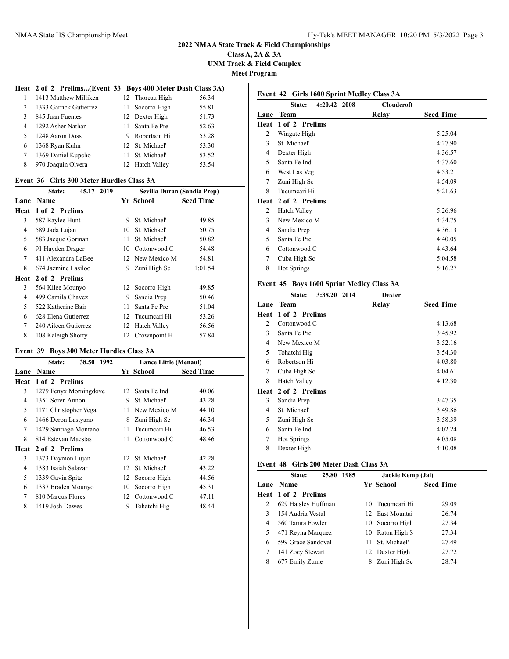### **Class A, 2A & 3A UNM Track & Field Complex Meet Program**

### **Heat 2 of 2 Prelims...(Event 33 Boys 400 Meter Dash Class 3A)**

|              | 1413 Matthew Milliken  | 12 Thoreau High | 56.34 |
|--------------|------------------------|-----------------|-------|
| 2            | 1333 Garrick Gutierrez | 11 Socorro High | 55.81 |
| $\mathbf{3}$ | 845 Juan Fuentes       | 12 Dexter High  | 51.73 |
| 4            | 1292 Asher Nathan      | 11 Santa Fe Pre | 52.63 |
| 5            | 1248 Aaron Doss        | 9 Robertson Hi  | 53.28 |
| 6            | 1368 Ryan Kuhn         | 12 St. Michael' | 53.30 |
| 7            | 1369 Daniel Kupcho     | 11 St. Michael' | 53.52 |
| 8            | 970 Joaquin Olvera     | 12 Hatch Valley | 53.54 |
|              |                        |                 |       |

#### **Event 36 Girls 300 Meter Hurdles Class 3A**

|      | 45.17 2019<br>State: |    | Sevilla Duran (Sandia Prep) |                  |  |
|------|----------------------|----|-----------------------------|------------------|--|
| Lane | <b>Name</b>          |    | Yr School                   | <b>Seed Time</b> |  |
| Heat | 1 of 2 Prelims       |    |                             |                  |  |
| 3    | 587 Raylee Hunt      | 9  | St. Michael'                | 49.85            |  |
| 4    | 589 Jada Lujan       | 10 | St. Michael'                | 50.75            |  |
| 5    | 583 Jacque Gorman    | 11 | St. Michael'                | 50.82            |  |
| 6    | 91 Hayden Drager     | 10 | Cottonwood C                | 54.48            |  |
| 7    | 411 Alexandra LaBee  |    | 12 New Mexico M             | 54.81            |  |
| 8    | 674 Jazmine Lasiloo  | 9  | Zuni High Sc                | 1:01.54          |  |
| Heat | 2 of 2 Prelims       |    |                             |                  |  |
| 3    | 564 Kilee Mounyo     |    | 12 Socorro High             | 49.85            |  |
| 4    | 499 Camila Chavez    | 9  | Sandia Prep                 | 50.46            |  |
| 5    | 522 Katherine Bair   | 11 | Santa Fe Pre                | 51.04            |  |
| 6    | 628 Elena Gutierrez  |    | 12 Tucumcari Hi             | 53.26            |  |
| 7    | 240 Aileen Gutierrez | 12 | <b>Hatch Valley</b>         | 56.56            |  |
| 8    | 108 Kaleigh Shorty   |    | 12 Crownpoint H             | 57.84            |  |

#### **Event 39 Boys 300 Meter Hurdles Class 3A**

|      | 1992<br>38.50<br>State: |                 | Lance Little (Menaul) |                  |
|------|-------------------------|-----------------|-----------------------|------------------|
| Lane | Name                    |                 | Yr School             | <b>Seed Time</b> |
| Heat | 1 of 2 Prelims          |                 |                       |                  |
| 3    | 1279 Fenyx Morningdove  | 12 <sup>1</sup> | Santa Fe Ind          | 40.06            |
| 4    | 1351 Soren Annon        | 9               | St. Michael'          | 43.28            |
| 5    | 1171 Christopher Vega   | 11              | New Mexico M          | 44.10            |
| 6    | 1466 Deron Lastyano     | 8               | Zuni High Sc          | 46.34            |
| 7    | 1429 Santiago Montano   | 11              | Tucumcari Hi          | 46.53            |
| 8    | 814 Estevan Maestas     | 11              | Cottonwood C          | 48.46            |
| Heat | 2 of 2 Prelims          |                 |                       |                  |
| 3    | 1373 Daymon Lujan       | 12              | St. Michael'          | 42.28            |
| 4    | 1383 Isaiah Salazar     | 12              | St. Michael'          | 43.22            |
| 5    | 1339 Gavin Spitz        | 12              | Socorro High          | 44.56            |
| 6    | 1337 Braden Mounyo      | 10              | Socorro High          | 45.31            |
| 7    | 810 Marcus Flores       | 12              | Cottonwood C          | 47.11            |
| 8    | 1419 Josh Dawes         | 9               | Tohatchi Hig          | 48.44            |

## **Event 42 Girls 1600 Sprint Medley Class 3A**

|      | 4:20.42 2008<br>State: | <b>Cloudcroft</b> |                  |
|------|------------------------|-------------------|------------------|
| Lane | <b>Team</b>            | Relay             | <b>Seed Time</b> |
| Heat | 1 of 2 Prelims         |                   |                  |
| 2    | Wingate High           |                   | 5:25.04          |
| 3    | St. Michael'           |                   | 4:27.90          |
| 4    | Dexter High            |                   | 4:36.57          |
| 5    | Santa Fe Ind           |                   | 4:37.60          |
| 6    | West Las Veg           |                   | 4:53.21          |
| 7    | Zuni High Sc           |                   | 4:54.09          |
| 8    | Tucumcari Hi           |                   | 5:21.63          |
| Heat | 2 of 2 Prelims         |                   |                  |
| 2    | <b>Hatch Valley</b>    |                   | 5:26.96          |
| 3    | New Mexico M           |                   | 4:34.75          |
| 4    | Sandia Prep            |                   | 4:36.13          |
| 5    | Santa Fe Pre           |                   | 4:40.05          |
| 6    | Cottonwood C           |                   | 4:43.64          |
| 7    | Cuba High Sc           |                   | 5:04.58          |
| 8    | <b>Hot Springs</b>     |                   | 5:16.27          |
|      |                        |                   |                  |

## **Event 45 Boys 1600 Sprint Medley Class 3A**

|      | 3:38.20<br>2014<br>State: | <b>Dexter</b> |                  |
|------|---------------------------|---------------|------------------|
| Lane | <b>Team</b>               | Relay         | <b>Seed Time</b> |
| Heat | 1 of 2 Prelims            |               |                  |
| 2    | Cottonwood C              |               | 4:13.68          |
| 3    | Santa Fe Pre              |               | 3:45.92          |
| 4    | New Mexico M              |               | 3:52.16          |
| 5    | Tohatchi Hig              |               | 3:54.30          |
| 6    | Robertson Hi              |               | 4:03.80          |
| 7    | Cuba High Sc              |               | 4:04.61          |
| 8    | <b>Hatch Valley</b>       |               | 4:12.30          |
| Heat | 2 of 2 Prelims            |               |                  |
| 3    | Sandia Prep               |               | 3:47.35          |
| 4    | St. Michael'              |               | 3:49.86          |
| 5    | Zuni High Sc              |               | 3:58.39          |
| 6    | Santa Fe Ind              |               | 4:02.24          |
| 7    | <b>Hot Springs</b>        |               | 4:05.08          |
| 8    | Dexter High               |               | 4:10.08          |

#### **Event 48 Girls 200 Meter Dash Class 3A**

| 25.80<br>State:            | Jackie Kemp (Jal)  |                  |
|----------------------------|--------------------|------------------|
| <b>Lane Name</b>           | Yr School          | <b>Seed Time</b> |
| <b>Heat 1 of 2 Prelims</b> |                    |                  |
| 629 Haisley Huffman        | 10 Tucumcari Hi    | 29.09            |
| 154 Audria Vestal          | 12 East Mountai    | 26.74            |
| 560 Tamra Fowler           | 10 Socorro High    | 27.34            |
| 471 Reyna Marquez          | 10 Raton High S    | 27.34            |
| 599 Grace Sandoval         | 11 St. Michael'    | 27.49            |
| 141 Zoey Stewart           | 12 Dexter High     | 27.72            |
| 677 Emily Zunie            | Zuni High Sc<br>8. | 28.74            |
|                            |                    | 1985             |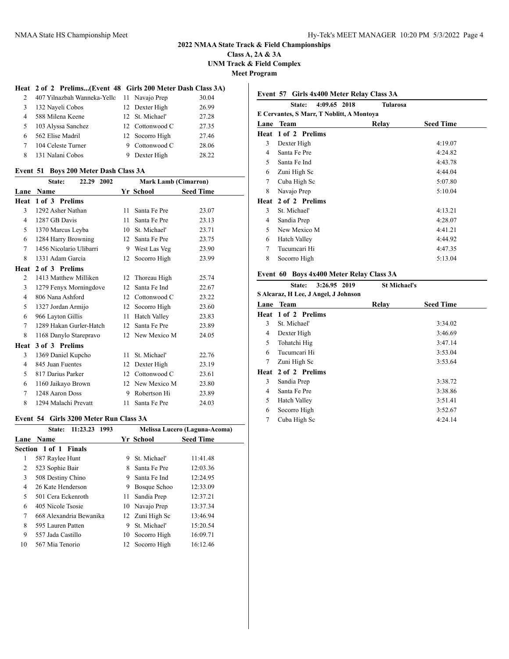### **Class A, 2A & 3A UNM Track & Field Complex Meet Program**

**Heat 2 of 2 Prelims...(Event 48 Girls 200 Meter Dash Class 3A)**

|    | $\mathbf{u}$ = $\mathbf{v}$ = 1 cannot $\mathbf{u}$ and $\mathbf{v}$ on $\mathbf{v}$ and $\mathbf{v}$ and $\mathbf{v}$ and $\mathbf{v}$ |   |                 |       |
|----|-----------------------------------------------------------------------------------------------------------------------------------------|---|-----------------|-------|
| 2  | 407 Yilnazbah Wanneka-Yello 11 Navajo Prep                                                                                              |   |                 | 30.04 |
| 3  | 132 Nayeli Cobos                                                                                                                        |   | 12 Dexter High  | 26.99 |
| 4  | 588 Milena Keene                                                                                                                        |   | 12 St. Michael' | 27.28 |
| -5 | 103 Alyssa Sanchez                                                                                                                      |   | 12 Cottonwood C | 27.35 |
| 6  | 562 Elise Madril                                                                                                                        |   | 12 Socorro High | 27.46 |
| 7  | 104 Celeste Turner                                                                                                                      |   | 9 Cottonwood C  | 28.06 |
| 8  | 131 Nalani Cobos                                                                                                                        | 9 | Dexter High     | 28.22 |
|    |                                                                                                                                         |   |                 |       |

#### **Event 51 Boys 200 Meter Dash Class 3A**

|        | State:<br>22.29 2002    |              | <b>Mark Lamb (Cimarron)</b> |                  |
|--------|-------------------------|--------------|-----------------------------|------------------|
| Lane   | Name                    |              | Yr School                   | <b>Seed Time</b> |
| Heat   | 1 of 3 Prelims          |              |                             |                  |
| 3      | 1292 Asher Nathan       | 11           | Santa Fe Pre                | 23.07            |
| 4      | 1287 GB Davis           | 11           | Santa Fe Pre                | 23.13            |
| 5      | 1370 Marcus Leyba       | 10           | St. Michael'                | 23.71            |
| 6      | 1284 Harry Browning     | 12           | Santa Fe Pre                | 23.75            |
| $\tau$ | 1456 Nicolario Ulibarri | 9            | West Las Veg                | 23.90            |
| 8      | 1331 Adam Garcia        | 12           | Socorro High                | 23.99            |
| Heat   | 2 of 3 Prelims          |              |                             |                  |
| 2      | 1413 Matthew Milliken   | 12           | Thoreau High                | 25.74            |
| 3      | 1279 Fenyx Morningdove  | 12           | Santa Fe Ind                | 22.67            |
| 4      | 806 Nana Ashford        | 12           | Cottonwood C                | 23.22            |
| 5      | 1327 Jordan Armijo      | 12           | Socorro High                | 23.60            |
| 6      | 966 Layton Gillis       | 11           | <b>Hatch Valley</b>         | 23.83            |
| $\tau$ | 1289 Hakan Gurler-Hatch | 12           | Santa Fe Pre                | 23.89            |
| 8      | 1168 Danylo Starepravo  | 12           | New Mexico M                | 24.05            |
| Heat   | 3 of 3 Prelims          |              |                             |                  |
| 3      | 1369 Daniel Kupcho      | 11           | St. Michael'                | 22.76            |
| 4      | 845 Juan Fuentes        | 12           | Dexter High                 | 23.19            |
| 5      | 817 Darius Parker       | 12           | Cottonwood C                | 23.61            |
| 6      | 1160 Jaikayo Brown      | $12^{\circ}$ | New Mexico M                | 23.80            |
| 7      | 1248 Aaron Doss         | 9            | Robertson Hi                | 23.89            |
| 8      | 1294 Malachi Prevatt    | 11           | Santa Fe Pre                | 24.03            |

#### **Event 54 Girls 3200 Meter Run Class 3A**

| 11:23.23 1993<br>State: | Melissa Lucero (Laguna-Acoma) |              |                                                                   |
|-------------------------|-------------------------------|--------------|-------------------------------------------------------------------|
| <b>Name</b>             |                               |              | <b>Seed Time</b>                                                  |
|                         |                               |              |                                                                   |
| 587 Raylee Hunt         | 9                             | St. Michael' | 11:41.48                                                          |
| 523 Sophie Bair         | 8                             | Santa Fe Pre | 12:03.36                                                          |
| 508 Destiny Chino       | 9                             | Santa Fe Ind | 12:24.95                                                          |
| 26 Kate Henderson       | 9                             | Bosque Schoo | 12:33.09                                                          |
| 501 Cera Eckenroth      | 11.                           | Sandia Prep  | 12:37.21                                                          |
| 405 Nicole Tsosie       |                               |              | 13:37.34                                                          |
| 668 Alexandria Bewanika |                               |              | 13:46.94                                                          |
| 595 Lauren Patten       | 9                             | St. Michael' | 15:20.54                                                          |
| 557 Jada Castillo       | 10                            | Socorro High | 16:09.71                                                          |
| 567 Mia Tenorio         |                               |              | 16:12.46                                                          |
|                         | Section 1 of 1 Finals         |              | Yr School<br>10 Navajo Prep<br>12 Zuni High Sc<br>12 Socorro High |

|                | 4:09.65 2018<br>State:                    | Tularosa |                  |
|----------------|-------------------------------------------|----------|------------------|
|                | E Cervantes, S Marr, T Noblitt, A Montoya |          |                  |
| Lane           | <b>Team</b>                               | Relav    | <b>Seed Time</b> |
| Heat           | 1 of 2 Prelims                            |          |                  |
| 3              | Dexter High                               |          | 4:19.07          |
| $\overline{4}$ | Santa Fe Pre                              |          | 4:24.82          |
| 5              | Santa Fe Ind                              |          | 4:43.78          |
| 6              | Zuni High Sc                              |          | 4:44.04          |
| 7              | Cuba High Sc                              |          | 5:07.80          |
| 8              | Navajo Prep                               |          | 5:10.04          |
| Heat           | 2 of 2 Prelims                            |          |                  |
| 3              | St. Michael'                              |          | 4:13.21          |
| 4              | Sandia Prep                               |          | 4:28.07          |
| 5              | New Mexico M                              |          | 4:41.21          |
| 6              | <b>Hatch Valley</b>                       |          | 4:44.92          |
| 7              | Tucumcari Hi                              |          | 4:47.35          |
| 8              | Socorro High                              |          | 5:13.04          |

## **Event 60 Boys 4x400 Meter Relay Class 3A**

# **State: 3:26.95 2019 St Michael's**

| S Alcaraz, H Lee, J Angel, J Johnson |                            |       |                  |  |  |
|--------------------------------------|----------------------------|-------|------------------|--|--|
|                                      | Lane Team                  | Relay | <b>Seed Time</b> |  |  |
|                                      | <b>Heat 1 of 2 Prelims</b> |       |                  |  |  |
| 3                                    | St. Michael'               |       | 3:34.02          |  |  |
| 4                                    | Dexter High                |       | 3:46.69          |  |  |
| 5                                    | Tohatchi Hig               |       | 3:47.14          |  |  |
| 6                                    | Tucumcari Hi               |       | 3:53.04          |  |  |
| 7                                    | Zuni High Sc               |       | 3:53.64          |  |  |
|                                      | Heat 2 of 2 Prelims        |       |                  |  |  |
| 3                                    | Sandia Prep                |       | 3:38.72          |  |  |
| 4                                    | Santa Fe Pre               |       | 3:38.86          |  |  |
| 5                                    | Hatch Valley               |       | 3:51.41          |  |  |
| 6                                    | Socorro High               |       | 3:52.67          |  |  |
| 7                                    | Cuba High Sc               |       | 4:24.14          |  |  |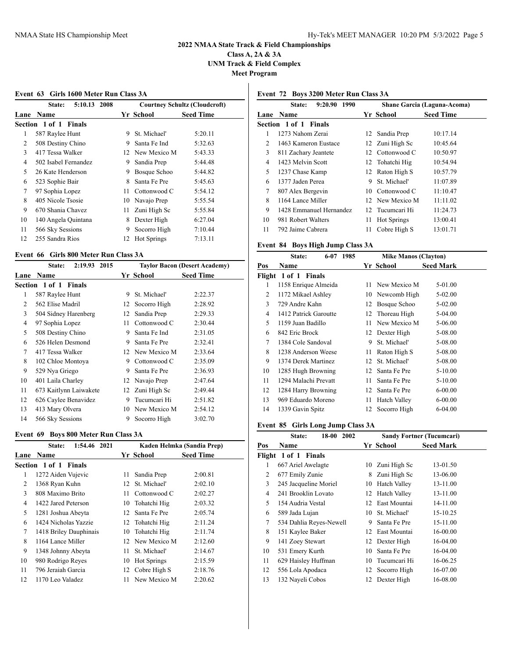**Class A, 2A & 3A UNM Track & Field Complex Meet Program**

## **Event 63 Girls 1600 Meter Run Class 3A**

|    | 5:10.13 2008<br>State: |      |                    | <b>Courtney Schultz (Cloudcroft)</b> |
|----|------------------------|------|--------------------|--------------------------------------|
|    | <b>Lane Name</b>       |      | Yr School          | <b>Seed Time</b>                     |
|    | Section 1 of 1 Finals  |      |                    |                                      |
| 1  | 587 Raylee Hunt        | 9    | St. Michael'       | 5:20.11                              |
| 2  | 508 Destiny Chino      | 9    | Santa Fe Ind       | 5:32.63                              |
| 3  | 417 Tessa Walker       |      | 12 New Mexico M    | 5:43.33                              |
| 4  | 502 Isabel Fernandez   | 9    | Sandia Prep        | 5:44.48                              |
| 5  | 26 Kate Henderson      | 9    | Bosque Schoo       | 5:44.82                              |
| 6  | 523 Sophie Bair        | 8    | Santa Fe Pre       | 5:45.63                              |
| 7  | 97 Sophia Lopez        | 11   | Cottonwood C       | 5:54.12                              |
| 8  | 405 Nicole Tsosie      | 10   | Navajo Prep        | 5:55.54                              |
| 9  | 670 Shania Chavez      | 11 - | Zuni High Sc       | 5:55.84                              |
| 10 | 140 Angela Quintana    | 8    | Dexter High        | 6:27.04                              |
| 11 | 566 Sky Sessions       | 9    | Socorro High       | 7:10.44                              |
| 12 | 255 Sandra Rios        | 12   | <b>Hot Springs</b> | 7:13.11                              |
|    |                        |      |                    |                                      |

### **Event 66 Girls 800 Meter Run Class 3A**

|                | 2:19.93 2015<br>State: |    |                | <b>Taylor Bacon (Desert Academy)</b> |
|----------------|------------------------|----|----------------|--------------------------------------|
| Lane           | <b>Name</b>            |    | Yr School      | <b>Seed Time</b>                     |
|                | Section 1 of 1 Finals  |    |                |                                      |
| 1              | 587 Raylee Hunt        | 9  | St. Michael'   | 2:22.37                              |
| 2              | 562 Elise Madril       | 12 | Socorro High   | 2:28.92                              |
| 3              | 504 Sidney Harenberg   | 12 | Sandia Prep    | 2:29.33                              |
| $\overline{4}$ | 97 Sophia Lopez        | 11 | Cottonwood C   | 2:30.44                              |
| 5              | 508 Destiny Chino      | 9  | Santa Fe Ind   | 2:31.05                              |
| 6              | 526 Helen Desmond      | 9  | Santa Fe Pre   | 2:32.41                              |
| 7              | 417 Tessa Walker       | 12 | New Mexico M   | 2:33.64                              |
| 8              | 102 Chloe Montoya      | 9  | Cottonwood C   | 2:35.09                              |
| 9              | 529 Nya Griego         | 9  | Santa Fe Pre   | 2:36.93                              |
| 10             | 401 Laila Charley      |    | 12 Navajo Prep | 2:47.64                              |
| 11             | 673 Kaitlynn Laiwakete | 12 | Zuni High Sc   | 2:49.44                              |
| 12             | 626 Caylee Benavidez   | 9  | Tucumcari Hi   | 2:51.82                              |
| 13             | 413 Mary Olvera        | 10 | New Mexico M   | 2:54.12                              |
| 14             | 566 Sky Sessions       | 9  | Socorro High   | 3:02.70                              |

## **Event 69 Boys 800 Meter Run Class 3A**

|    | 1:54.46 2021<br>State: |    |                    | Kaden Helmka (Sandia Prep) |
|----|------------------------|----|--------------------|----------------------------|
|    | <b>Lane Name</b>       |    | <b>Yr School</b>   | <b>Seed Time</b>           |
|    | Section 1 of 1 Finals  |    |                    |                            |
| 1  | 1272 Aiden Vujevic     | 11 | Sandia Prep        | 2:00.81                    |
| 2  | 1368 Ryan Kuhn         | 12 | St. Michael'       | 2:02.10                    |
| 3  | 808 Maximo Brito       | 11 | Cottonwood C       | 2:02.27                    |
| 4  | 1422 Jared Peterson    | 10 | Tohatchi Hig       | 2:03.32                    |
| 5  | 1281 Joshua Abeyta     | 12 | Santa Fe Pre       | 2:05.74                    |
| 6  | 1424 Nicholas Yazzie   |    | 12 Tohatchi Hig    | 2:11.24                    |
| 7  | 1418 Briley Dauphinais | 10 | Tohatchi Hig       | 2:11.74                    |
| 8  | 1164 Lance Miller      |    | 12 New Mexico M    | 2:12.60                    |
| 9  | 1348 Johnny Abeyta     | 11 | St. Michael'       | 2:14.67                    |
| 10 | 980 Rodrigo Reyes      | 10 | <b>Hot Springs</b> | 2:15.59                    |
| 11 | 796 Jeraiah Garcia     |    | 12 Cobre High S    | 2:18.76                    |
| 12 | 1170 Leo Valadez       | 11 | New Mexico M       | 2:20.62                    |
|    |                        |    |                    |                            |

## **Event 72 Boys 3200 Meter Run Class 3A**

|                | 9:20.90<br>1990<br><b>State:</b> |    |                    | Shane Garcia (Laguna-Acoma) |
|----------------|----------------------------------|----|--------------------|-----------------------------|
| Lane           | <b>Name</b>                      |    | Yr School          | <b>Seed Time</b>            |
|                | Section 1 of 1 Finals            |    |                    |                             |
| 1              | 1273 Nahom Zerai                 |    | 12 Sandia Prep     | 10:17.14                    |
| $\mathfrak{D}$ | 1463 Kameron Eustace             |    | 12 Zuni High Sc    | 10:45.64                    |
| 3              | 811 Zachary Jeantete             |    | 12 Cottonwood C    | 10:50.97                    |
| 4              | 1423 Melvin Scott                |    | 12 Tohatchi Hig    | 10:54.94                    |
| 5              | 1237 Chase Kamp                  |    | 12 Raton High S    | 10:57.79                    |
| 6              | 1377 Jaden Perea                 | 9  | St. Michael'       | 11:07.89                    |
| 7              | 807 Alex Bergevin                | 10 | Cottonwood C       | 11:10.47                    |
| 8              | 1164 Lance Miller                |    | 12 New Mexico M    | 11:11.02                    |
| 9              | 1428 Emmanuel Hernandez          |    | 12 Tucumcari Hi    | 11:24.73                    |
| 10             | 981 Robert Walters               | 11 | <b>Hot Springs</b> | 13:00.41                    |
| 11             | 792 Jaime Cabrera                | 11 | Cobre High S       | 13:01.71                    |

## **Event 84 Boys High Jump Class 3A**

|     | State:                | $6 - 07$ | 1985 | <b>Mike Manos (Clayton)</b> |                     |                  |
|-----|-----------------------|----------|------|-----------------------------|---------------------|------------------|
| Pos | Name                  |          |      |                             | Yr School           | <b>Seed Mark</b> |
|     | Flight 1 of 1 Finals  |          |      |                             |                     |                  |
| 1   | 1158 Enrique Almeida  |          |      | 11                          | New Mexico M        | 5-01.00          |
| 2   | 1172 Mikael Ashley    |          |      | 10                          | Newcomb High        | 5-02.00          |
| 3   | 729 Andre Kahn        |          |      | 12                          | Bosque Schoo        | 5-02.00          |
| 4   | 1412 Patrick Garoutte |          |      | 12                          | Thoreau High        | 5-04.00          |
| 5   | 1159 Juan Badillo     |          |      | 11                          | New Mexico M        | 5-06.00          |
| 6   | 842 Eric Brock        |          |      |                             | 12 Dexter High      | 5-08.00          |
| 7   | 1384 Cole Sandoval    |          |      | 9                           | St. Michael'        | 5-08.00          |
| 8   | 1238 Anderson Weese   |          |      | 11                          | Raton High S        | 5-08.00          |
| 9   | 1374 Derek Martinez   |          |      | 12                          | St. Michael'        | 5-08.00          |
| 10  | 1285 Hugh Browning    |          |      | 12                          | Santa Fe Pre        | 5-10.00          |
| 11  | 1294 Malachi Prevatt  |          |      | 11                          | Santa Fe Pre        | 5-10.00          |
| 12  | 1284 Harry Browning   |          |      | 12                          | Santa Fe Pre        | $6 - 00.00$      |
| 13  | 969 Eduardo Moreno    |          |      | 11                          | <b>Hatch Valley</b> | $6 - 00.00$      |
| 14  | 1339 Gavin Spitz      |          |      |                             | 12 Socorro High     | 6-04.00          |

## **Event 85 Girls Long Jump Class 3A**

|        | 18-00<br>2002<br>State: |    |                     | <b>Sandy Fortner (Tucumcari)</b> |
|--------|-------------------------|----|---------------------|----------------------------------|
| Pos    | Name                    |    | Yr School           | <b>Seed Mark</b>                 |
| Flight | $1$ of $1$<br>Finals    |    |                     |                                  |
| 1      | 667 Ariel Awelagte      | 10 | Zuni High Sc        | 13-01.50                         |
| 2      | 677 Emily Zunie         | 8  | Zuni High Sc        | 13-06.00                         |
| 3      | 245 Jacqueline Moriel   | 10 | <b>Hatch Valley</b> | 13-11.00                         |
| 4      | 241 Brooklin Lovato     | 12 | <b>Hatch Valley</b> | 13-11.00                         |
| 5      | 154 Audria Vestal       | 12 | East Mountai        | 14-11.00                         |
| 6      | 589 Jada Lujan          | 10 | St. Michael'        | 15-10.25                         |
| 7      | 534 Dahlia Reyes-Newell | 9  | Santa Fe Pre        | 15-11.00                         |
| 8      | 151 Kaylee Baker        | 12 | East Mountai        | 16-00.00                         |
| 9      | 141 Zoey Stewart        | 12 | Dexter High         | 16-04.00                         |
| 10     | 531 Emery Kurth         | 10 | Santa Fe Pre        | 16-04.00                         |
| 11     | 629 Haisley Huffman     | 10 | Tucumcari Hi        | 16-06.25                         |
| 12     | 556 Lola Apodaca        | 12 | Socorro High        | 16-07.00                         |
| 13     | 132 Nayeli Cobos        | 12 | Dexter High         | 16-08.00                         |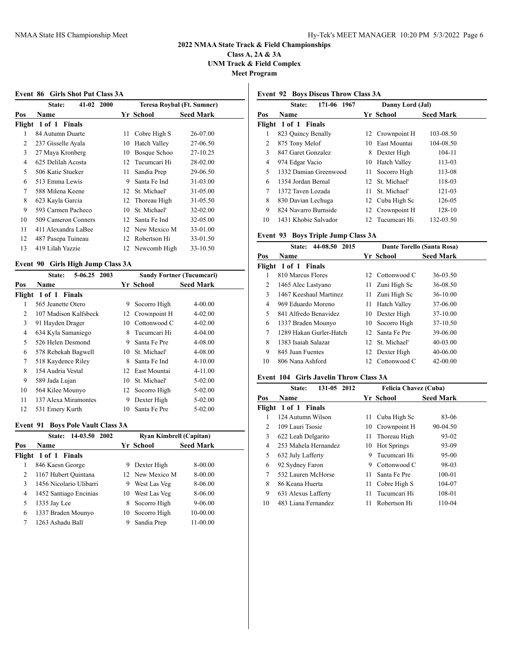**Class A, 2A & 3A UNM Track & Field Complex Meet Program**

### **Event 86 Girls Shot Put Class 3A**

|     | $41-02$<br><b>2000</b><br>State: |    |                 | Teresa Roybal (Ft. Sumner) |
|-----|----------------------------------|----|-----------------|----------------------------|
| Pos | <b>Name</b>                      |    | Yr School       | <b>Seed Mark</b>           |
|     | Flight 1 of 1 Finals             |    |                 |                            |
| 1   | 84 Autumn Duarte                 | 11 | Cobre High S    | 26-07.00                   |
| 2   | 237 Gisselle Ayala               | 10 | Hatch Valley    | 27-06.50                   |
| 3   | 27 Maya Kronberg                 | 10 | Bosque Schoo    | 27-10.25                   |
| 4   | 625 Delilah Acosta               | 12 | Tucumcari Hi    | 28-02.00                   |
| 5   | 506 Katie Stueker                | 11 | Sandia Prep     | 29-06.50                   |
| 6   | 513 Emma Lewis                   | 9  | Santa Fe Ind    | 31-03.00                   |
| 7   | 588 Milena Keene                 | 12 | St. Michael'    | 31-05.00                   |
| 8   | 623 Kayla Garcia                 |    | 12 Thoreau High | 31-05.50                   |
| 9   | 593 Carmen Pacheco               | 10 | St. Michael'    | $32 - 02.00$               |
| 10  | 509 Cameron Conners              | 12 | Santa Fe Ind    | 32-05.00                   |
| 11  | 411 Alexandra LaBee              | 12 | New Mexico M    | 33-01.00                   |
| 12  | 487 Pasepa Tuineau               | 12 | Robertson Hi    | 33-01.50                   |
| 13  | 419 Lilah Yazzie                 |    | 12 Newcomb High | 33-10.50                   |
|     |                                  |    |                 |                            |

#### **Event 90 Girls High Jump Class 3A**

|     | 5-06.25 2003<br>State: |    | <b>Sandy Fortner (Tucumcari)</b> |                  |  |
|-----|------------------------|----|----------------------------------|------------------|--|
| Pos | Name                   |    | Yr School                        | <b>Seed Mark</b> |  |
|     | Flight 1 of 1 Finals   |    |                                  |                  |  |
| 1   | 565 Jeanette Otero     | 9  | Socorro High                     | $4 - 00.00$      |  |
| 2   | 107 Madison Kalfsbeck  | 12 | Crownpoint H                     | $4 - 02.00$      |  |
| 3   | 91 Hayden Drager       | 10 | Cottonwood C                     | $4 - 02.00$      |  |
| 4   | 634 Kyla Samaniego     | 8  | Tucumcari Hi                     | $4 - 04.00$      |  |
| 5   | 526 Helen Desmond      | 9  | Santa Fe Pre                     | 4-08.00          |  |
| 6   | 578 Rebekah Bagwell    | 10 | St. Michael'                     | 4-08.00          |  |
| 7   | 518 Kaydence Riley     | 8  | Santa Fe Ind                     | $4 - 10.00$      |  |
| 8   | 154 Audria Vestal      | 12 | East Mountai                     | 4-11.00          |  |
| 9   | 589 Jada Lujan         | 10 | St. Michael'                     | 5-02.00          |  |
| 10  | 564 Kilee Mounyo       | 12 | Socorro High                     | 5-02.00          |  |
| 11  | 137 Alexa Miramontes   | 9  | Dexter High                      | 5-02.00          |  |
| 12  | 531 Emery Kurth        | 10 | Santa Fe Pre                     | 5-02.00          |  |

#### **Event 91 Boys Pole Vault Class 3A**

| 14-03.50 2002<br><b>State:</b> |                         |   | <b>Ryan Kimbrell (Capitan)</b> |                  |  |  |
|--------------------------------|-------------------------|---|--------------------------------|------------------|--|--|
| Pos                            | <b>Name</b>             |   | Yr School                      | <b>Seed Mark</b> |  |  |
|                                | Flight 1 of 1 Finals    |   |                                |                  |  |  |
|                                | 846 Kaesn George        | 9 | Dexter High                    | 8-00.00          |  |  |
| 2                              | 1167 Hubert Quintana    |   | 12 New Mexico M                | 8-00.00          |  |  |
| 3                              | 1456 Nicolario Ulibarri | 9 | West Las Veg                   | 8-06.00          |  |  |
| 4                              | 1452 Santiago Encinias  |   | 10 West Las Veg                | 8-06.00          |  |  |
| 5                              | 1335 Jay Lee            | 8 | Socorro High                   | $9 - 06.00$      |  |  |
| 6                              | 1337 Braden Mounyo      |   | 10 Socorro High                | 10-00.00         |  |  |
|                                | 1263 Ashadu Ball        | 9 | Sandia Prep                    | 11-00.00         |  |  |

## **Event 92 Boys Discus Throw Class 3A**

|     | 171-06 1967<br>State: |     | Danny Lord (Jal)    |                  |
|-----|-----------------------|-----|---------------------|------------------|
| Pos | <b>Name</b>           |     | Yr School           | <b>Seed Mark</b> |
|     | Flight 1 of 1 Finals  |     |                     |                  |
| 1   | 823 Quincy Benally    |     | 12 Crownpoint H     | 103-08.50        |
| 2   | 875 Tony Melof        | 10. | East Mountai        | 104-08.50        |
| 3   | 847 Garet Gonzalez    | 8   | Dexter High         | 104-11           |
| 4   | 974 Edgar Vacio       | 10  | <b>Hatch Valley</b> | 113-03           |
| 5   | 1332 Damian Greenwood | 11  | Socorro High        | 113-08           |
| 6   | 1354 Jordan Bernal    |     | 12 St. Michael'     | 118-03           |
| 7   | 1372 Taven Lozada     | 11  | St. Michael'        | 121-03           |
| 8   | 830 Davian Lechuga    |     | 12 Cuba High Sc     | 126-05           |
| 9   | 824 Navarro Burnside  |     | 12 Crownpoint H     | 128-10           |
| 10  | 1431 Khobie Salvador  |     | 12 Tucumcari Hi     | 132-03.50        |

## **Event 93 Boys Triple Jump Class 3A**

| 44-08.50<br>2015<br><b>State:</b> |                         | Dante Torello (Santa Rosa) |                     |                  |  |
|-----------------------------------|-------------------------|----------------------------|---------------------|------------------|--|
| Pos                               | Name                    |                            | Yr School           | <b>Seed Mark</b> |  |
|                                   | Flight 1 of 1 Finals    |                            |                     |                  |  |
| 1                                 | 810 Marcus Flores       |                            | 12 Cottonwood C     | 36-03.50         |  |
| 2                                 | 1465 Alec Lastyano      | 11.                        | Zuni High Sc        | 36-08.50         |  |
| 3                                 | 1467 Keeshaul Martinez  | 11.                        | Zuni High Sc        | $36-10.00$       |  |
| 4                                 | 969 Eduardo Moreno      | 11.                        | <b>Hatch Valley</b> | 37-06.00         |  |
| 5                                 | 841 Alfredo Benavidez   |                            | 10 Dexter High      | 37-10.00         |  |
| 6                                 | 1337 Braden Mounyo      | 10.                        | Socorro High        | 37-10.50         |  |
| 7                                 | 1289 Hakan Gurler-Hatch | 12 <sub>1</sub>            | Santa Fe Pre        | 39-06.00         |  |
| 8                                 | 1383 Isaiah Salazar     |                            | 12 St. Michael'     | $40 - 03.00$     |  |
| 9                                 | 845 Juan Fuentes        |                            | 12 Dexter High      | 40-06.00         |  |
| 10                                | 806 Nana Ashford        | 12.                        | Cottonwood C        | $42 - 00.00$     |  |
|                                   |                         |                            |                     |                  |  |

### **Event 104 Girls Javelin Throw Class 3A**

|     | 131-05 2012<br>State: |     | Felicia Chavez (Cuba) |                  |
|-----|-----------------------|-----|-----------------------|------------------|
| Pos | <b>Name</b>           |     | Yr School             | <b>Seed Mark</b> |
|     | Flight 1 of 1 Finals  |     |                       |                  |
|     | 124 Autumn Wilson     | 11  | Cuba High Sc          | 83-06            |
| 2   | 109 Lauri Tsosie      | 10  | Crownpoint H          | 90-04.50         |
| 3   | 622 Leah Delgarito    | 11. | Thoreau High          | 93-02            |
| 4   | 253 Mahela Hernandez  | 10  | <b>Hot Springs</b>    | 93-09            |
| 5   | 632 July Lafferty     | 9   | Tucumcari Hi          | 95-00            |
| 6   | 92 Sydney Faron       | 9   | Cottonwood C          | 98-03            |
| 7   | 532 Lauren McHorse    | 11. | Santa Fe Pre          | $100 - 01$       |
| 8   | 86 Keana Huerta       | 11  | Cobre High S          | 104-07           |
| 9   | 631 Alexus Lafferty   | 11  | Tucumcari Hi          | 108-01           |
| 10  | 483 Liana Fernandez   | 11  | Robertson Hi          | 110-04           |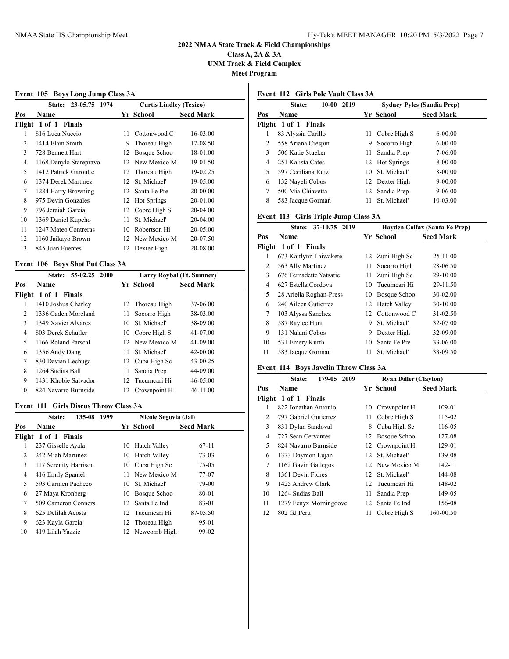**Class A, 2A & 3A UNM Track & Field Complex Meet Program**

#### **Event 105 Boys Long Jump Class 3A**

|     | 23-05.75<br>1974<br><b>State:</b> |    | <b>Curtis Lindley (Texico)</b> |                  |
|-----|-----------------------------------|----|--------------------------------|------------------|
| Pos | Name                              |    | Yr School                      | <b>Seed Mark</b> |
|     | Flight 1 of 1 Finals              |    |                                |                  |
| 1   | 816 Luca Nuccio                   | 11 | Cottonwood C                   | 16-03.00         |
| 2   | 1414 Elam Smith                   | 9  | Thoreau High                   | 17-08.50         |
| 3   | 728 Bennett Hart                  | 12 | Bosque Schoo                   | 18-01.00         |
| 4   | 1168 Danylo Starepravo            | 12 | New Mexico M                   | 19-01.50         |
| 5   | 1412 Patrick Garoutte             | 12 | Thoreau High                   | 19-02.25         |
| 6   | 1374 Derek Martinez               | 12 | St. Michael'                   | 19-05.00         |
| 7   | 1284 Harry Browning               | 12 | Santa Fe Pre                   | 20-00.00         |
| 8   | 975 Devin Gonzales                | 12 | <b>Hot Springs</b>             | 20-01.00         |
| 9   | 796 Jeraiah Garcia                | 12 | Cobre High S                   | 20-04.00         |
| 10  | 1369 Daniel Kupcho                | 11 | St. Michael'                   | 20-04.00         |
| 11  | 1247 Mateo Contreras              | 10 | Robertson Hi                   | 20-05.00         |
| 12  | 1160 Jaikayo Brown                |    | 12 New Mexico M                | 20-07.50         |
| 13  | 845 Juan Fuentes                  | 12 | Dexter High                    | 20-08.00         |
|     |                                   |    |                                |                  |

## **Event 106 Boys Shot Put Class 3A**

|     | $E$ , ent 100 $E$ 0, 90, 910; 1 ut Chass $E_1$<br>55-02.25 2000<br><b>State:</b> | Larry Roybal (Ft. Sumner) |                  |  |
|-----|----------------------------------------------------------------------------------|---------------------------|------------------|--|
| Pos | <b>Name</b>                                                                      | Yr School                 | <b>Seed Mark</b> |  |
|     | Flight 1 of 1 Finals                                                             |                           |                  |  |
|     | 1410 Joshua Charley                                                              | 12 Thoreau High           | 37-06.00         |  |
| 2   | 1336 Caden Moreland                                                              | Socorro High<br>11        | 38-03.00         |  |
| 3   | 1349 Xavier Alvarez                                                              | 10 St. Michael'           | 38-09.00         |  |
| 4   | 803 Derek Schuller                                                               | 10 Cobre High S           | 41-07.00         |  |
| 5   | 1166 Roland Parscal                                                              | 12 New Mexico M           | 41-09.00         |  |
| 6   | 1356 Andy Dang                                                                   | St. Michael'<br>11        | $42 - 00.00$     |  |
| 7   | 830 Davian Lechuga                                                               | 12 Cuba High Sc           | 43-00.25         |  |
| 8   | 1264 Sudias Ball                                                                 | Sandia Prep<br>11         | 44-09.00         |  |
| 9   | 1431 Khobie Salvador                                                             | 12 Tucumcari Hi           | 46-05.00         |  |
| 10  | 824 Navarro Burnside                                                             | 12 Crownpoint H           | $46 - 11.00$     |  |

#### **Event 111 Girls Discus Throw Class 3A**

|     | 135-08<br>1999<br>State: |    | <b>Nicole Segovia (Jal)</b> |                  |  |
|-----|--------------------------|----|-----------------------------|------------------|--|
| Pos | Name                     |    | Yr School                   | <b>Seed Mark</b> |  |
|     | Flight 1 of 1 Finals     |    |                             |                  |  |
| 1   | 237 Gisselle Ayala       |    | 10 Hatch Valley             | $67-11$          |  |
| 2   | 242 Miah Martinez        | 10 | Hatch Valley                | $73-03$          |  |
| 3   | 117 Serenity Harrison    |    | 10 Cuba High Sc             | 75-05            |  |
| 4   | 416 Emily Spaniel        | 11 | New Mexico M                | 77-07            |  |
| 5   | 593 Carmen Pacheco       | 10 | St. Michael'                | 79-00            |  |
| 6   | 27 Maya Kronberg         |    | 10 Bosque Schoo             | 80-01            |  |
| 7   | 509 Cameron Conners      | 12 | Santa Fe Ind                | 83-01            |  |
| 8   | 625 Delilah Acosta       |    | 12 Tucumcari Hi             | 87-05.50         |  |
| 9   | 623 Kayla Garcia         |    | 12 Thoreau High             | 95-01            |  |
| 10  | 419 Lilah Yazzie         |    | 12 Newcomb High             | 99-02            |  |
|     |                          |    |                             |                  |  |

## **Event 112 Girls Pole Vault Class 3A**

| 2019<br>$10-00$<br>State: |                      |    | <b>Sydney Pyles (Sandia Prep)</b> |                  |  |
|---------------------------|----------------------|----|-----------------------------------|------------------|--|
| Pos                       | <b>Name</b>          |    | Yr School                         | <b>Seed Mark</b> |  |
|                           | Flight 1 of 1 Finals |    |                                   |                  |  |
| 1                         | 83 Alyssia Carillo   | 11 | Cobre High S                      | $6-00.00$        |  |
| 2                         | 558 Ariana Crespin   | 9  | Socorro High                      | $6-00.00$        |  |
| 3                         | 506 Katie Stueker    | 11 | Sandia Prep                       | 7-06.00          |  |
| 4                         | 251 Kalista Cates    |    | 12 Hot Springs                    | 8-00.00          |  |
| 5                         | 597 Ceciliana Ruiz   | 10 | St. Michael'                      | 8-00.00          |  |
| 6                         | 132 Nayeli Cobos     |    | 12 Dexter High                    | $9 - 00.00$      |  |
| 7                         | 500 Mia Chiavetta    |    | 12 Sandia Prep                    | $9-06.00$        |  |
| 8                         | 583 Jacque Gorman    | 11 | St. Michael'                      | $10 - 03.00$     |  |

## **Event 113 Girls Triple Jump Class 3A**

| 37-10.75 2019<br><b>State:</b> |                         | Hayden Colfax (Santa Fe Prep) |                 |                  |  |
|--------------------------------|-------------------------|-------------------------------|-----------------|------------------|--|
| Pos                            | Name                    |                               | Yr School       | <b>Seed Mark</b> |  |
| Flight                         | 1 of 1 Finals           |                               |                 |                  |  |
| 1                              | 673 Kaitlynn Laiwakete  |                               | 12 Zuni High Sc | 25-11.00         |  |
| 2                              | 563 Ally Martinez       | 11                            | Socorro High    | 28-06.50         |  |
| 3                              | 676 Fernadette Yatsatie | 11.                           | Zuni High Sc    | 29-10.00         |  |
| 4                              | 627 Estella Cordova     | 10                            | Tucumcari Hi    | 29-11.50         |  |
| 5                              | 28 Ariella Roghan-Press | 10                            | Bosque Schoo    | 30-02.00         |  |
| 6                              | 240 Aileen Gutierrez    |                               | 12 Hatch Valley | 30-10.00         |  |
| 7                              | 103 Alyssa Sanchez      |                               | 12 Cottonwood C | 31-02.50         |  |
| 8                              | 587 Raylee Hunt         | 9                             | St. Michael'    | 32-07.00         |  |
| 9                              | 131 Nalani Cobos        | 9                             | Dexter High     | 32-09.00         |  |
| 10                             | 531 Emery Kurth         | 10                            | Santa Fe Pre    | 33-06.00         |  |
| 11                             | 583 Jacque Gorman       | 11                            | St. Michael'    | 33-09.50         |  |
|                                |                         |                               |                 |                  |  |

#### **Event 114 Boys Javelin Throw Class 3A**

|     | 179-05 2009<br>State:  |    | <b>Ryan Diller (Clayton)</b> |                  |  |  |
|-----|------------------------|----|------------------------------|------------------|--|--|
| Pos | Name                   |    | Yr School                    | <b>Seed Mark</b> |  |  |
|     | Flight 1 of 1 Finals   |    |                              |                  |  |  |
| 1   | 822 Jonathan Antonio   | 10 | Crownpoint H                 | 109-01           |  |  |
| 2   | 797 Gabriel Gutierrez  | 11 | Cobre High S                 | 115-02           |  |  |
| 3   | 831 Dylan Sandoval     | 8  | Cuba High Sc                 | 116-05           |  |  |
| 4   | 727 Sean Cervantes     | 12 | Bosque Schoo                 | 127-08           |  |  |
| 5   | 824 Navarro Burnside   | 12 | Crownpoint H                 | 129-01           |  |  |
| 6   | 1373 Daymon Lujan      | 12 | St. Michael'                 | 139-08           |  |  |
| 7   | 1162 Gavin Gallegos    | 12 | New Mexico M                 | 142-11           |  |  |
| 8   | 1361 Devin Flores      | 12 | St. Michael'                 | 144-08           |  |  |
| 9   | 1425 Andrew Clark      | 12 | Tucumcari Hi                 | 148-02           |  |  |
| 10  | 1264 Sudias Ball       | 11 | Sandia Prep                  | 149-05           |  |  |
| 11  | 1279 Fenyx Morningdove | 12 | Santa Fe Ind                 | 156-08           |  |  |
| 12  | 802 GJ Peru            | 11 | Cobre High S                 | 160-00.50        |  |  |